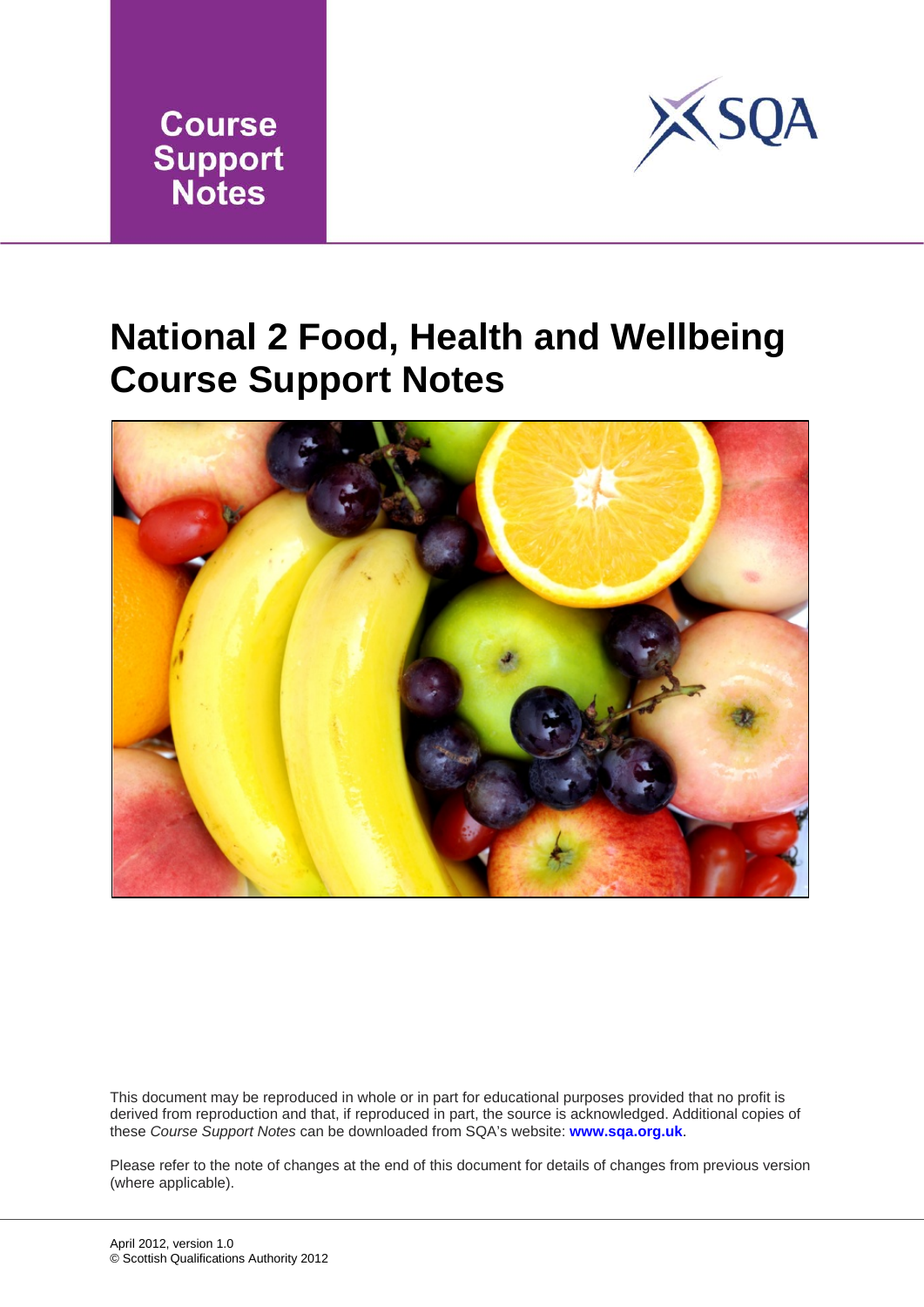



### **National 2 Food, Health and Wellbeing Course Support Notes**



This document may be reproduced in whole or in part for educational purposes provided that no profit is derived from reproduction and that, if reproduced in part, the source is acknowledged. Additional copies of these *Course Support Notes* can be downloaded from SQA's website: **[www.sqa.org.uk](http://www.sqa.org.uk/)**.

Please refer to the note of changes at the end of this document for details of changes from previous version (where applicable).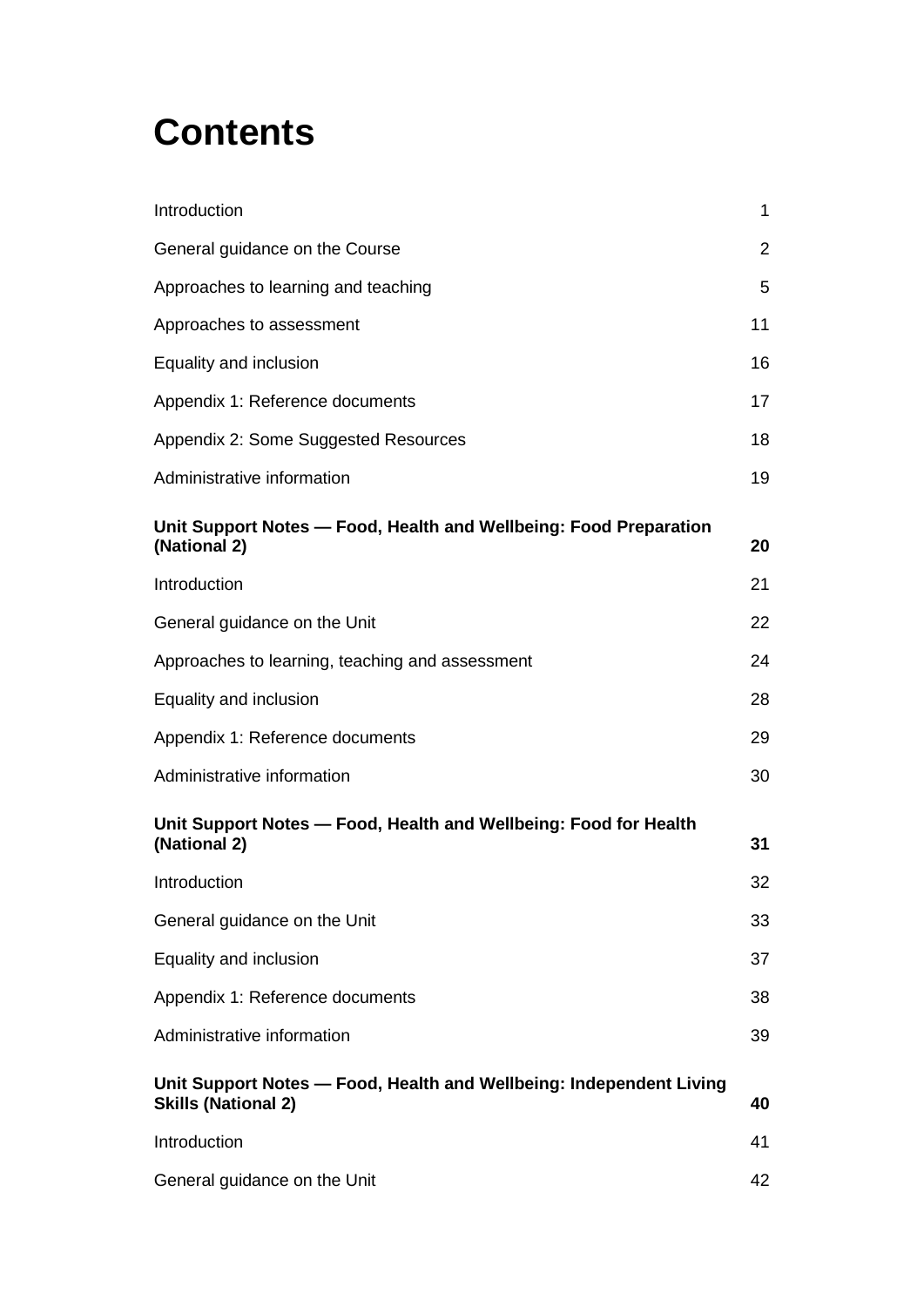### **Contents**

| Introduction                                                                                      | $\mathbf{1}$   |
|---------------------------------------------------------------------------------------------------|----------------|
| General guidance on the Course                                                                    | $\overline{2}$ |
| Approaches to learning and teaching                                                               | 5              |
| Approaches to assessment                                                                          | 11             |
| Equality and inclusion                                                                            | 16             |
| Appendix 1: Reference documents                                                                   | 17             |
| Appendix 2: Some Suggested Resources                                                              | 18             |
| Administrative information                                                                        | 19             |
| Unit Support Notes - Food, Health and Wellbeing: Food Preparation<br>(National 2)                 | 20             |
| Introduction                                                                                      | 21             |
| General guidance on the Unit                                                                      | 22             |
| Approaches to learning, teaching and assessment                                                   | 24             |
| Equality and inclusion                                                                            | 28             |
| Appendix 1: Reference documents                                                                   | 29             |
| Administrative information                                                                        | 30             |
| Unit Support Notes - Food, Health and Wellbeing: Food for Health<br>(National 2)                  | 31             |
| Introduction                                                                                      | 32             |
| General guidance on the Unit                                                                      | 33             |
| Equality and inclusion                                                                            | 37             |
| Appendix 1: Reference documents                                                                   | 38             |
| Administrative information                                                                        | 39             |
| Unit Support Notes - Food, Health and Wellbeing: Independent Living<br><b>Skills (National 2)</b> | 40             |
| Introduction                                                                                      | 41             |
| General guidance on the Unit                                                                      | 42             |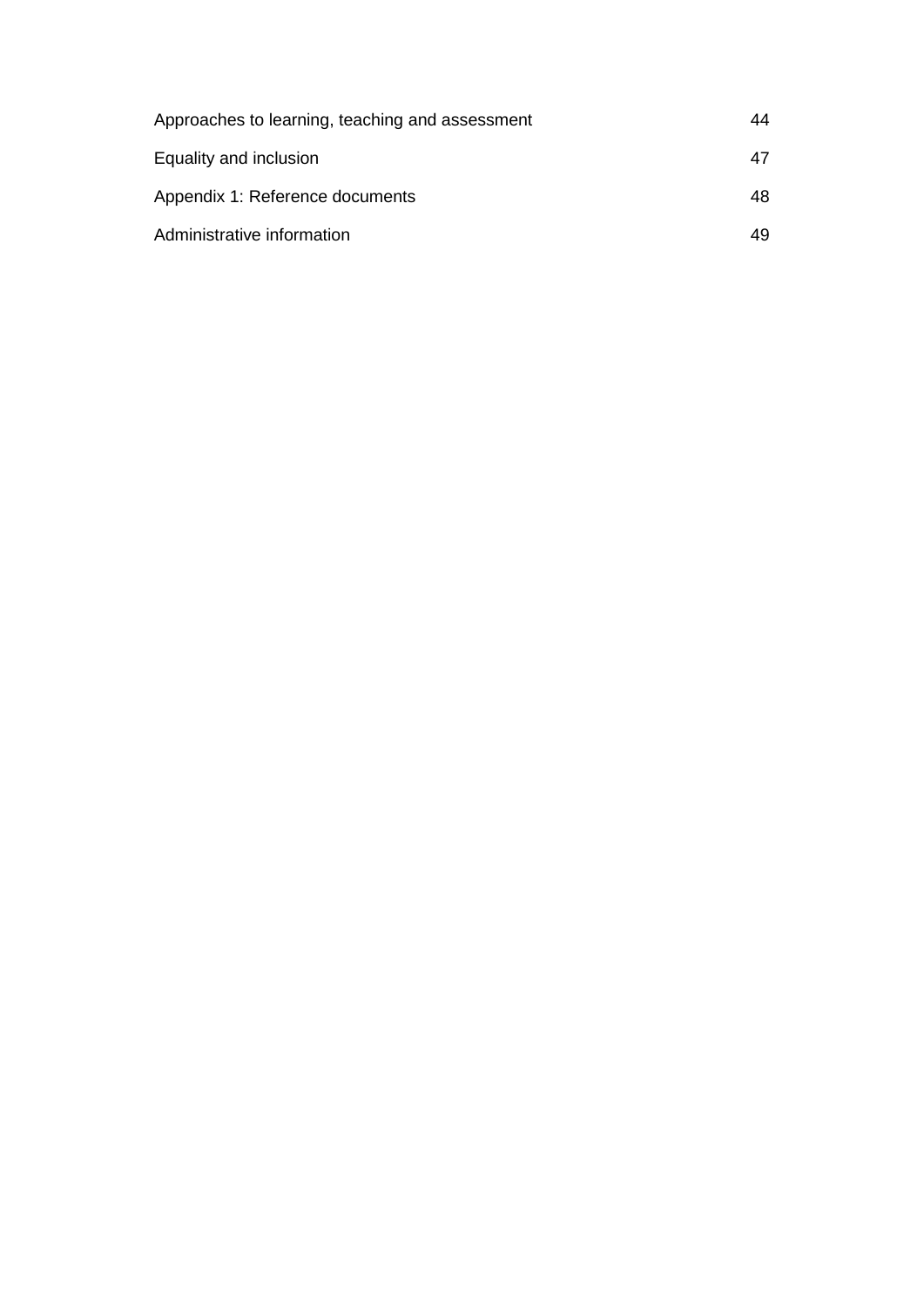| Approaches to learning, teaching and assessment | 44 |
|-------------------------------------------------|----|
| Equality and inclusion                          | 47 |
| Appendix 1: Reference documents                 | 48 |
| Administrative information                      | 49 |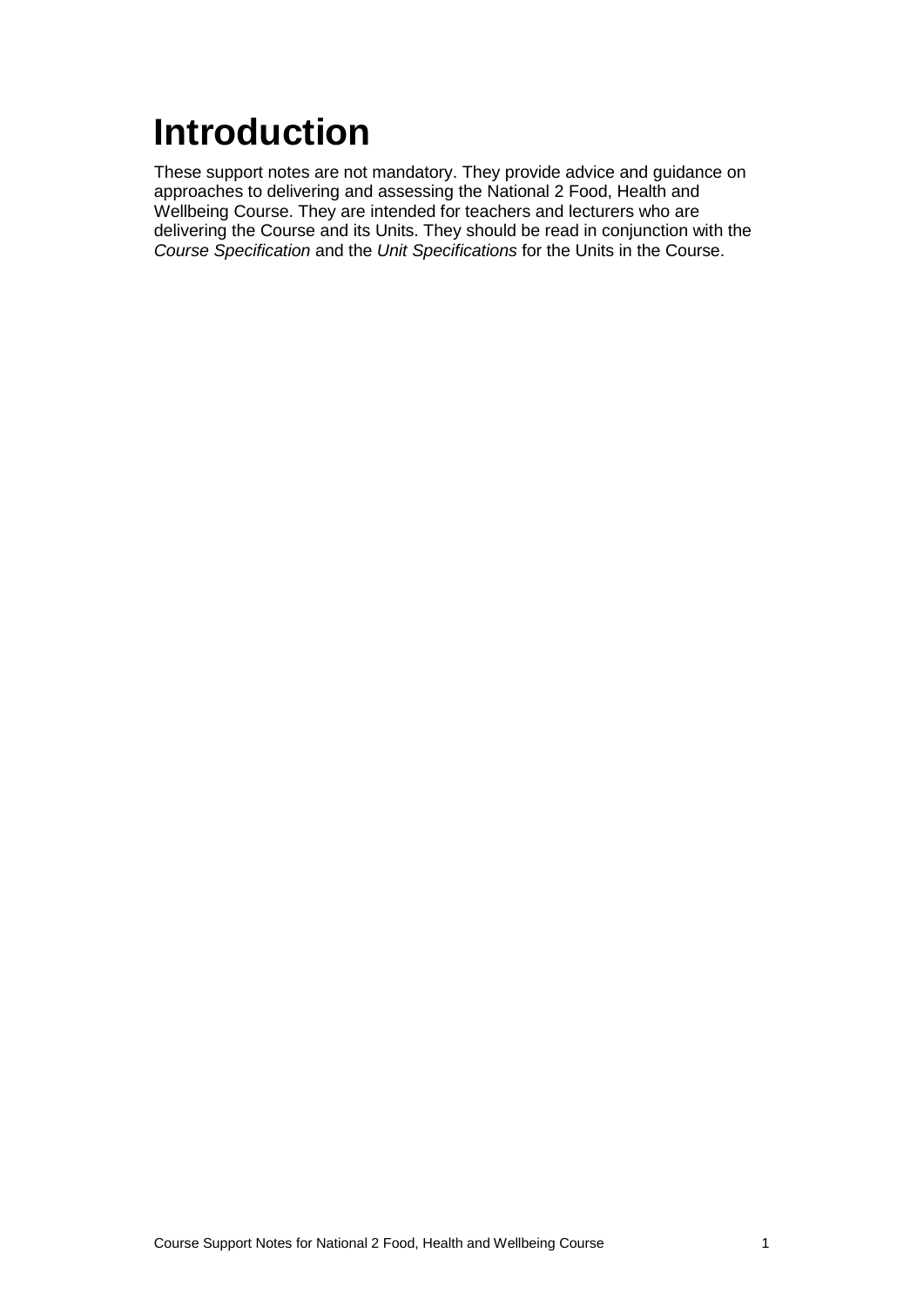# <span id="page-3-0"></span>**Introduction**

These support notes are not mandatory. They provide advice and guidance on approaches to delivering and assessing the National 2 Food, Health and Wellbeing Course. They are intended for teachers and lecturers who are delivering the Course and its Units. They should be read in conjunction with the *Course Specification* and the *Unit Specifications* for the Units in the Course.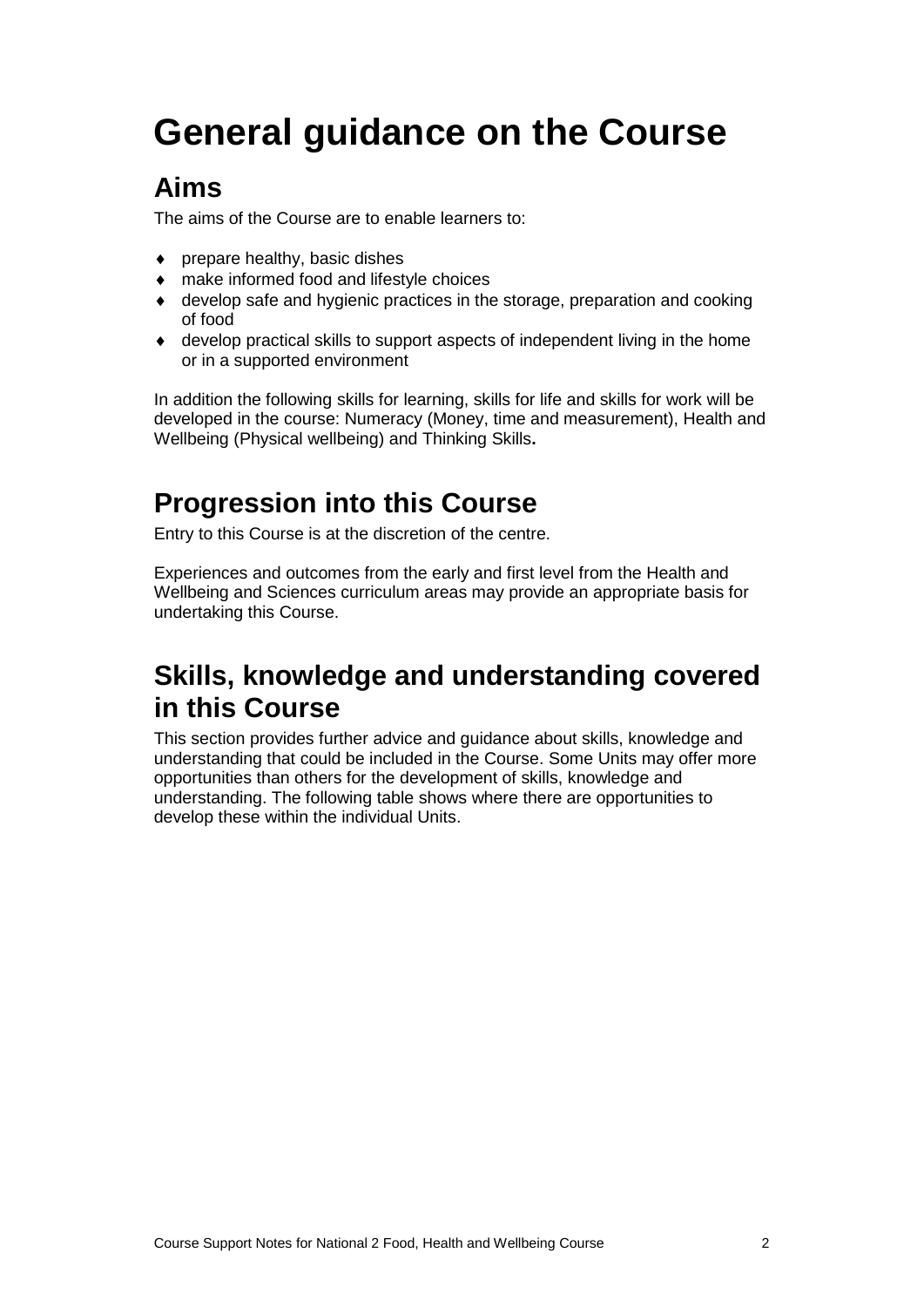## <span id="page-4-0"></span>**General guidance on the Course**

#### **Aims**

The aims of the Course are to enable learners to:

- ♦ prepare healthy, basic dishes
- ♦ make informed food and lifestyle choices
- ♦ develop safe and hygienic practices in the storage, preparation and cooking of food
- ♦ develop practical skills to support aspects of independent living in the home or in a supported environment

In addition the following skills for learning, skills for life and skills for work will be developed in the course: Numeracy (Money, time and measurement), Health and Wellbeing (Physical wellbeing) and Thinking Skills**.**

#### **Progression into this Course**

Entry to this Course is at the discretion of the centre.

Experiences and outcomes from the early and first level from the Health and Wellbeing and Sciences curriculum areas may provide an appropriate basis for undertaking this Course.

#### **Skills, knowledge and understanding covered in this Course**

This section provides further advice and guidance about skills, knowledge and understanding that could be included in the Course. Some Units may offer more opportunities than others for the development of skills, knowledge and understanding. The following table shows where there are opportunities to develop these within the individual Units.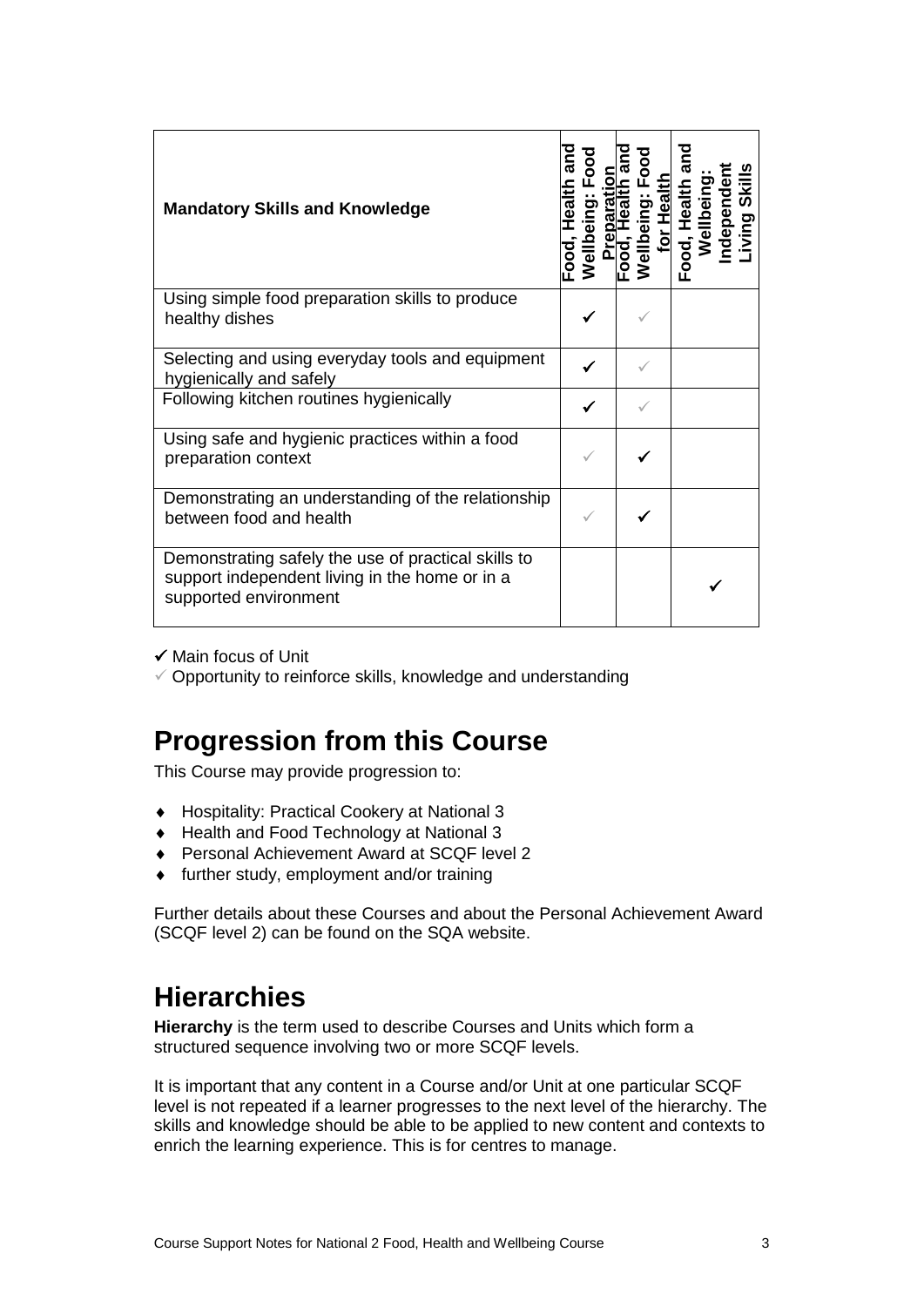| <b>Mandatory Skills and Knowledge</b>                                                                                          | ā<br>ealth | ŏ | 8 | $\circ$<br>/ellbeing: Fo<br>__for Health | Health | Food, Health a<br>Wellbeing: | ndependen | <b>Skills</b><br>iving |
|--------------------------------------------------------------------------------------------------------------------------------|------------|---|---|------------------------------------------|--------|------------------------------|-----------|------------------------|
| Using simple food preparation skills to produce<br>healthy dishes                                                              |            |   |   |                                          |        |                              |           |                        |
| Selecting and using everyday tools and equipment<br>hygienically and safely                                                    |            |   |   |                                          |        |                              |           |                        |
| Following kitchen routines hygienically                                                                                        |            |   |   |                                          |        |                              |           |                        |
| Using safe and hygienic practices within a food<br>preparation context                                                         |            |   |   |                                          |        |                              |           |                        |
| Demonstrating an understanding of the relationship<br>between food and health                                                  |            |   |   |                                          |        |                              |           |                        |
| Demonstrating safely the use of practical skills to<br>support independent living in the home or in a<br>supported environment |            |   |   |                                          |        |                              |           |                        |

 $\checkmark$  Main focus of Unit

 $\checkmark$  Opportunity to reinforce skills, knowledge and understanding

#### **Progression from this Course**

This Course may provide progression to:

- ♦ Hospitality: Practical Cookery at National 3
- ♦ Health and Food Technology at National 3
- ♦ Personal Achievement Award at SCQF level 2
- ♦ further study, employment and/or training

Further details about these Courses and about the Personal Achievement Award (SCQF level 2) can be found on the SQA website.

#### **Hierarchies**

**Hierarchy** is the term used to describe Courses and Units which form a structured sequence involving two or more SCQF levels.

It is important that any content in a Course and/or Unit at one particular SCQF level is not repeated if a learner progresses to the next level of the hierarchy. The skills and knowledge should be able to be applied to new content and contexts to enrich the learning experience. This is for centres to manage.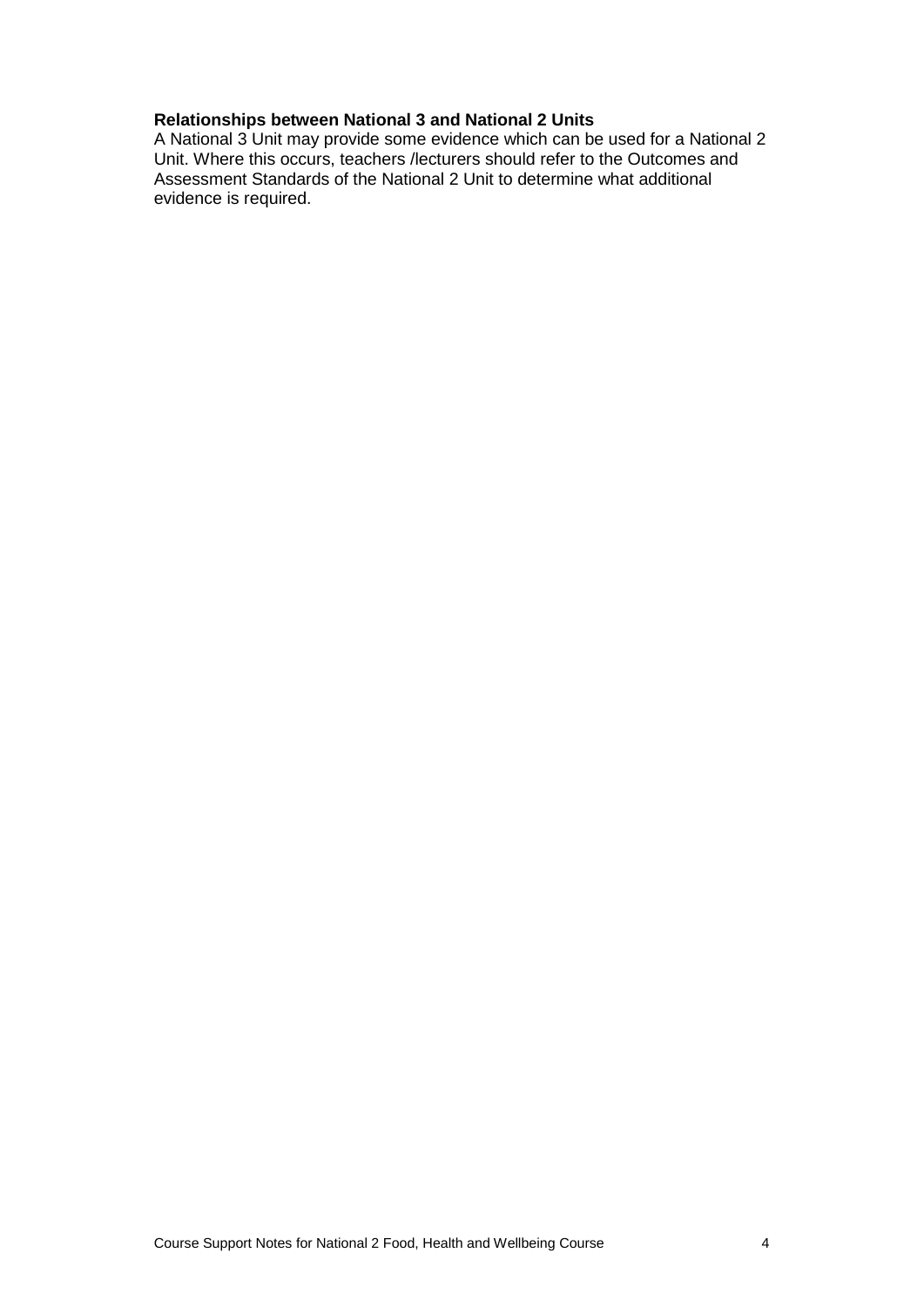#### **Relationships between National 3 and National 2 Units**

A National 3 Unit may provide some evidence which can be used for a National 2 Unit. Where this occurs, teachers /lecturers should refer to the Outcomes and Assessment Standards of the National 2 Unit to determine what additional evidence is required.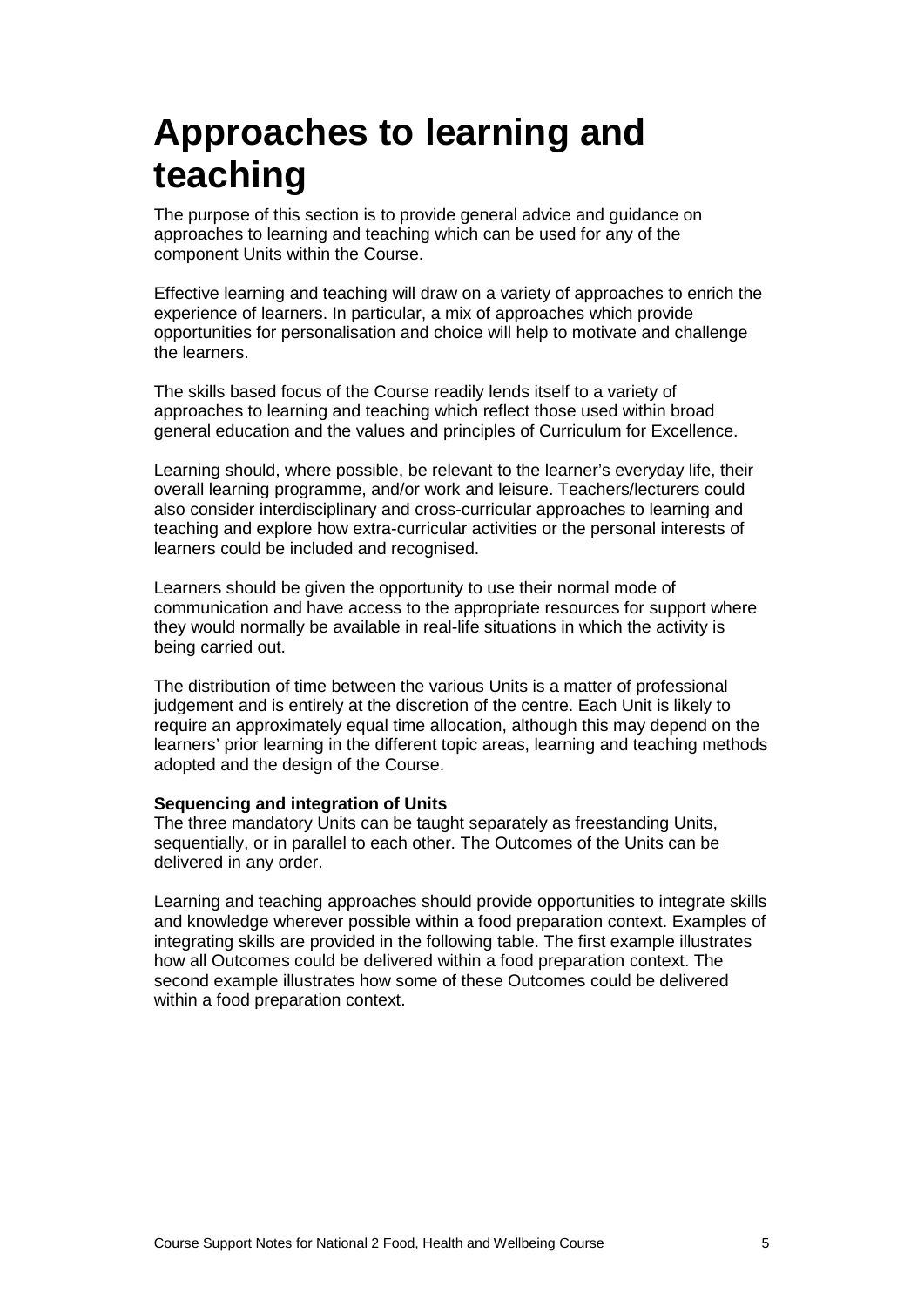### <span id="page-7-0"></span>**Approaches to learning and teaching**

The purpose of this section is to provide general advice and guidance on approaches to learning and teaching which can be used for any of the component Units within the Course.

Effective learning and teaching will draw on a variety of approaches to enrich the experience of learners. In particular, a mix of approaches which provide opportunities for personalisation and choice will help to motivate and challenge the learners.

The skills based focus of the Course readily lends itself to a variety of approaches to learning and teaching which reflect those used within broad general education and the values and principles of Curriculum for Excellence.

Learning should, where possible, be relevant to the learner's everyday life, their overall learning programme, and/or work and leisure. Teachers/lecturers could also consider interdisciplinary and cross-curricular approaches to learning and teaching and explore how extra-curricular activities or the personal interests of learners could be included and recognised.

Learners should be given the opportunity to use their normal mode of communication and have access to the appropriate resources for support where they would normally be available in real-life situations in which the activity is being carried out.

The distribution of time between the various Units is a matter of professional judgement and is entirely at the discretion of the centre. Each Unit is likely to require an approximately equal time allocation, although this may depend on the learners' prior learning in the different topic areas, learning and teaching methods adopted and the design of the Course.

#### **Sequencing and integration of Units**

The three mandatory Units can be taught separately as freestanding Units, sequentially, or in parallel to each other. The Outcomes of the Units can be delivered in any order.

Learning and teaching approaches should provide opportunities to integrate skills and knowledge wherever possible within a food preparation context. Examples of integrating skills are provided in the following table. The first example illustrates how all Outcomes could be delivered within a food preparation context. The second example illustrates how some of these Outcomes could be delivered within a food preparation context.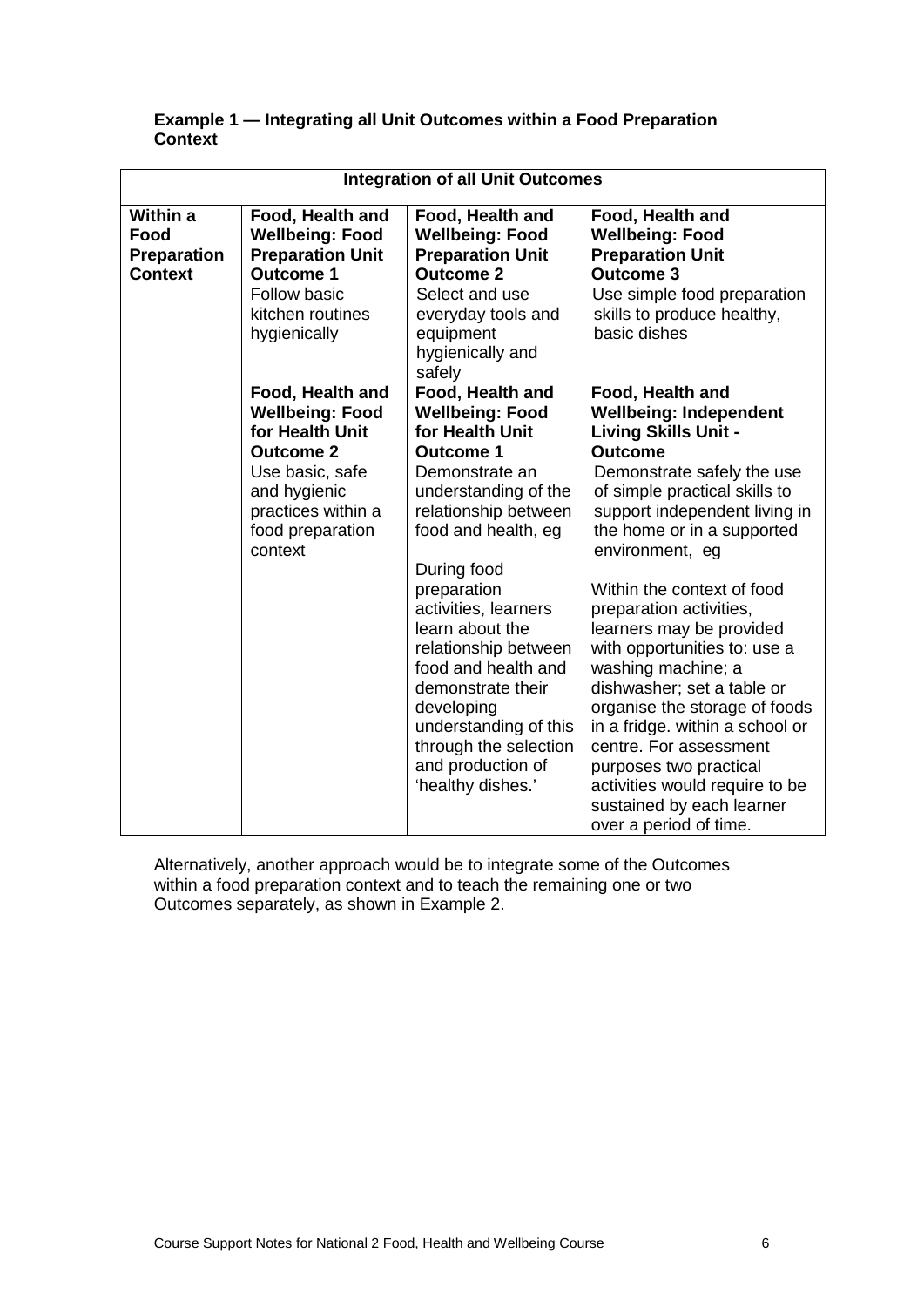#### **Example 1 — Integrating all Unit Outcomes within a Food Preparation Context**

| <b>Integration of all Unit Outcomes</b>                  |                                                                                                                                                                           |                                                                                                                                                                                                                                                                                                                                                                                                                                   |                                                                                                                                                                                                                                                                                                                                                                                                                                                                                                                                                                                                                                               |  |  |
|----------------------------------------------------------|---------------------------------------------------------------------------------------------------------------------------------------------------------------------------|-----------------------------------------------------------------------------------------------------------------------------------------------------------------------------------------------------------------------------------------------------------------------------------------------------------------------------------------------------------------------------------------------------------------------------------|-----------------------------------------------------------------------------------------------------------------------------------------------------------------------------------------------------------------------------------------------------------------------------------------------------------------------------------------------------------------------------------------------------------------------------------------------------------------------------------------------------------------------------------------------------------------------------------------------------------------------------------------------|--|--|
| Within a<br>Food<br><b>Preparation</b><br><b>Context</b> | Food, Health and<br><b>Wellbeing: Food</b><br><b>Preparation Unit</b><br><b>Outcome 1</b><br>Follow basic<br>kitchen routines<br>hygienically                             | Food, Health and<br><b>Wellbeing: Food</b><br><b>Preparation Unit</b><br><b>Outcome 2</b><br>Select and use<br>everyday tools and<br>equipment<br>hygienically and<br>safely                                                                                                                                                                                                                                                      | Food, Health and<br><b>Wellbeing: Food</b><br><b>Preparation Unit</b><br><b>Outcome 3</b><br>Use simple food preparation<br>skills to produce healthy,<br>basic dishes                                                                                                                                                                                                                                                                                                                                                                                                                                                                        |  |  |
|                                                          | Food, Health and<br><b>Wellbeing: Food</b><br>for Health Unit<br><b>Outcome 2</b><br>Use basic, safe<br>and hygienic<br>practices within a<br>food preparation<br>context | Food, Health and<br><b>Wellbeing: Food</b><br>for Health Unit<br><b>Outcome 1</b><br>Demonstrate an<br>understanding of the<br>relationship between<br>food and health, eg<br>During food<br>preparation<br>activities, learners<br>learn about the<br>relationship between<br>food and health and<br>demonstrate their<br>developing<br>understanding of this<br>through the selection<br>and production of<br>'healthy dishes.' | Food, Health and<br><b>Wellbeing: Independent</b><br><b>Living Skills Unit -</b><br><b>Outcome</b><br>Demonstrate safely the use<br>of simple practical skills to<br>support independent living in<br>the home or in a supported<br>environment, eg<br>Within the context of food<br>preparation activities,<br>learners may be provided<br>with opportunities to: use a<br>washing machine; a<br>dishwasher; set a table or<br>organise the storage of foods<br>in a fridge. within a school or<br>centre. For assessment<br>purposes two practical<br>activities would require to be<br>sustained by each learner<br>over a period of time. |  |  |

Alternatively, another approach would be to integrate some of the Outcomes within a food preparation context and to teach the remaining one or two Outcomes separately, as shown in Example 2.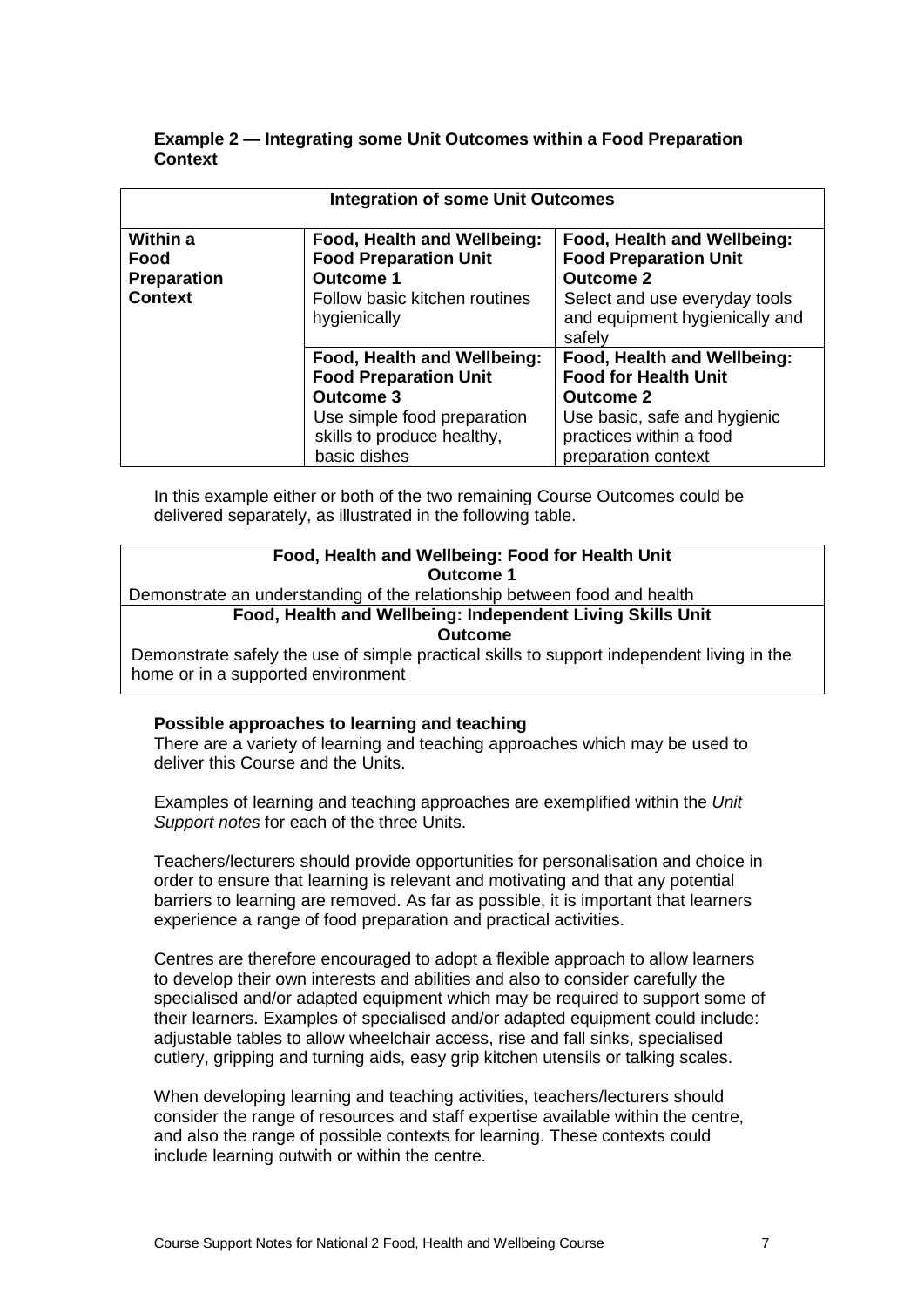| Example 2 — Integrating some Unit Outcomes within a Food Preparation |  |
|----------------------------------------------------------------------|--|
| <b>Context</b>                                                       |  |

| <b>Integration of some Unit Outcomes</b>                        |                                                                                                                                                              |                                                                                                                                                                  |  |
|-----------------------------------------------------------------|--------------------------------------------------------------------------------------------------------------------------------------------------------------|------------------------------------------------------------------------------------------------------------------------------------------------------------------|--|
| <b>Within a</b><br>Food<br><b>Preparation</b><br><b>Context</b> | Food, Health and Wellbeing:<br><b>Food Preparation Unit</b><br><b>Outcome 1</b><br>Follow basic kitchen routines<br>hygienically                             | Food, Health and Wellbeing:<br><b>Food Preparation Unit</b><br><b>Outcome 2</b><br>Select and use everyday tools<br>and equipment hygienically and<br>safely     |  |
|                                                                 | Food, Health and Wellbeing:<br><b>Food Preparation Unit</b><br><b>Outcome 3</b><br>Use simple food preparation<br>skills to produce healthy,<br>basic dishes | Food, Health and Wellbeing:<br><b>Food for Health Unit</b><br><b>Outcome 2</b><br>Use basic, safe and hygienic<br>practices within a food<br>preparation context |  |

In this example either or both of the two remaining Course Outcomes could be delivered separately, as illustrated in the following table.

| Food, Health and Wellbeing: Food for Health Unit                                           |  |  |  |  |
|--------------------------------------------------------------------------------------------|--|--|--|--|
| Outcome 1                                                                                  |  |  |  |  |
| Demonstrate an understanding of the relationship between food and health                   |  |  |  |  |
| Food, Health and Wellbeing: Independent Living Skills Unit                                 |  |  |  |  |
| <b>Outcome</b>                                                                             |  |  |  |  |
| Demonstrate safely the use of simple practical skills to support independent living in the |  |  |  |  |
| home or in a supported environment                                                         |  |  |  |  |

#### **Possible approaches to learning and teaching**

There are a variety of learning and teaching approaches which may be used to deliver this Course and the Units.

Examples of learning and teaching approaches are exemplified within the *Unit Support notes* for each of the three Units.

Teachers/lecturers should provide opportunities for personalisation and choice in order to ensure that learning is relevant and motivating and that any potential barriers to learning are removed. As far as possible, it is important that learners experience a range of food preparation and practical activities.

Centres are therefore encouraged to adopt a flexible approach to allow learners to develop their own interests and abilities and also to consider carefully the specialised and/or adapted equipment which may be required to support some of their learners. Examples of specialised and/or adapted equipment could include: adjustable tables to allow wheelchair access, rise and fall sinks, specialised cutlery, gripping and turning aids, easy grip kitchen utensils or talking scales.

When developing learning and teaching activities, teachers/lecturers should consider the range of resources and staff expertise available within the centre, and also the range of possible contexts for learning. These contexts could include learning outwith or within the centre.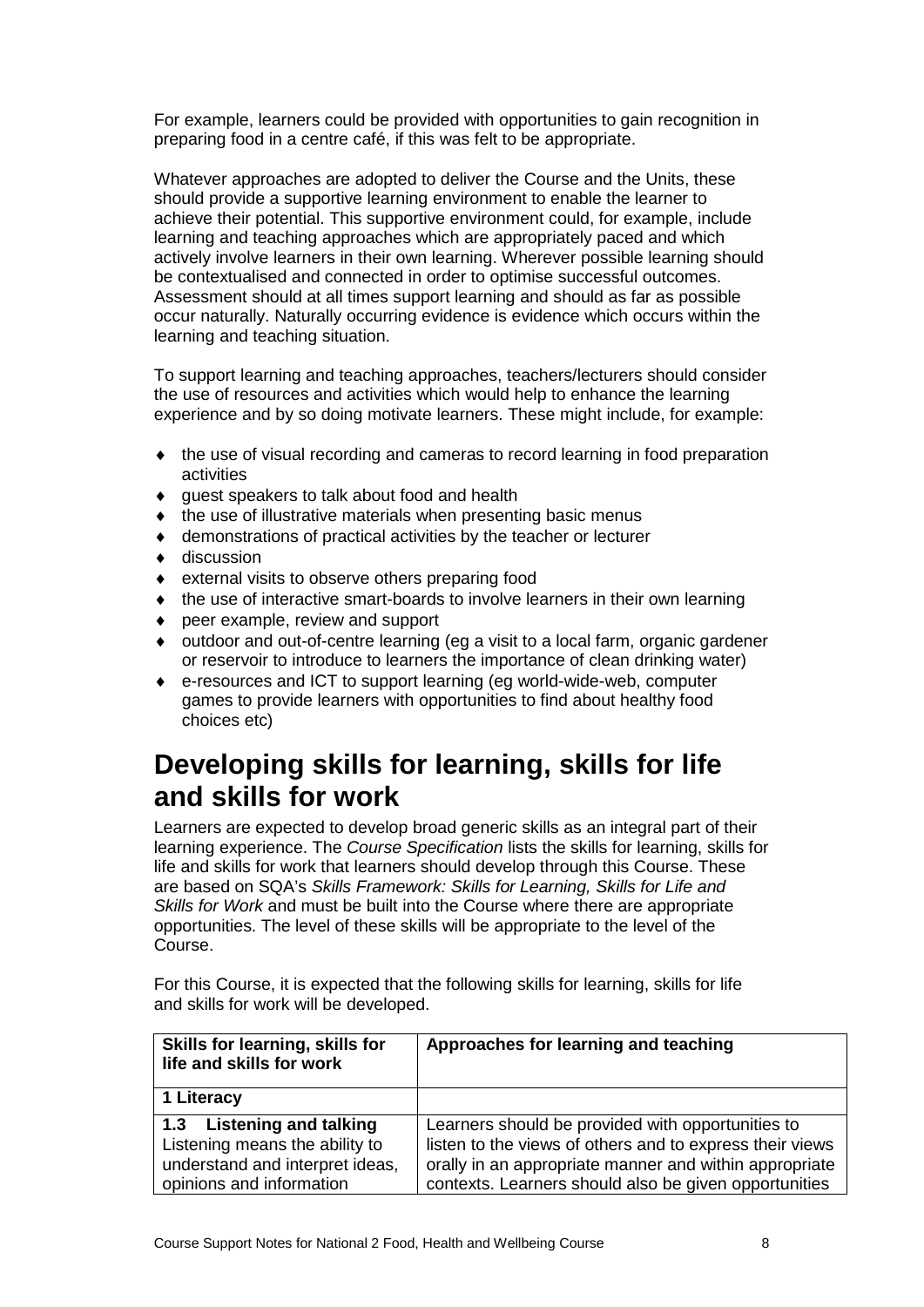For example, learners could be provided with opportunities to gain recognition in preparing food in a centre café, if this was felt to be appropriate.

Whatever approaches are adopted to deliver the Course and the Units, these should provide a supportive learning environment to enable the learner to achieve their potential. This supportive environment could, for example, include learning and teaching approaches which are appropriately paced and which actively involve learners in their own learning. Wherever possible learning should be contextualised and connected in order to optimise successful outcomes. Assessment should at all times support learning and should as far as possible occur naturally. Naturally occurring evidence is evidence which occurs within the learning and teaching situation.

To support learning and teaching approaches, teachers/lecturers should consider the use of resources and activities which would help to enhance the learning experience and by so doing motivate learners. These might include, for example:

- ♦ the use of visual recording and cameras to record learning in food preparation activities
- ♦ guest speakers to talk about food and health
- the use of illustrative materials when presenting basic menus
- ♦ demonstrations of practical activities by the teacher or lecturer
- ♦ discussion
- ♦ external visits to observe others preparing food
- ♦ the use of interactive smart-boards to involve learners in their own learning
- peer example, review and support
- outdoor and out-of-centre learning (eg a visit to a local farm, organic gardener or reservoir to introduce to learners the importance of clean drinking water)
- ♦ e-resources and ICT to support learning (eg world-wide-web, computer games to provide learners with opportunities to find about healthy food choices etc)

#### **Developing skills for learning, skills for life and skills for work**

Learners are expected to develop broad generic skills as an integral part of their learning experience. The *Course Specification* lists the skills for learning, skills for life and skills for work that learners should develop through this Course. These are based on SQA's *Skills Framework: Skills for Learning, Skills for Life and Skills for Work* and must be built into the Course where there are appropriate opportunities. The level of these skills will be appropriate to the level of the Course.

For this Course, it is expected that the following skills for learning, skills for life and skills for work will be developed.

| Skills for learning, skills for<br>life and skills for work | Approaches for learning and teaching                     |  |
|-------------------------------------------------------------|----------------------------------------------------------|--|
| 1 Literacy                                                  |                                                          |  |
| 1.3 Listening and talking                                   | Learners should be provided with opportunities to        |  |
| Listening means the ability to                              | listen to the views of others and to express their views |  |
| understand and interpret ideas,                             | orally in an appropriate manner and within appropriate   |  |
| opinions and information                                    | contexts. Learners should also be given opportunities    |  |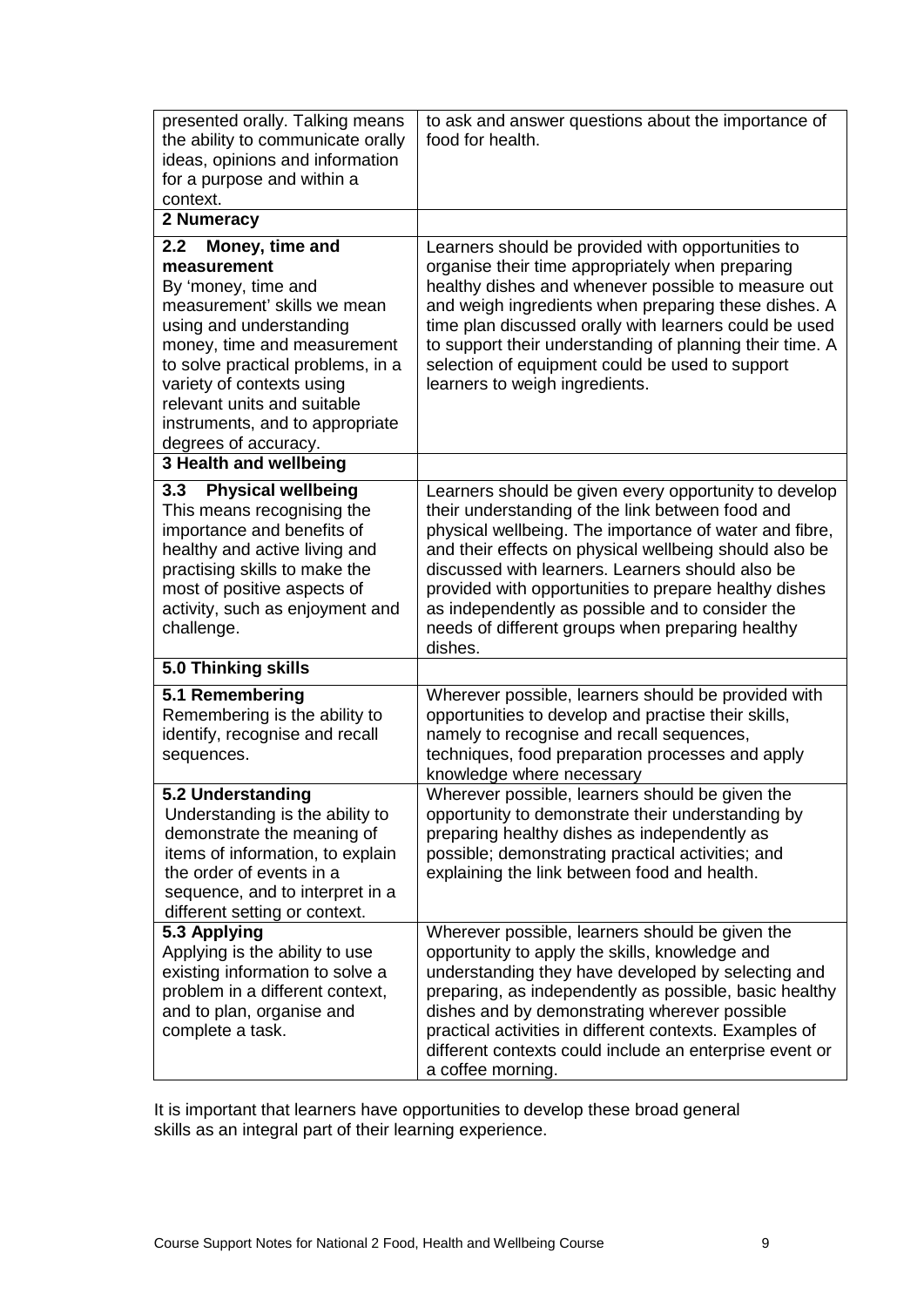| presented orally. Talking means<br>the ability to communicate orally<br>ideas, opinions and information<br>for a purpose and within a<br>context.                                                                                                                                                                 | to ask and answer questions about the importance of<br>food for health.                                                                                                                                                                                                                                                                                                                                                                                       |
|-------------------------------------------------------------------------------------------------------------------------------------------------------------------------------------------------------------------------------------------------------------------------------------------------------------------|---------------------------------------------------------------------------------------------------------------------------------------------------------------------------------------------------------------------------------------------------------------------------------------------------------------------------------------------------------------------------------------------------------------------------------------------------------------|
| 2 Numeracy                                                                                                                                                                                                                                                                                                        |                                                                                                                                                                                                                                                                                                                                                                                                                                                               |
| 2.2<br>Money, time and<br>measurement<br>By 'money, time and<br>measurement' skills we mean<br>using and understanding<br>money, time and measurement<br>to solve practical problems, in a<br>variety of contexts using<br>relevant units and suitable<br>instruments, and to appropriate<br>degrees of accuracy. | Learners should be provided with opportunities to<br>organise their time appropriately when preparing<br>healthy dishes and whenever possible to measure out<br>and weigh ingredients when preparing these dishes. A<br>time plan discussed orally with learners could be used<br>to support their understanding of planning their time. A<br>selection of equipment could be used to support<br>learners to weigh ingredients.                               |
| 3 Health and wellbeing                                                                                                                                                                                                                                                                                            |                                                                                                                                                                                                                                                                                                                                                                                                                                                               |
| <b>Physical wellbeing</b><br>3.3<br>This means recognising the<br>importance and benefits of<br>healthy and active living and<br>practising skills to make the<br>most of positive aspects of<br>activity, such as enjoyment and<br>challenge.                                                                    | Learners should be given every opportunity to develop<br>their understanding of the link between food and<br>physical wellbeing. The importance of water and fibre,<br>and their effects on physical wellbeing should also be<br>discussed with learners. Learners should also be<br>provided with opportunities to prepare healthy dishes<br>as independently as possible and to consider the<br>needs of different groups when preparing healthy<br>dishes. |
| 5.0 Thinking skills                                                                                                                                                                                                                                                                                               |                                                                                                                                                                                                                                                                                                                                                                                                                                                               |
| 5.1 Remembering<br>Remembering is the ability to<br>identify, recognise and recall<br>sequences.                                                                                                                                                                                                                  | Wherever possible, learners should be provided with<br>opportunities to develop and practise their skills,<br>namely to recognise and recall sequences,<br>techniques, food preparation processes and apply<br>knowledge where necessary                                                                                                                                                                                                                      |
| 5.2 Understanding<br>Understanding is the ability to<br>demonstrate the meaning of<br>items of information, to explain<br>the order of events in a<br>sequence, and to interpret in a<br>different setting or context.                                                                                            | Wherever possible, learners should be given the<br>opportunity to demonstrate their understanding by<br>preparing healthy dishes as independently as<br>possible; demonstrating practical activities; and<br>explaining the link between food and health.                                                                                                                                                                                                     |
| 5.3 Applying<br>Applying is the ability to use<br>existing information to solve a<br>problem in a different context,<br>and to plan, organise and<br>complete a task.                                                                                                                                             | Wherever possible, learners should be given the<br>opportunity to apply the skills, knowledge and<br>understanding they have developed by selecting and<br>preparing, as independently as possible, basic healthy<br>dishes and by demonstrating wherever possible<br>practical activities in different contexts. Examples of<br>different contexts could include an enterprise event or<br>a coffee morning.                                                 |

It is important that learners have opportunities to develop these broad general skills as an integral part of their learning experience.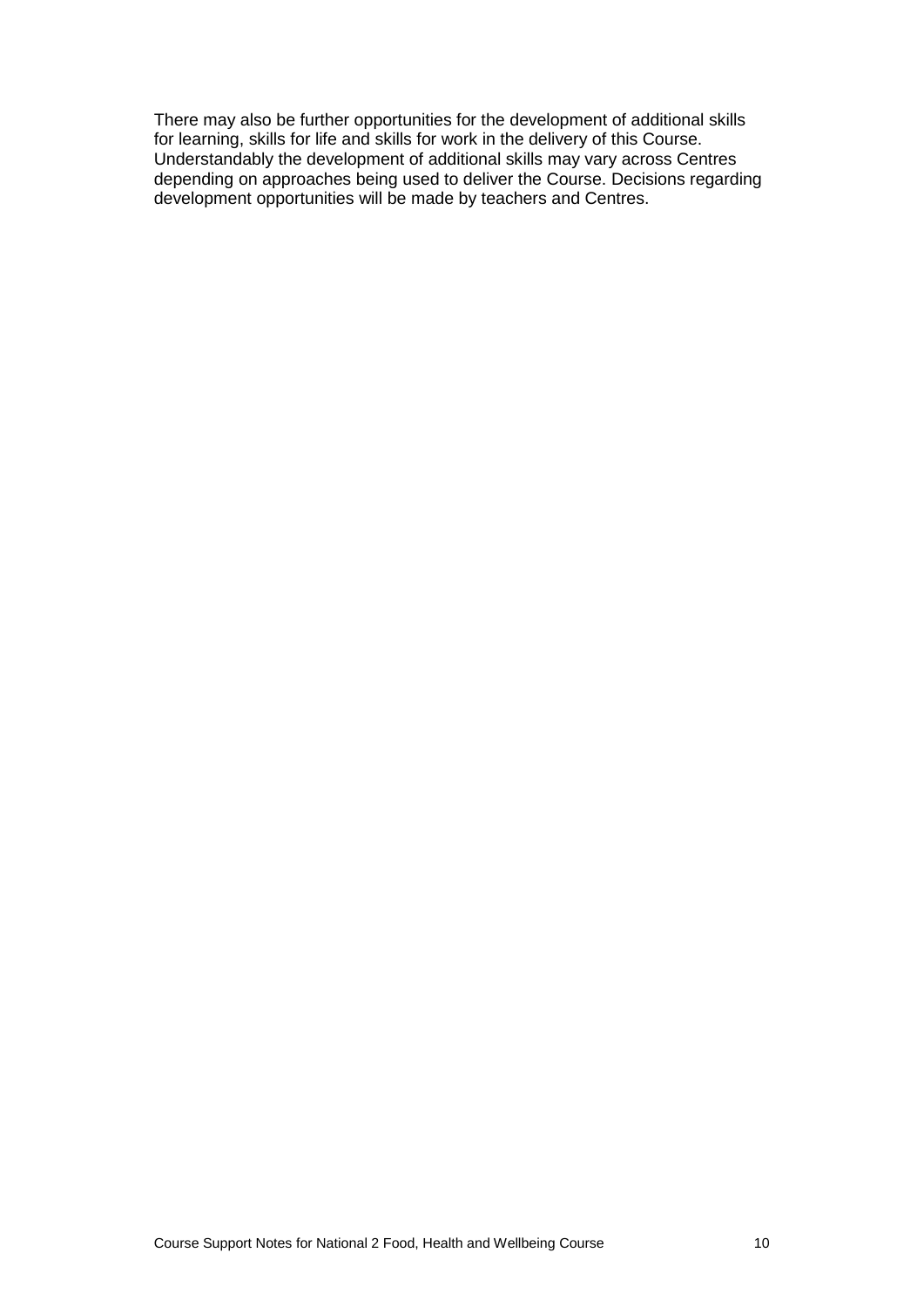There may also be further opportunities for the development of additional skills for learning, skills for life and skills for work in the delivery of this Course. Understandably the development of additional skills may vary across Centres depending on approaches being used to deliver the Course. Decisions regarding development opportunities will be made by teachers and Centres.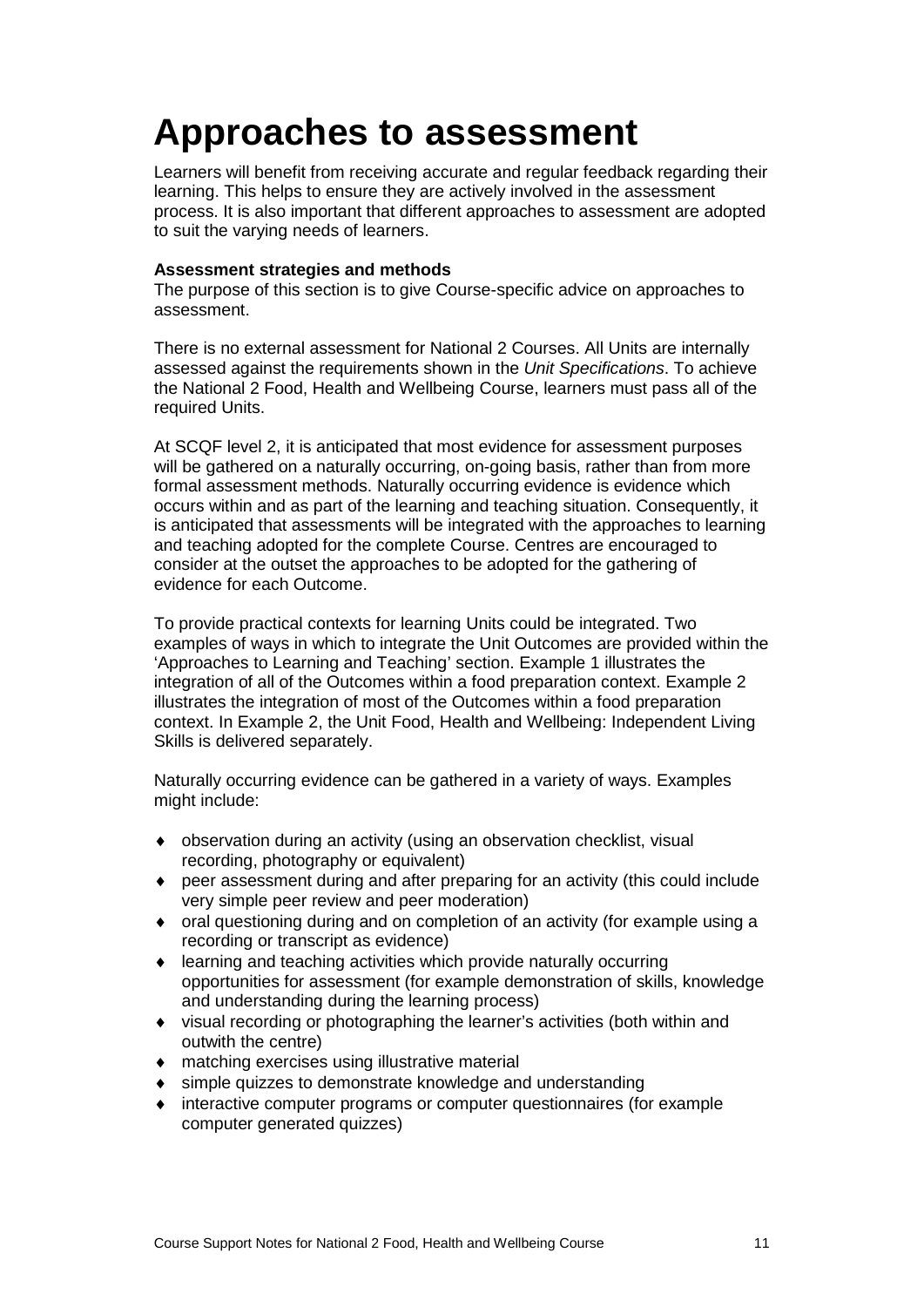### <span id="page-13-0"></span>**Approaches to assessment**

Learners will benefit from receiving accurate and regular feedback regarding their learning. This helps to ensure they are actively involved in the assessment process. It is also important that different approaches to assessment are adopted to suit the varying needs of learners.

#### **Assessment strategies and methods**

The purpose of this section is to give Course-specific advice on approaches to assessment.

There is no external assessment for National 2 Courses. All Units are internally assessed against the requirements shown in the *Unit Specifications*. To achieve the National 2 Food, Health and Wellbeing Course, learners must pass all of the required Units.

At SCQF level 2, it is anticipated that most evidence for assessment purposes will be gathered on a naturally occurring, on-going basis, rather than from more formal assessment methods. Naturally occurring evidence is evidence which occurs within and as part of the learning and teaching situation. Consequently, it is anticipated that assessments will be integrated with the approaches to learning and teaching adopted for the complete Course. Centres are encouraged to consider at the outset the approaches to be adopted for the gathering of evidence for each Outcome.

To provide practical contexts for learning Units could be integrated. Two examples of ways in which to integrate the Unit Outcomes are provided within the 'Approaches to Learning and Teaching' section. Example 1 illustrates the integration of all of the Outcomes within a food preparation context. Example 2 illustrates the integration of most of the Outcomes within a food preparation context. In Example 2, the Unit Food, Health and Wellbeing: Independent Living Skills is delivered separately.

Naturally occurring evidence can be gathered in a variety of ways. Examples might include:

- ♦ observation during an activity (using an observation checklist, visual recording, photography or equivalent)
- ♦ peer assessment during and after preparing for an activity (this could include very simple peer review and peer moderation)
- ♦ oral questioning during and on completion of an activity (for example using a recording or transcript as evidence)
- ♦ learning and teaching activities which provide naturally occurring opportunities for assessment (for example demonstration of skills, knowledge and understanding during the learning process)
- ♦ visual recording or photographing the learner's activities (both within and outwith the centre)
- ♦ matching exercises using illustrative material
- ♦ simple quizzes to demonstrate knowledge and understanding
- interactive computer programs or computer questionnaires (for example computer generated quizzes)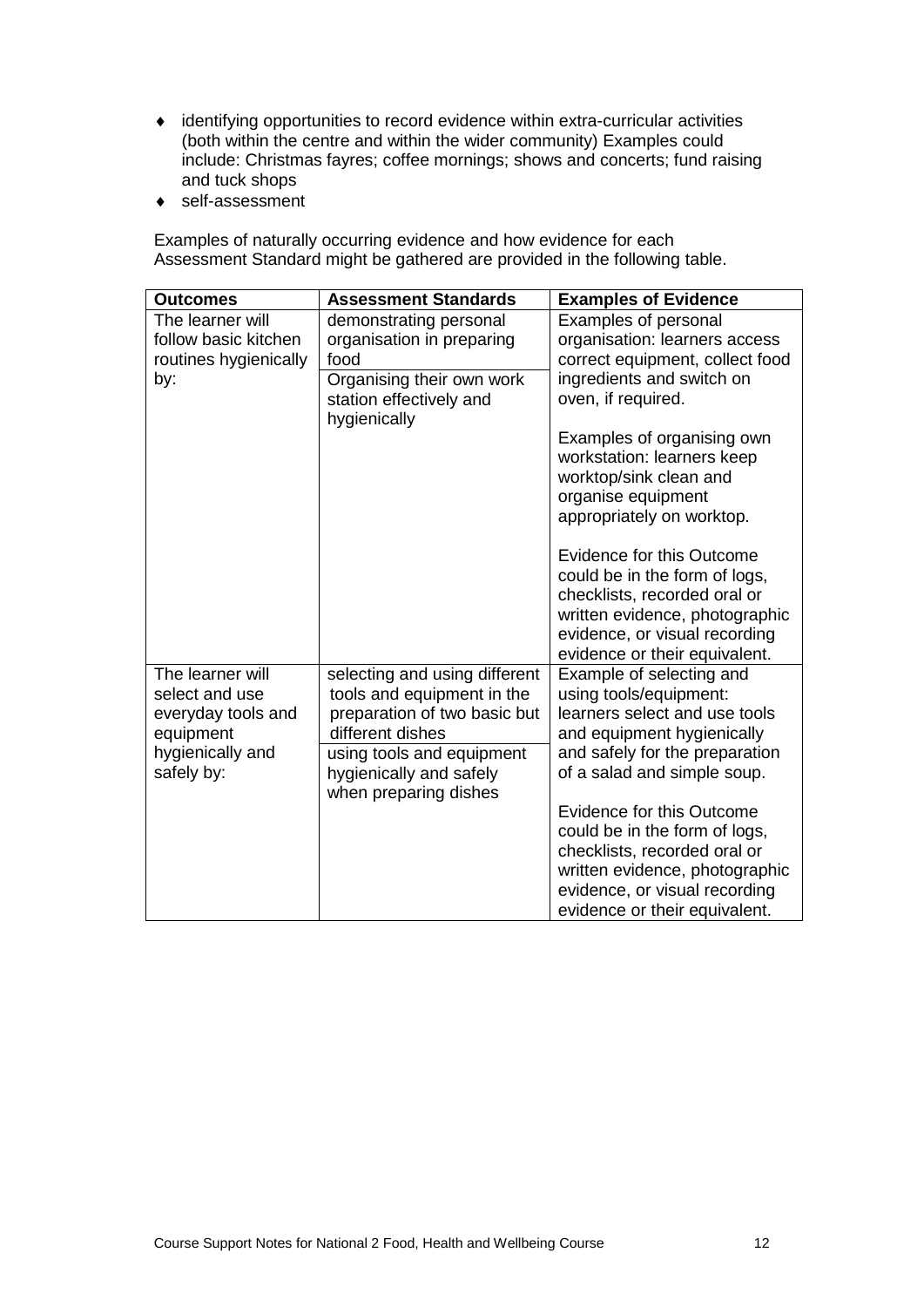- ♦ identifying opportunities to record evidence within extra-curricular activities (both within the centre and within the wider community) Examples could include: Christmas fayres; coffee mornings; shows and concerts; fund raising and tuck shops
- ♦ self-assessment

Examples of naturally occurring evidence and how evidence for each Assessment Standard might be gathered are provided in the following table.

| <b>Outcomes</b>       | <b>Assessment Standards</b>                      | <b>Examples of Evidence</b>      |
|-----------------------|--------------------------------------------------|----------------------------------|
| The learner will      | demonstrating personal                           | Examples of personal             |
| follow basic kitchen  | organisation in preparing                        | organisation: learners access    |
| routines hygienically | food                                             | correct equipment, collect food  |
| by:                   | Organising their own work                        | ingredients and switch on        |
|                       | station effectively and                          | oven, if required.               |
|                       | hygienically                                     |                                  |
|                       |                                                  | Examples of organising own       |
|                       |                                                  | workstation: learners keep       |
|                       |                                                  | worktop/sink clean and           |
|                       |                                                  | organise equipment               |
|                       |                                                  | appropriately on worktop.        |
|                       |                                                  | <b>Evidence for this Outcome</b> |
|                       |                                                  | could be in the form of logs,    |
|                       |                                                  | checklists, recorded oral or     |
|                       |                                                  | written evidence, photographic   |
|                       |                                                  | evidence, or visual recording    |
|                       |                                                  | evidence or their equivalent.    |
| The learner will      | selecting and using different                    | Example of selecting and         |
| select and use        | tools and equipment in the                       | using tools/equipment:           |
| everyday tools and    | preparation of two basic but                     | learners select and use tools    |
| equipment             | different dishes                                 | and equipment hygienically       |
| hygienically and      | using tools and equipment                        | and safely for the preparation   |
| safely by:            | hygienically and safely<br>when preparing dishes | of a salad and simple soup.      |
|                       |                                                  | <b>Evidence for this Outcome</b> |
|                       |                                                  | could be in the form of logs,    |
|                       |                                                  | checklists, recorded oral or     |
|                       |                                                  | written evidence, photographic   |
|                       |                                                  | evidence, or visual recording    |
|                       |                                                  | evidence or their equivalent.    |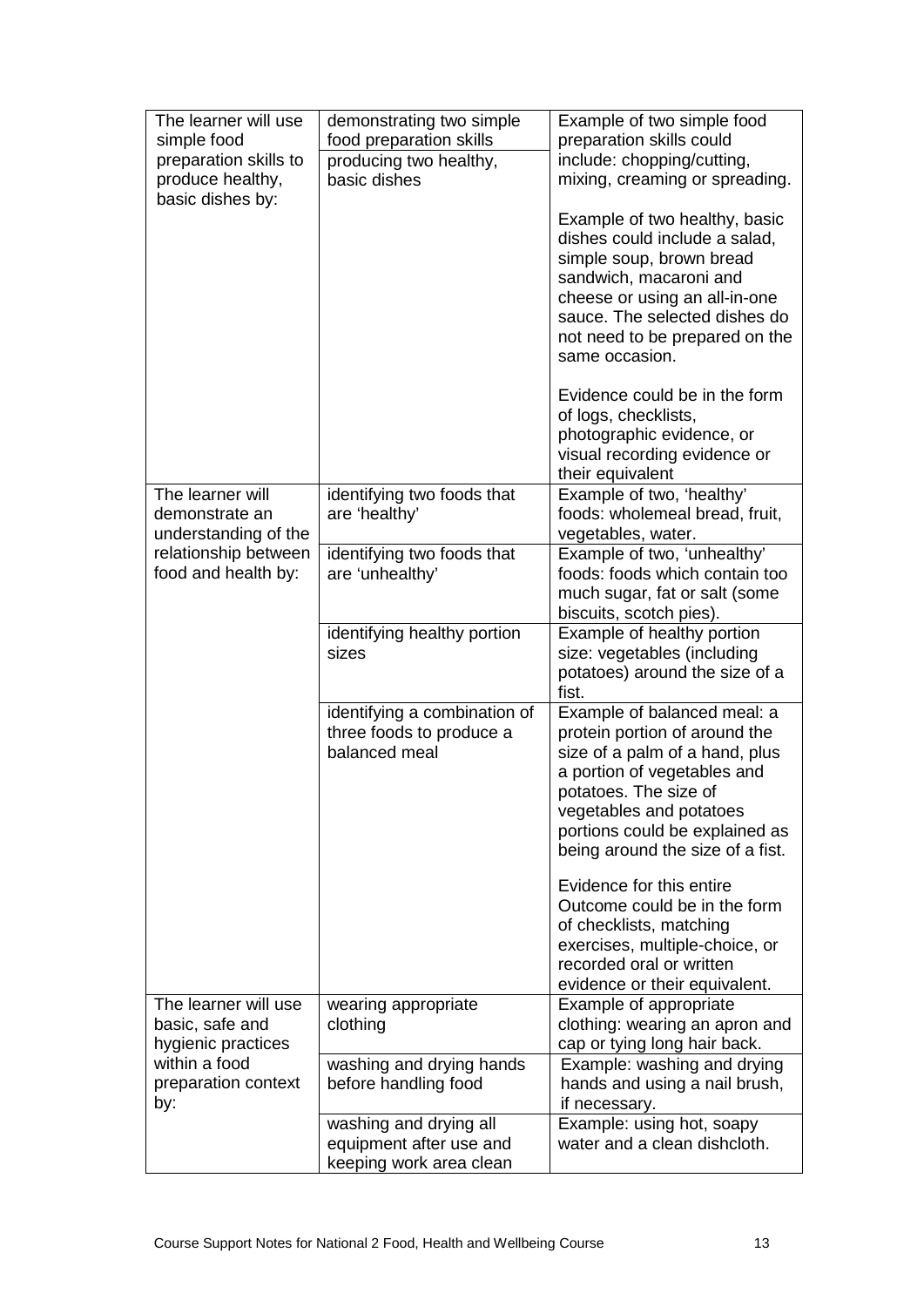| The learner will use<br>simple food<br>preparation skills to<br>produce healthy,<br>basic dishes by:         | demonstrating two simple<br>food preparation skills<br>producing two healthy,<br>basic dishes | Example of two simple food<br>preparation skills could<br>include: chopping/cutting,<br>mixing, creaming or spreading.<br>Example of two healthy, basic<br>dishes could include a salad,<br>simple soup, brown bread<br>sandwich, macaroni and<br>cheese or using an all-in-one<br>sauce. The selected dishes do<br>not need to be prepared on the<br>same occasion.<br>Evidence could be in the form<br>of logs, checklists, |
|--------------------------------------------------------------------------------------------------------------|-----------------------------------------------------------------------------------------------|-------------------------------------------------------------------------------------------------------------------------------------------------------------------------------------------------------------------------------------------------------------------------------------------------------------------------------------------------------------------------------------------------------------------------------|
|                                                                                                              |                                                                                               | photographic evidence, or<br>visual recording evidence or<br>their equivalent                                                                                                                                                                                                                                                                                                                                                 |
| The learner will<br>demonstrate an<br>understanding of the                                                   | identifying two foods that<br>are 'healthy'                                                   | Example of two, 'healthy'<br>foods: wholemeal bread, fruit,<br>vegetables, water.                                                                                                                                                                                                                                                                                                                                             |
| relationship between<br>food and health by:                                                                  | identifying two foods that<br>are 'unhealthy'                                                 | Example of two, 'unhealthy'<br>foods: foods which contain too<br>much sugar, fat or salt (some<br>biscuits, scotch pies).                                                                                                                                                                                                                                                                                                     |
|                                                                                                              | identifying healthy portion<br>sizes                                                          | Example of healthy portion<br>size: vegetables (including<br>potatoes) around the size of a<br>fist.                                                                                                                                                                                                                                                                                                                          |
|                                                                                                              | identifying a combination of<br>three foods to produce a<br>balanced meal                     | Example of balanced meal: a<br>protein portion of around the<br>size of a palm of a hand, plus<br>a portion of vegetables and<br>potatoes. The size of<br>vegetables and potatoes<br>portions could be explained as<br>being around the size of a fist.                                                                                                                                                                       |
|                                                                                                              |                                                                                               | Evidence for this entire<br>Outcome could be in the form<br>of checklists, matching<br>exercises, multiple-choice, or<br>recorded oral or written<br>evidence or their equivalent.                                                                                                                                                                                                                                            |
| The learner will use<br>basic, safe and<br>hygienic practices<br>within a food<br>preparation context<br>by: | wearing appropriate<br>clothing                                                               | Example of appropriate<br>clothing: wearing an apron and<br>cap or tying long hair back.                                                                                                                                                                                                                                                                                                                                      |
|                                                                                                              | washing and drying hands<br>before handling food                                              | Example: washing and drying<br>hands and using a nail brush,<br>if necessary.                                                                                                                                                                                                                                                                                                                                                 |
|                                                                                                              | washing and drying all<br>equipment after use and<br>keeping work area clean                  | Example: using hot, soapy<br>water and a clean dishcloth.                                                                                                                                                                                                                                                                                                                                                                     |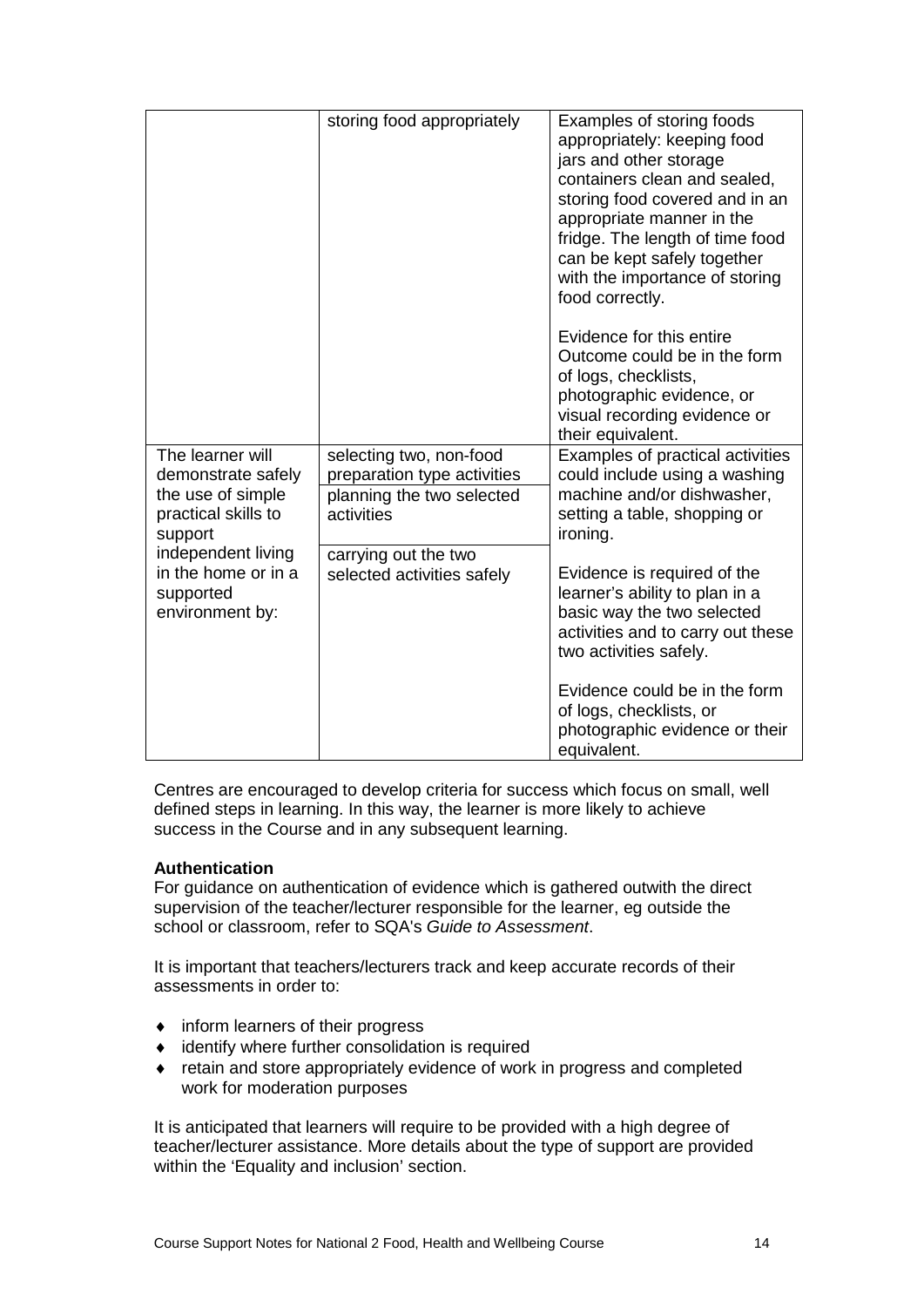|                                                                                               | storing food appropriately                                                                        | Examples of storing foods<br>appropriately: keeping food<br>jars and other storage<br>containers clean and sealed,<br>storing food covered and in an<br>appropriate manner in the<br>fridge. The length of time food<br>can be kept safely together<br>with the importance of storing<br>food correctly. |
|-----------------------------------------------------------------------------------------------|---------------------------------------------------------------------------------------------------|----------------------------------------------------------------------------------------------------------------------------------------------------------------------------------------------------------------------------------------------------------------------------------------------------------|
|                                                                                               |                                                                                                   | Evidence for this entire<br>Outcome could be in the form<br>of logs, checklists,<br>photographic evidence, or<br>visual recording evidence or<br>their equivalent.                                                                                                                                       |
| The learner will<br>demonstrate safely<br>the use of simple<br>practical skills to<br>support | selecting two, non-food<br>preparation type activities<br>planning the two selected<br>activities | Examples of practical activities<br>could include using a washing<br>machine and/or dishwasher,<br>setting a table, shopping or<br>ironing.                                                                                                                                                              |
| independent living<br>in the home or in a<br>supported<br>environment by:                     | carrying out the two<br>selected activities safely                                                | Evidence is required of the<br>learner's ability to plan in a<br>basic way the two selected<br>activities and to carry out these<br>two activities safely.                                                                                                                                               |
|                                                                                               |                                                                                                   | Evidence could be in the form<br>of logs, checklists, or<br>photographic evidence or their<br>equivalent.                                                                                                                                                                                                |

Centres are encouraged to develop criteria for success which focus on small, well defined steps in learning. In this way, the learner is more likely to achieve success in the Course and in any subsequent learning.

#### **Authentication**

For guidance on authentication of evidence which is gathered outwith the direct supervision of the teacher/lecturer responsible for the learner, eg outside the school or classroom, refer to SQA's *Guide to Assessment*.

It is important that teachers/lecturers track and keep accurate records of their assessments in order to:

- ♦ inform learners of their progress
- ♦ identify where further consolidation is required
- ♦ retain and store appropriately evidence of work in progress and completed work for moderation purposes

It is anticipated that learners will require to be provided with a high degree of teacher/lecturer assistance. More details about the type of support are provided within the 'Equality and inclusion' section.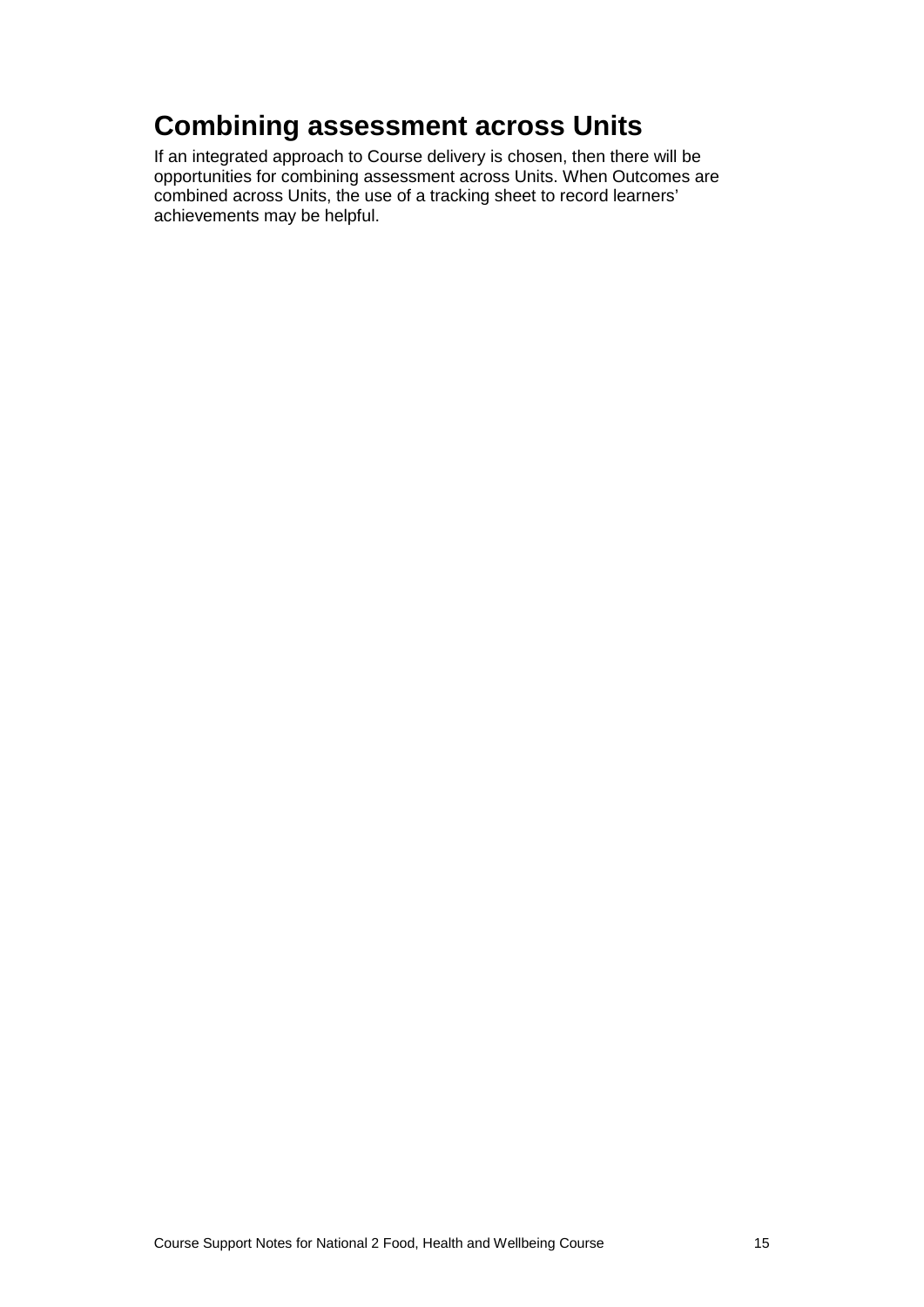#### **Combining assessment across Units**

If an integrated approach to Course delivery is chosen, then there will be opportunities for combining assessment across Units. When Outcomes are combined across Units, the use of a tracking sheet to record learners' achievements may be helpful.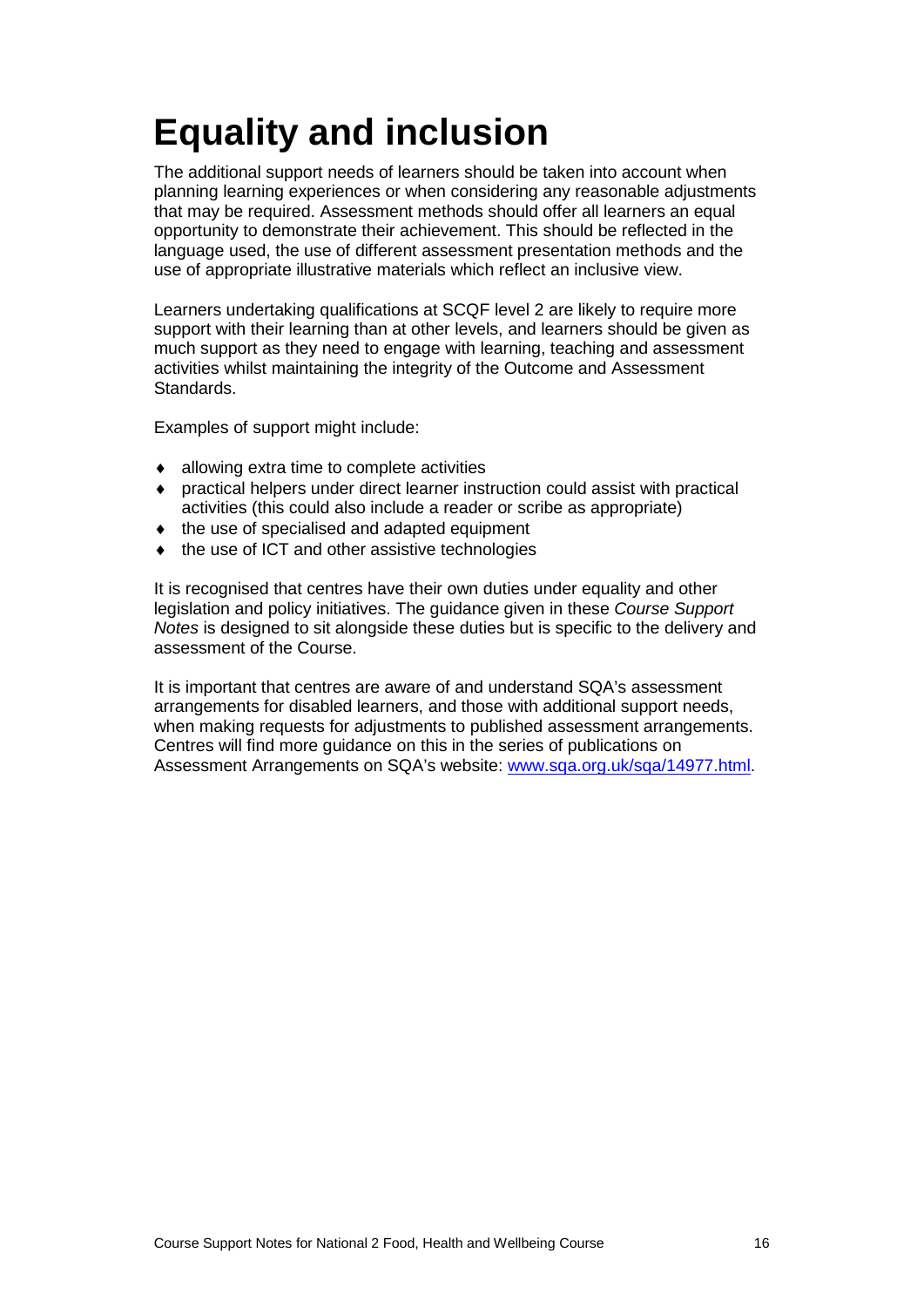### <span id="page-18-0"></span>**Equality and inclusion**

The additional support needs of learners should be taken into account when planning learning experiences or when considering any reasonable adjustments that may be required. Assessment methods should offer all learners an equal opportunity to demonstrate their achievement. This should be reflected in the language used, the use of different assessment presentation methods and the use of appropriate illustrative materials which reflect an inclusive view.

Learners undertaking qualifications at SCQF level 2 are likely to require more support with their learning than at other levels, and learners should be given as much support as they need to engage with learning, teaching and assessment activities whilst maintaining the integrity of the Outcome and Assessment Standards.

Examples of support might include:

- ♦ allowing extra time to complete activities
- practical helpers under direct learner instruction could assist with practical activities (this could also include a reader or scribe as appropriate)
- ♦ the use of specialised and adapted equipment
- the use of ICT and other assistive technologies

It is recognised that centres have their own duties under equality and other legislation and policy initiatives. The guidance given in these *Course Support Notes* is designed to sit alongside these duties but is specific to the delivery and assessment of the Course.

It is important that centres are aware of and understand SQA's assessment arrangements for disabled learners, and those with additional support needs, when making requests for adjustments to published assessment arrangements. Centres will find more guidance on this in the series of publications on Assessment Arrangements on SQA's website: [www.sqa.org.uk/sqa/14977.html.](http://www.sqa.org.uk/sqa/14977.html)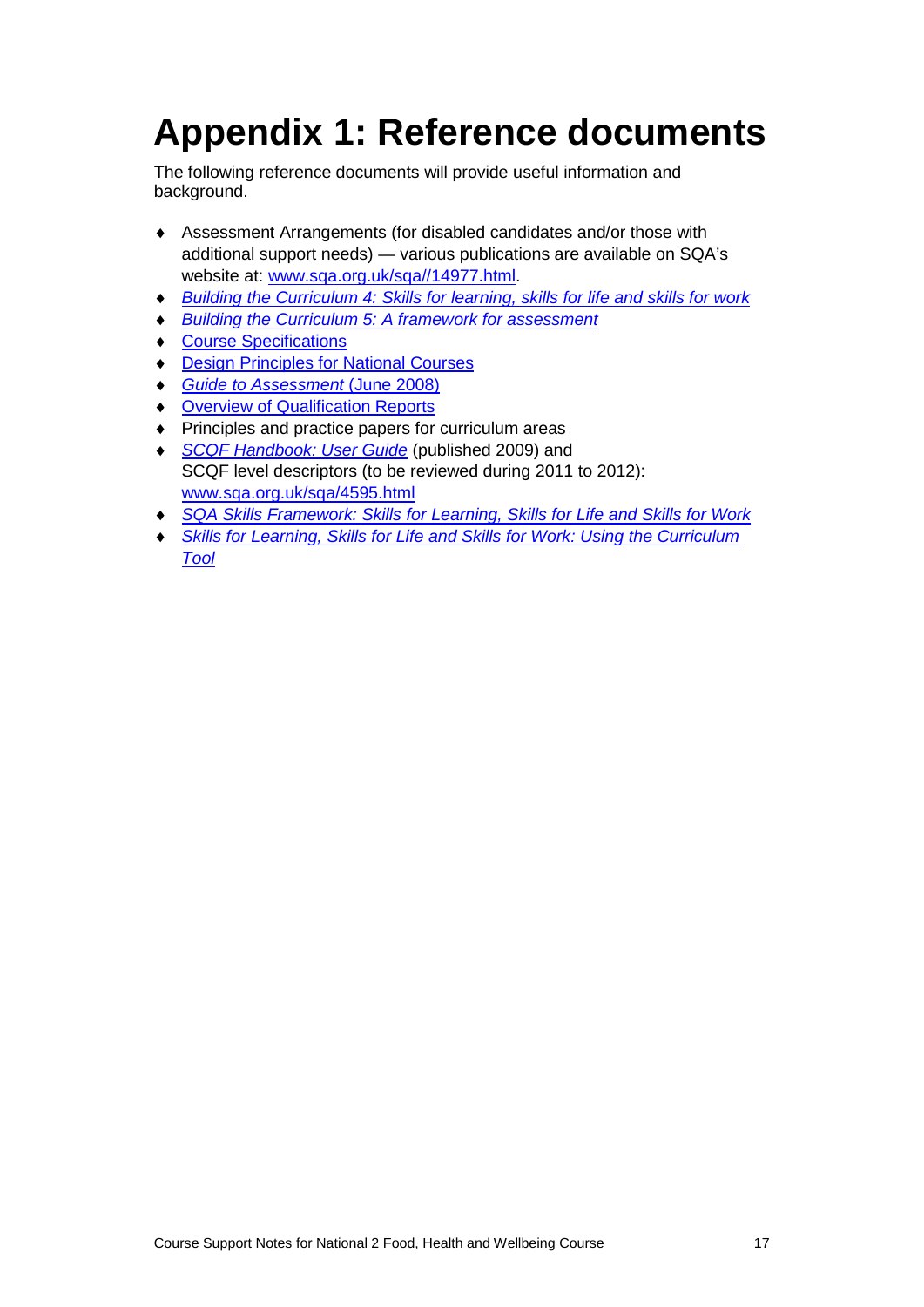## <span id="page-19-0"></span>**Appendix 1: Reference documents**

The following reference documents will provide useful information and background.

- ♦ Assessment Arrangements (for disabled candidates and/or those with additional support needs) — various publications are available on SQA's website at: [www.sqa.org.uk/sqa//14977.html.](http://www.sqa.org.uk/sqa/14977.html)
- ♦ *[Building the Curriculum 4: Skills for learning, skills for life and skills for work](http://www.ltscotland.org.uk/buildingyourcurriculum/policycontext/btc/btc4.asp)*
- **[Building the Curriculum 5: A framework for assessment](http://www.ltscotland.org.uk/buildingyourcurriculum/policycontext/btc/btc5.asp)**
- ♦ [Course Specifications](http://www.sqa.org.uk/sqa/46327.2947.html)
- ♦ [Design Principles for National Courses](http://www.sqa.org.uk/sqa/42135.2629.html)
- ♦ *[Guide to Assessment](http://www.sqa.org.uk/files_ccc/GuideToAssessment.pdf)* (June 2008)
- ♦ [Overview of Qualification Reports](http://www.sqa.org.uk/sqa/42467.2792.html)
- ♦ Principles and practice papers for curriculum areas
- ♦ *[SCQF Handbook: User Guide](http://www.scqf.org.uk/Resources)* (published 2009) and SCQF level descriptors (to be reviewed during 2011 to 2012): [www.sqa.org.uk/sqa/4595.html](http://www.sqa.org.uk/sqa/4595.html)
- ♦ *[SQA Skills Framework: Skills for Learning, Skills for Life and Skills for Work](http://www.sqa.org.uk/sqa/45395.html)*
- **Skills for Learning, Skills for Life and Skills for Work: Using the Curriculum** *[Tool](http://www.sqa.org.uk/sqa/45395.html)*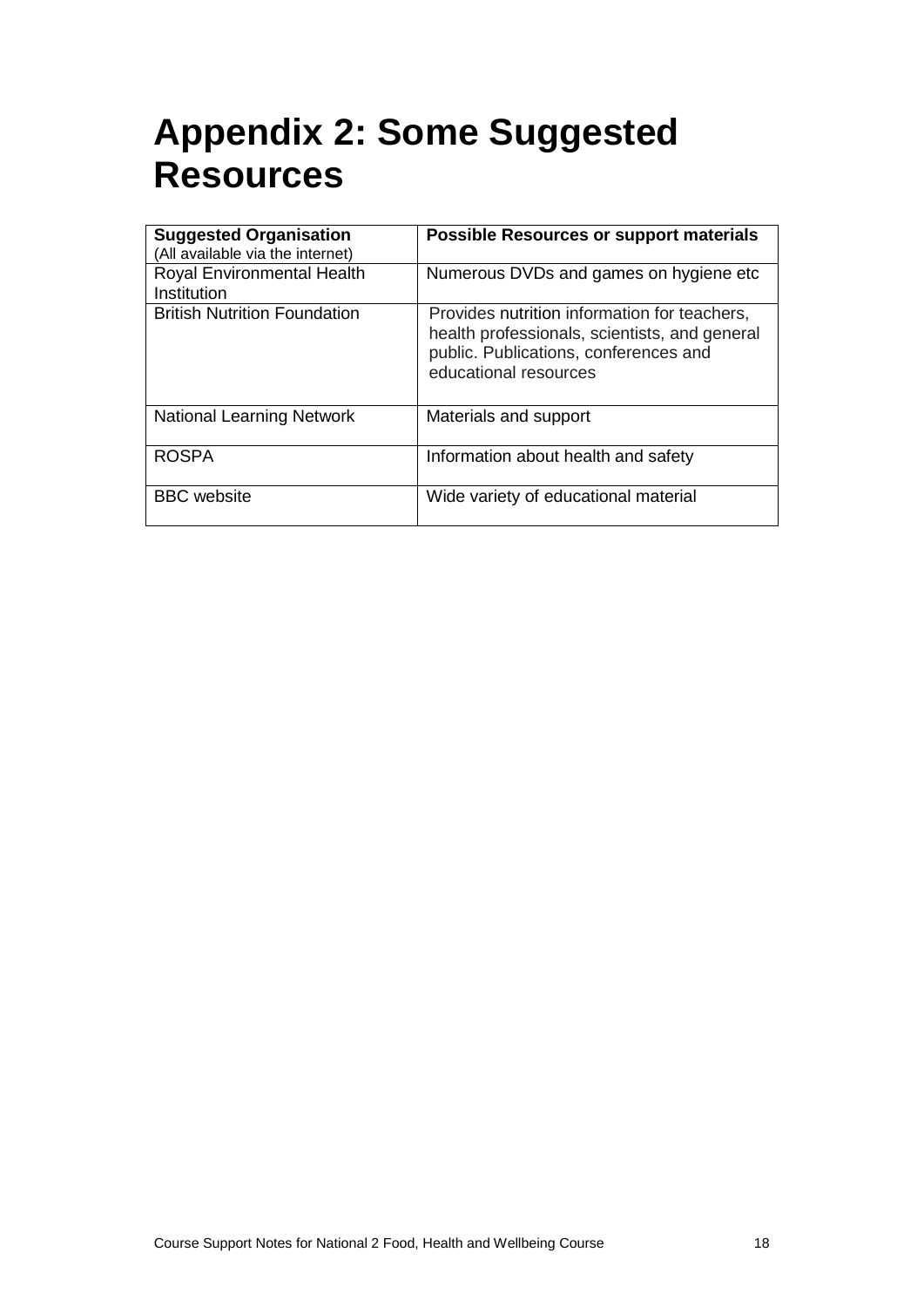### <span id="page-20-0"></span>**Appendix 2: Some Suggested Resources**

| <b>Suggested Organisation</b>       | <b>Possible Resources or support materials</b>                                                                                                                  |
|-------------------------------------|-----------------------------------------------------------------------------------------------------------------------------------------------------------------|
| (All available via the internet)    |                                                                                                                                                                 |
| Royal Environmental Health          | Numerous DVDs and games on hygiene etc                                                                                                                          |
| Institution                         |                                                                                                                                                                 |
| <b>British Nutrition Foundation</b> | Provides nutrition information for teachers,<br>health professionals, scientists, and general<br>public. Publications, conferences and<br>educational resources |
| <b>National Learning Network</b>    | Materials and support                                                                                                                                           |
| <b>ROSPA</b>                        | Information about health and safety                                                                                                                             |
| <b>BBC</b> website                  | Wide variety of educational material                                                                                                                            |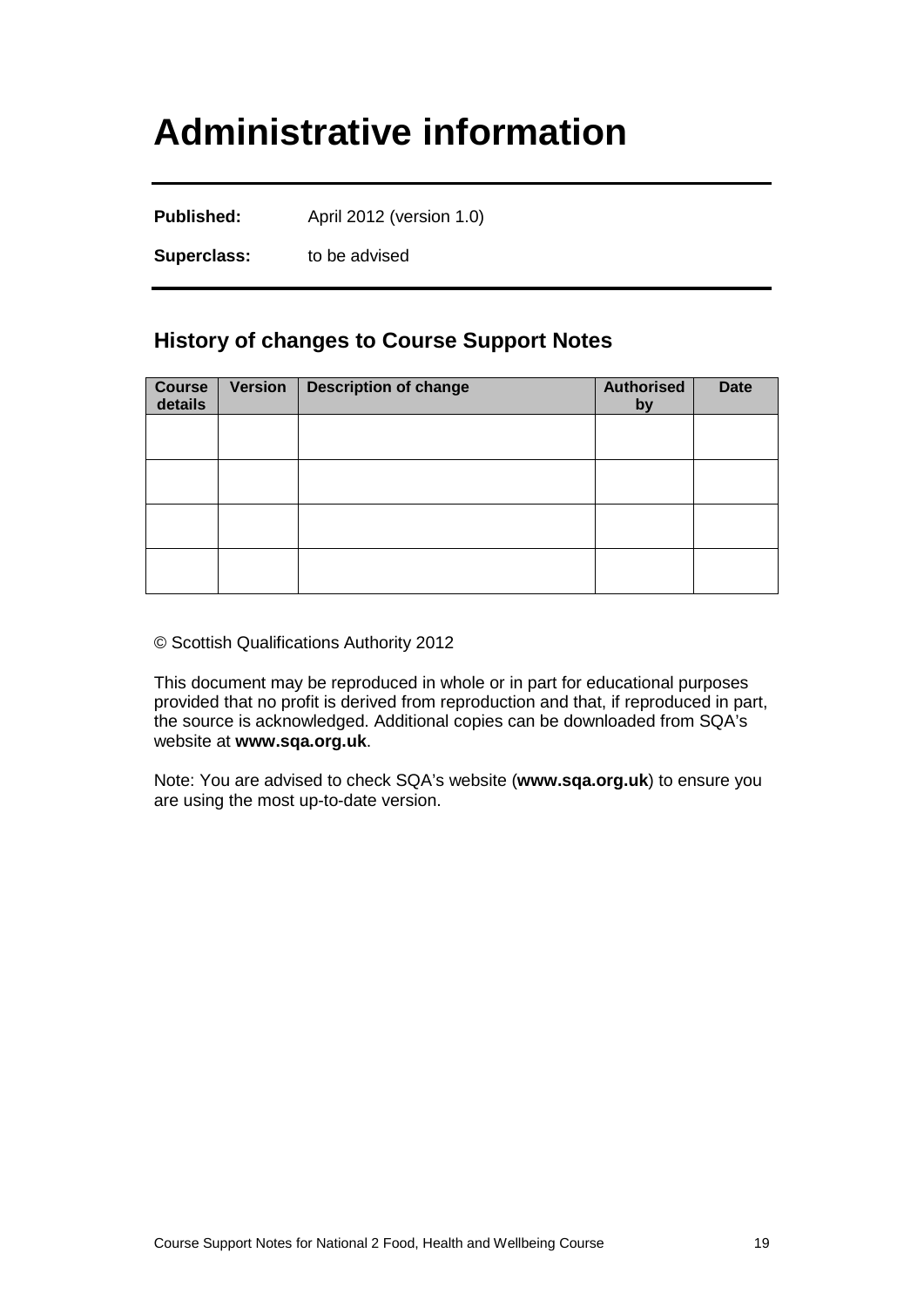### <span id="page-21-0"></span>**Administrative information**

Published: April 2012 (version 1.0)

**Superclass:** to be advised

#### **History of changes to Course Support Notes**

| <b>Course</b><br>details | <b>Version</b> | <b>Description of change</b> | <b>Authorised</b><br>by | <b>Date</b> |
|--------------------------|----------------|------------------------------|-------------------------|-------------|
|                          |                |                              |                         |             |
|                          |                |                              |                         |             |
|                          |                |                              |                         |             |
|                          |                |                              |                         |             |

© Scottish Qualifications Authority 2012

This document may be reproduced in whole or in part for educational purposes provided that no profit is derived from reproduction and that, if reproduced in part, the source is acknowledged. Additional copies can be downloaded from SQA's website at **[www.sqa.org.uk](http://www.sqa.org.uk/)**.

Note: You are advised to check SQA's website (**[www.sqa.org.uk](http://www.sqa.org.uk/)**) to ensure you are using the most up-to-date version.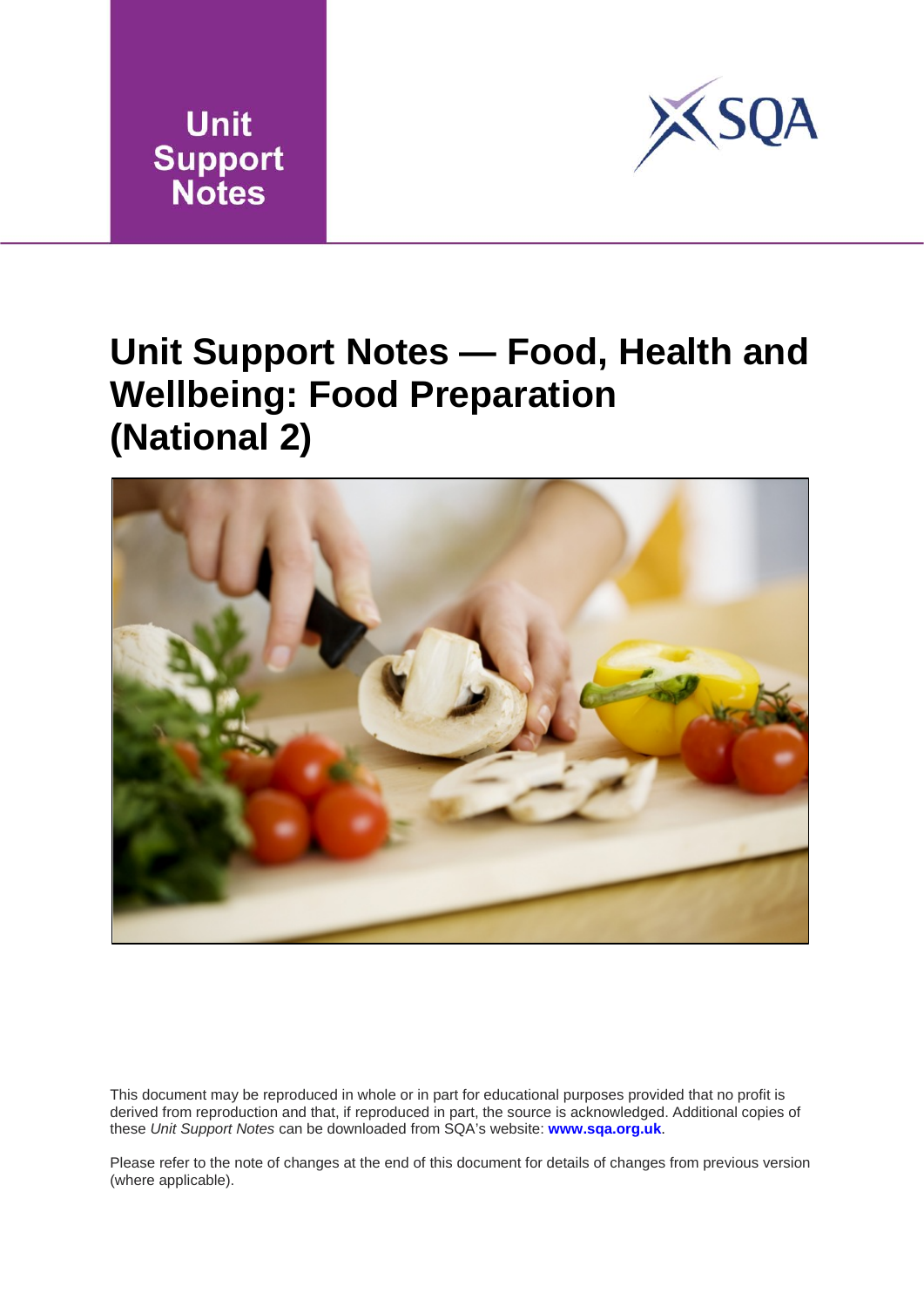



### **Unit Support Notes — Food, Health and Wellbeing: Food Preparation (National 2)**



This document may be reproduced in whole or in part for educational purposes provided that no profit is derived from reproduction and that, if reproduced in part, the source is acknowledged. Additional copies of these *Unit Support Notes* can be downloaded from SQA's website: **[www.sqa.org.uk](http://www.sqa.org.uk/)**.

Please refer to the note of changes at the end of this document for details of changes from previous version (where applicable).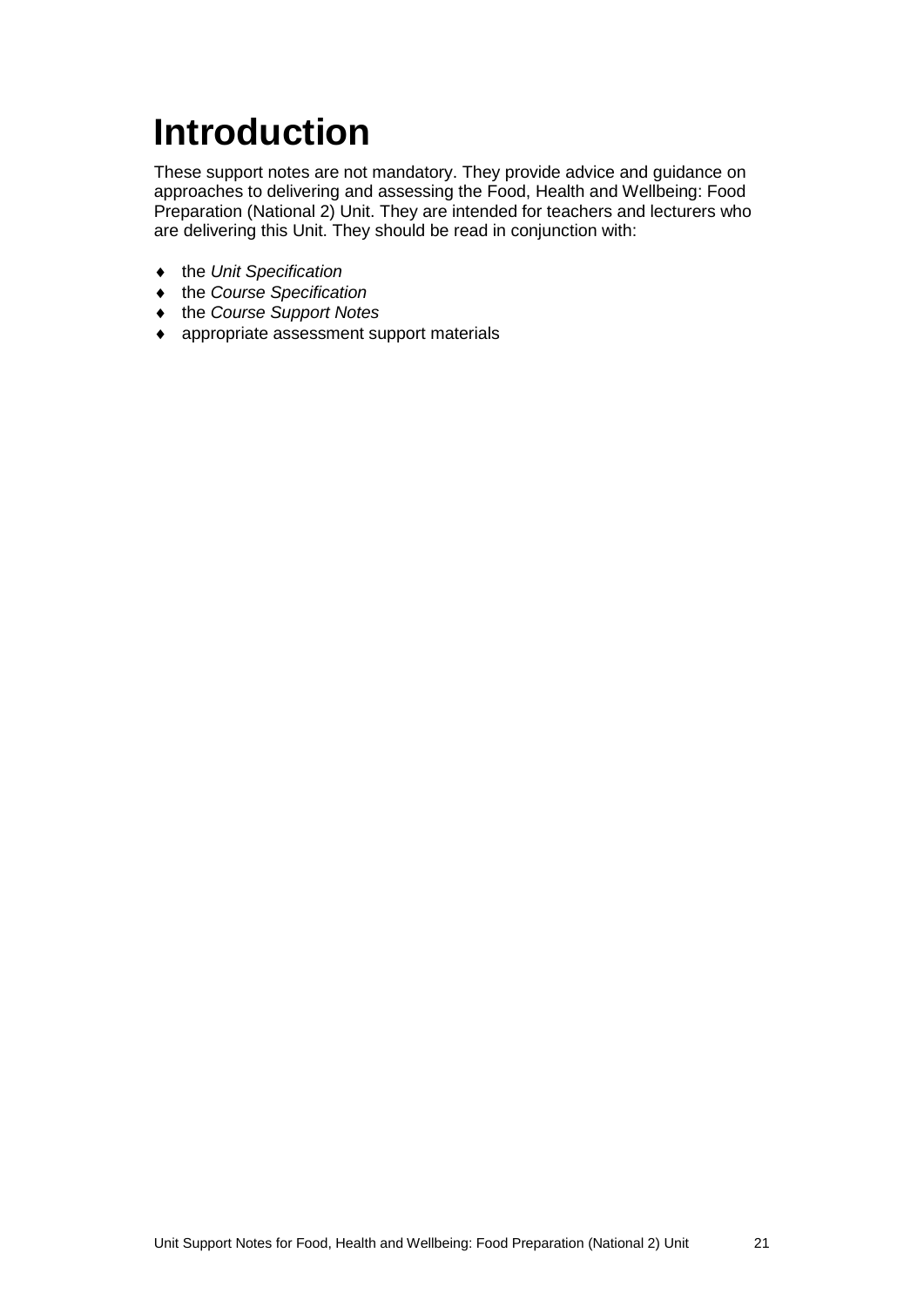# <span id="page-23-0"></span>**Introduction**

These support notes are not mandatory. They provide advice and guidance on approaches to delivering and assessing the Food, Health and Wellbeing: Food Preparation (National 2) Unit. They are intended for teachers and lecturers who are delivering this Unit. They should be read in conjunction with:

- ♦ the *Unit Specification*
- ♦ the *Course Specification*
- ♦ the *Course Support Notes*
- ♦ appropriate assessment support materials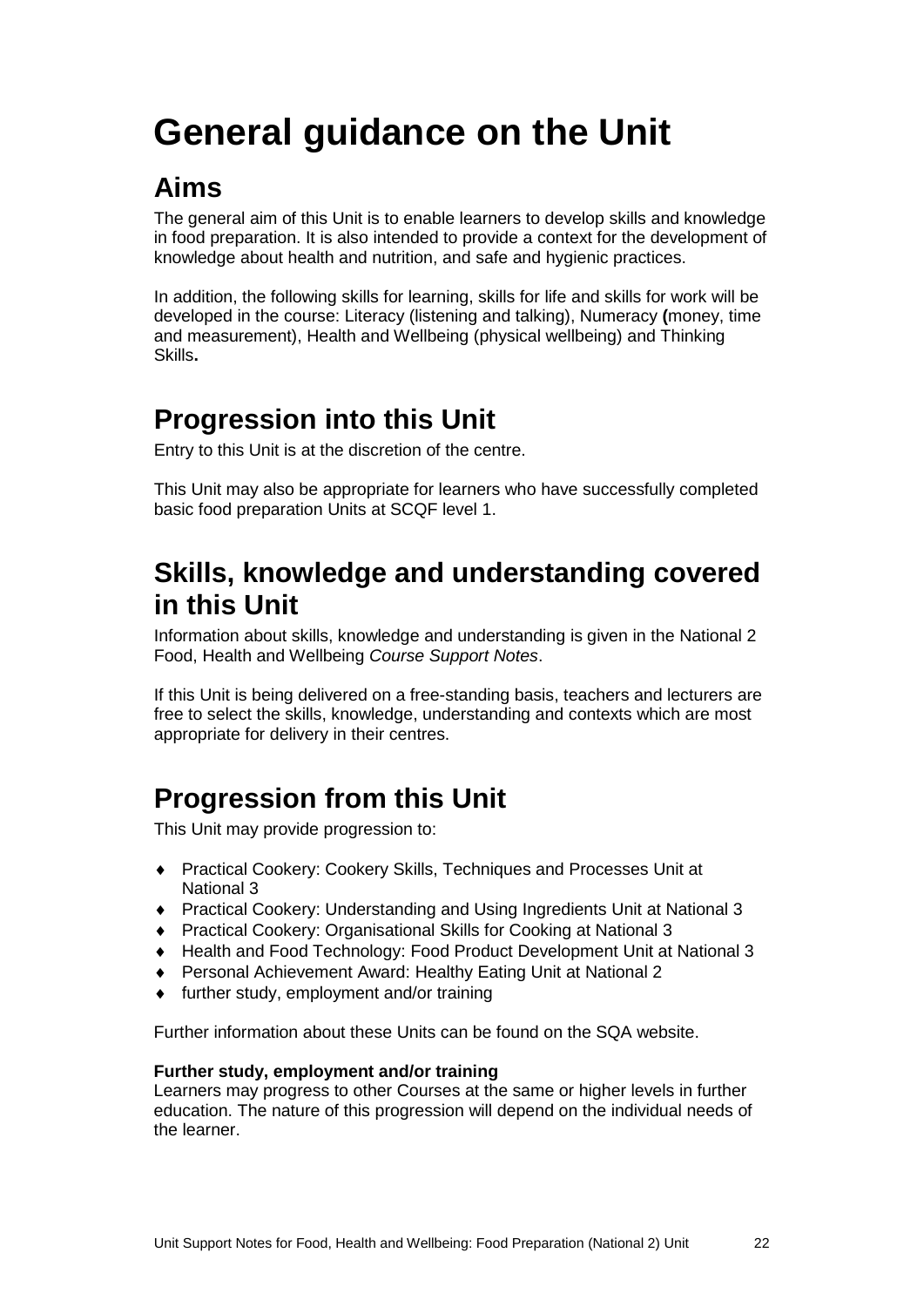# <span id="page-24-0"></span>**General guidance on the Unit**

### **Aims**

The general aim of this Unit is to enable learners to develop skills and knowledge in food preparation. It is also intended to provide a context for the development of knowledge about health and nutrition, and safe and hygienic practices.

In addition, the following skills for learning, skills for life and skills for work will be developed in the course: Literacy (listening and talking), Numeracy **(**money, time and measurement), Health and Wellbeing (physical wellbeing) and Thinking Skills**.**

#### **Progression into this Unit**

Entry to this Unit is at the discretion of the centre.

This Unit may also be appropriate for learners who have successfully completed basic food preparation Units at SCQF level 1.

#### **Skills, knowledge and understanding covered in this Unit**

Information about skills, knowledge and understanding is given in the National 2 Food, Health and Wellbeing *Course Support Notes*.

If this Unit is being delivered on a free-standing basis, teachers and lecturers are free to select the skills, knowledge, understanding and contexts which are most appropriate for delivery in their centres.

### **Progression from this Unit**

This Unit may provide progression to:

- ♦ Practical Cookery: Cookery Skills, Techniques and Processes Unit at National 3
- ♦ Practical Cookery: Understanding and Using Ingredients Unit at National 3
- ♦ Practical Cookery: Organisational Skills for Cooking at National 3
- ♦ Health and Food Technology: Food Product Development Unit at National 3
- ♦ Personal Achievement Award: Healthy Eating Unit at National 2
- ♦ further study, employment and/or training

Further information about these Units can be found on the SQA website.

#### **Further study, employment and/or training**

Learners may progress to other Courses at the same or higher levels in further education. The nature of this progression will depend on the individual needs of the learner.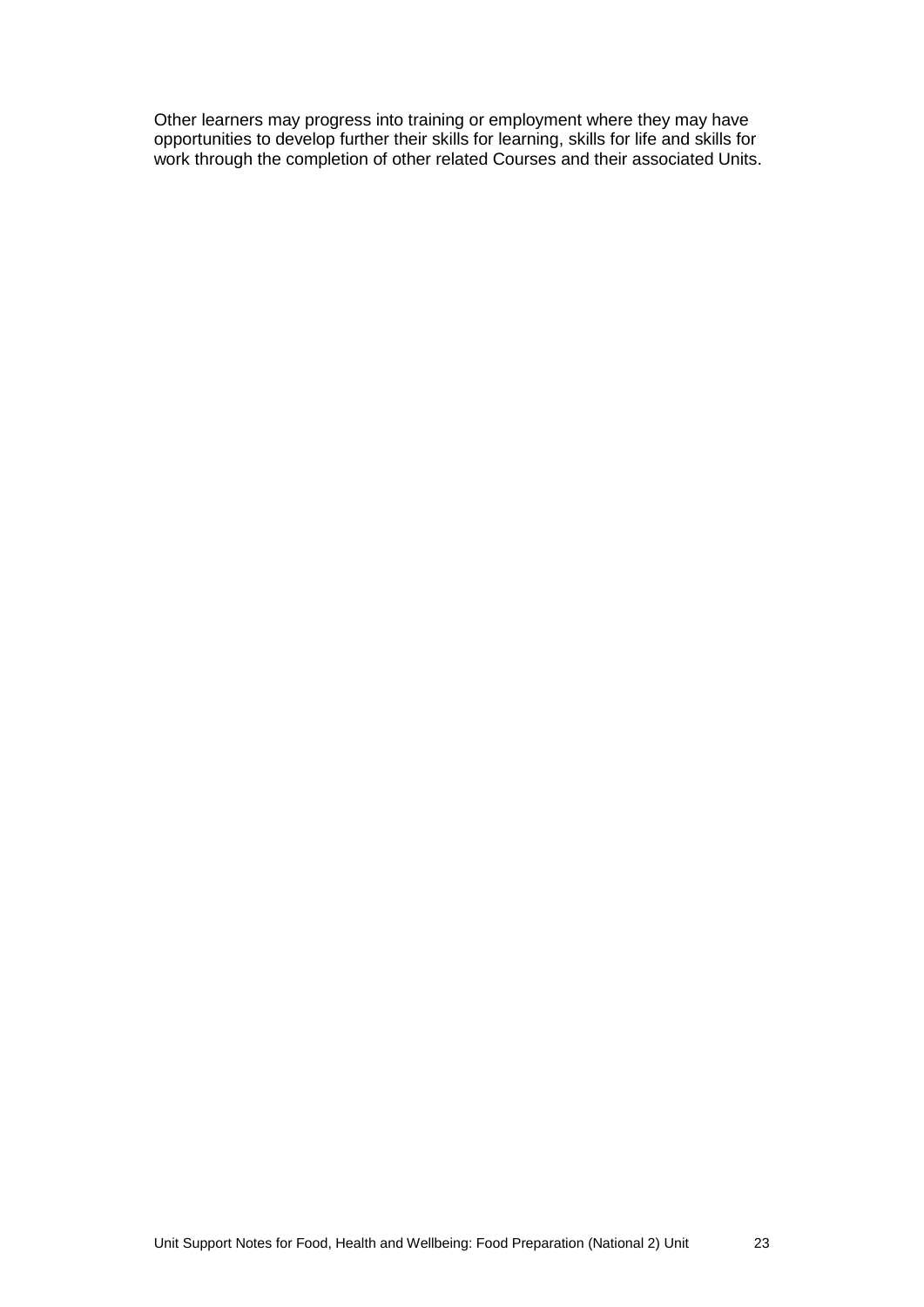Other learners may progress into training or employment where they may have opportunities to develop further their skills for learning, skills for life and skills for work through the completion of other related Courses and their associated Units.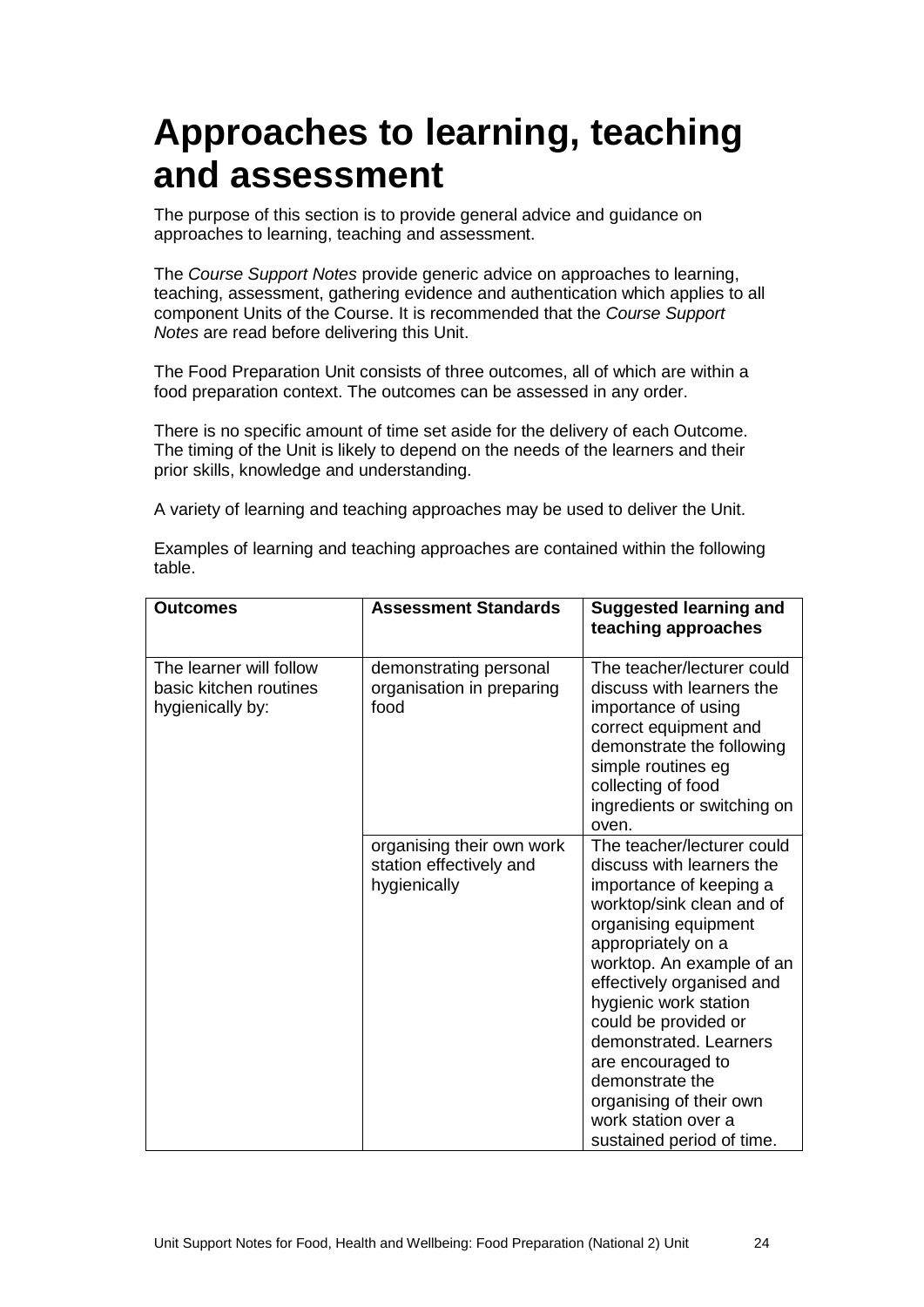### <span id="page-26-0"></span>**Approaches to learning, teaching and assessment**

The purpose of this section is to provide general advice and guidance on approaches to learning, teaching and assessment.

The *Course Support Notes* provide generic advice on approaches to learning, teaching, assessment, gathering evidence and authentication which applies to all component Units of the Course. It is recommended that the *Course Support Notes* are read before delivering this Unit.

The Food Preparation Unit consists of three outcomes, all of which are within a food preparation context. The outcomes can be assessed in any order.

There is no specific amount of time set aside for the delivery of each Outcome. The timing of the Unit is likely to depend on the needs of the learners and their prior skills, knowledge and understanding.

A variety of learning and teaching approaches may be used to deliver the Unit.

Examples of learning and teaching approaches are contained within the following table.

| <b>Outcomes</b>                                                       | <b>Assessment Standards</b>                                          | Suggested learning and<br>teaching approaches                                                                                                                                                                                                                                                                                                                                                                             |
|-----------------------------------------------------------------------|----------------------------------------------------------------------|---------------------------------------------------------------------------------------------------------------------------------------------------------------------------------------------------------------------------------------------------------------------------------------------------------------------------------------------------------------------------------------------------------------------------|
| The learner will follow<br>basic kitchen routines<br>hygienically by: | demonstrating personal<br>organisation in preparing<br>food          | The teacher/lecturer could<br>discuss with learners the<br>importance of using<br>correct equipment and<br>demonstrate the following<br>simple routines eg<br>collecting of food<br>ingredients or switching on<br>oven.                                                                                                                                                                                                  |
|                                                                       | organising their own work<br>station effectively and<br>hygienically | The teacher/lecturer could<br>discuss with learners the<br>importance of keeping a<br>worktop/sink clean and of<br>organising equipment<br>appropriately on a<br>worktop. An example of an<br>effectively organised and<br>hygienic work station<br>could be provided or<br>demonstrated. Learners<br>are encouraged to<br>demonstrate the<br>organising of their own<br>work station over a<br>sustained period of time. |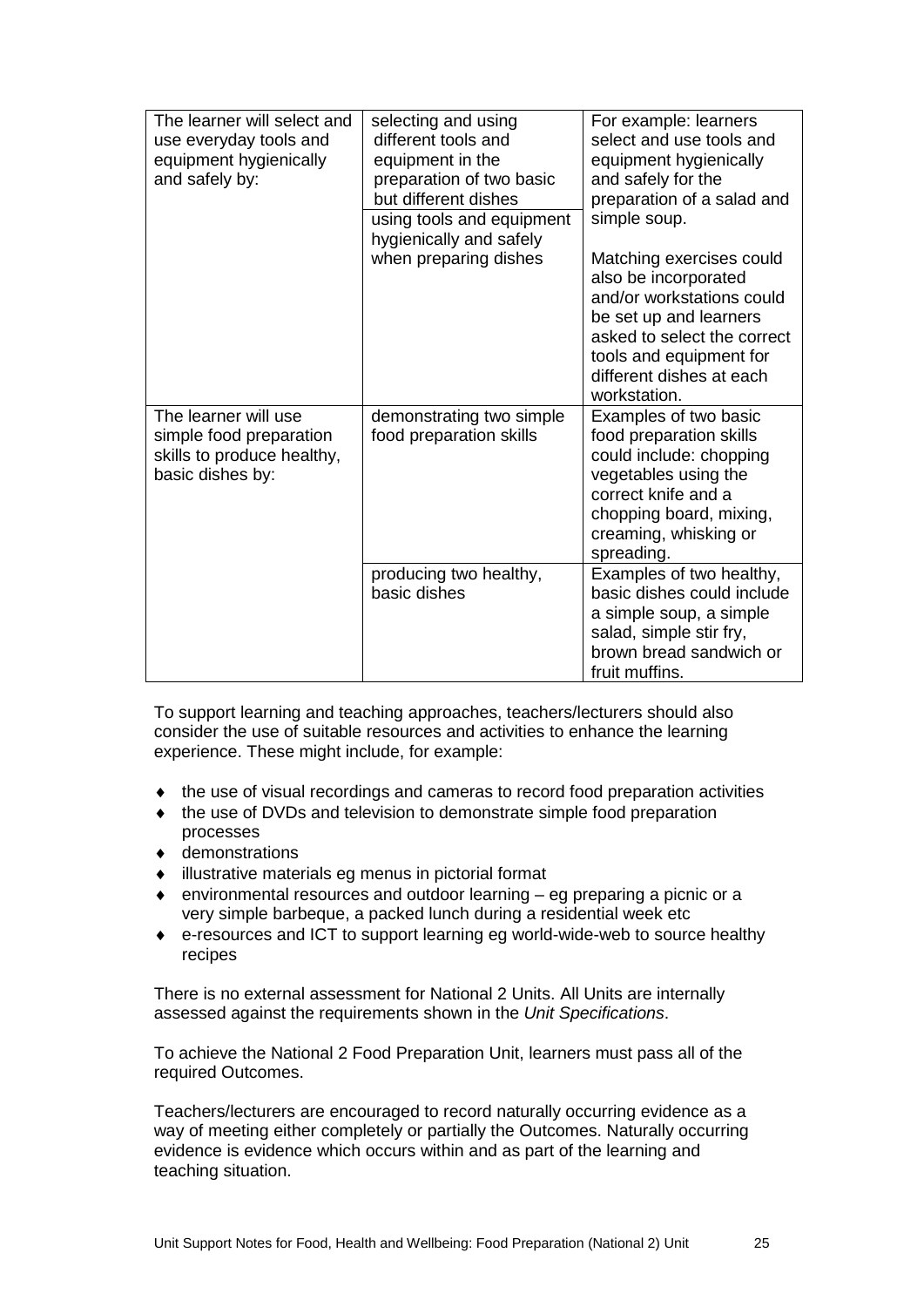| The learner will select and<br>use everyday tools and<br>equipment hygienically<br>and safely by: | selecting and using<br>different tools and<br>equipment in the<br>preparation of two basic<br>but different dishes<br>using tools and equipment<br>hygienically and safely | For example: learners<br>select and use tools and<br>equipment hygienically<br>and safely for the<br>preparation of a salad and<br>simple soup.                                                               |  |
|---------------------------------------------------------------------------------------------------|----------------------------------------------------------------------------------------------------------------------------------------------------------------------------|---------------------------------------------------------------------------------------------------------------------------------------------------------------------------------------------------------------|--|
|                                                                                                   | when preparing dishes                                                                                                                                                      | Matching exercises could<br>also be incorporated<br>and/or workstations could<br>be set up and learners<br>asked to select the correct<br>tools and equipment for<br>different dishes at each<br>workstation. |  |
| The learner will use<br>simple food preparation<br>skills to produce healthy,<br>basic dishes by: | demonstrating two simple<br>food preparation skills                                                                                                                        | Examples of two basic<br>food preparation skills<br>could include: chopping<br>vegetables using the<br>correct knife and a<br>chopping board, mixing,<br>creaming, whisking or<br>spreading.                  |  |
|                                                                                                   | producing two healthy,<br>basic dishes                                                                                                                                     | Examples of two healthy,<br>basic dishes could include<br>a simple soup, a simple<br>salad, simple stir fry,<br>brown bread sandwich or<br>fruit muffins.                                                     |  |

To support learning and teaching approaches, teachers/lecturers should also consider the use of suitable resources and activities to enhance the learning experience. These might include, for example:

- ♦ the use of visual recordings and cameras to record food preparation activities
- ♦ the use of DVDs and television to demonstrate simple food preparation processes
- ♦ demonstrations
- ♦ illustrative materials eg menus in pictorial format
- ♦ environmental resources and outdoor learning eg preparing a picnic or a very simple barbeque, a packed lunch during a residential week etc
- ♦ e-resources and ICT to support learning eg world-wide-web to source healthy recipes

There is no external assessment for National 2 Units. All Units are internally assessed against the requirements shown in the *Unit Specifications*.

To achieve the National 2 Food Preparation Unit, learners must pass all of the required Outcomes.

Teachers/lecturers are encouraged to record naturally occurring evidence as a way of meeting either completely or partially the Outcomes. Naturally occurring evidence is evidence which occurs within and as part of the learning and teaching situation.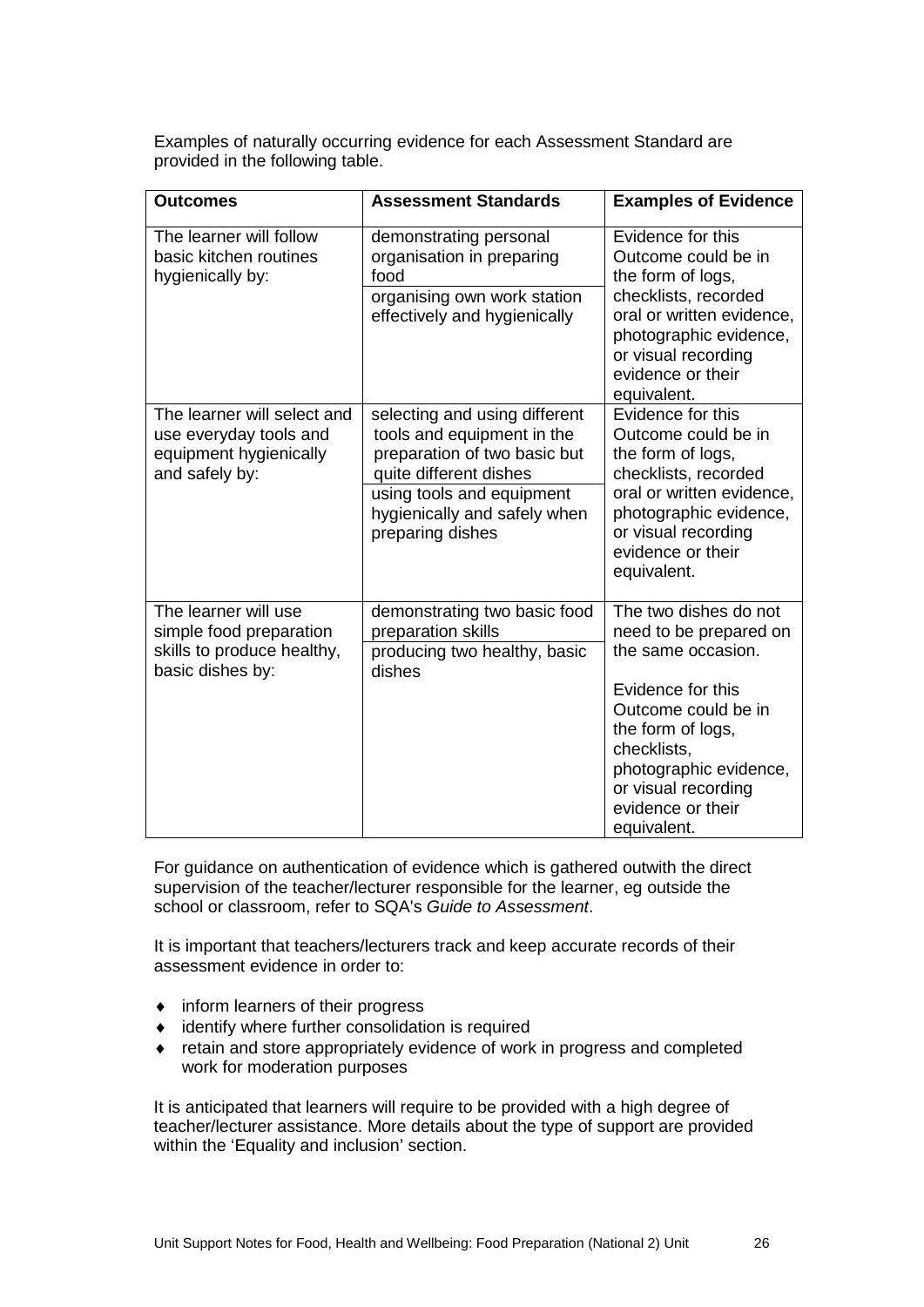Examples of naturally occurring evidence for each Assessment Standard are provided in the following table.

| Outcomes                                                                                          | <b>Assessment Standards</b>                                                                                                                                                                            | <b>Examples of Evidence</b>                                                                                                                                                                                                                |
|---------------------------------------------------------------------------------------------------|--------------------------------------------------------------------------------------------------------------------------------------------------------------------------------------------------------|--------------------------------------------------------------------------------------------------------------------------------------------------------------------------------------------------------------------------------------------|
| The learner will follow<br>basic kitchen routines<br>hygienically by:                             | demonstrating personal<br>organisation in preparing<br>food<br>organising own work station<br>effectively and hygienically                                                                             | Evidence for this<br>Outcome could be in<br>the form of logs,<br>checklists, recorded<br>oral or written evidence,<br>photographic evidence,<br>or visual recording<br>evidence or their<br>equivalent.                                    |
| The learner will select and<br>use everyday tools and<br>equipment hygienically<br>and safely by: | selecting and using different<br>tools and equipment in the<br>preparation of two basic but<br>quite different dishes<br>using tools and equipment<br>hygienically and safely when<br>preparing dishes | Evidence for this<br>Outcome could be in<br>the form of logs,<br>checklists, recorded<br>oral or written evidence,<br>photographic evidence,<br>or visual recording<br>evidence or their<br>equivalent.                                    |
| The learner will use<br>simple food preparation<br>skills to produce healthy,<br>basic dishes by: | demonstrating two basic food<br>preparation skills<br>producing two healthy, basic<br>dishes                                                                                                           | The two dishes do not<br>need to be prepared on<br>the same occasion.<br>Evidence for this<br>Outcome could be in<br>the form of logs,<br>checklists,<br>photographic evidence,<br>or visual recording<br>evidence or their<br>equivalent. |

For guidance on authentication of evidence which is gathered outwith the direct supervision of the teacher/lecturer responsible for the learner, eg outside the school or classroom, refer to SQA's *Guide to Assessment*.

It is important that teachers/lecturers track and keep accurate records of their assessment evidence in order to:

- ♦ inform learners of their progress
- ♦ identify where further consolidation is required
- ♦ retain and store appropriately evidence of work in progress and completed work for moderation purposes

It is anticipated that learners will require to be provided with a high degree of teacher/lecturer assistance. More details about the type of support are provided within the 'Equality and inclusion' section.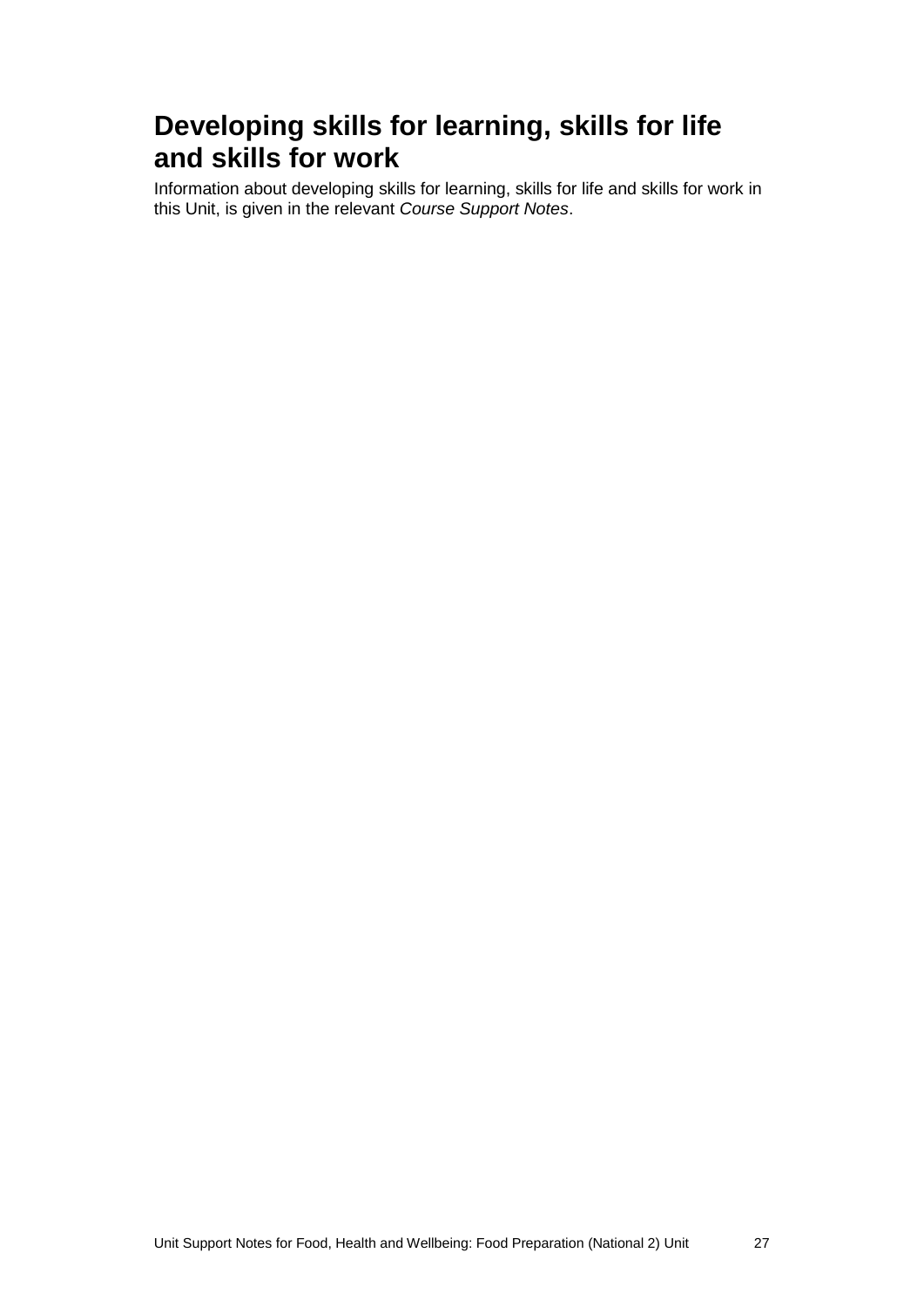#### **Developing skills for learning, skills for life and skills for work**

Information about developing skills for learning, skills for life and skills for work in this Unit, is given in the relevant *Course Support Notes*.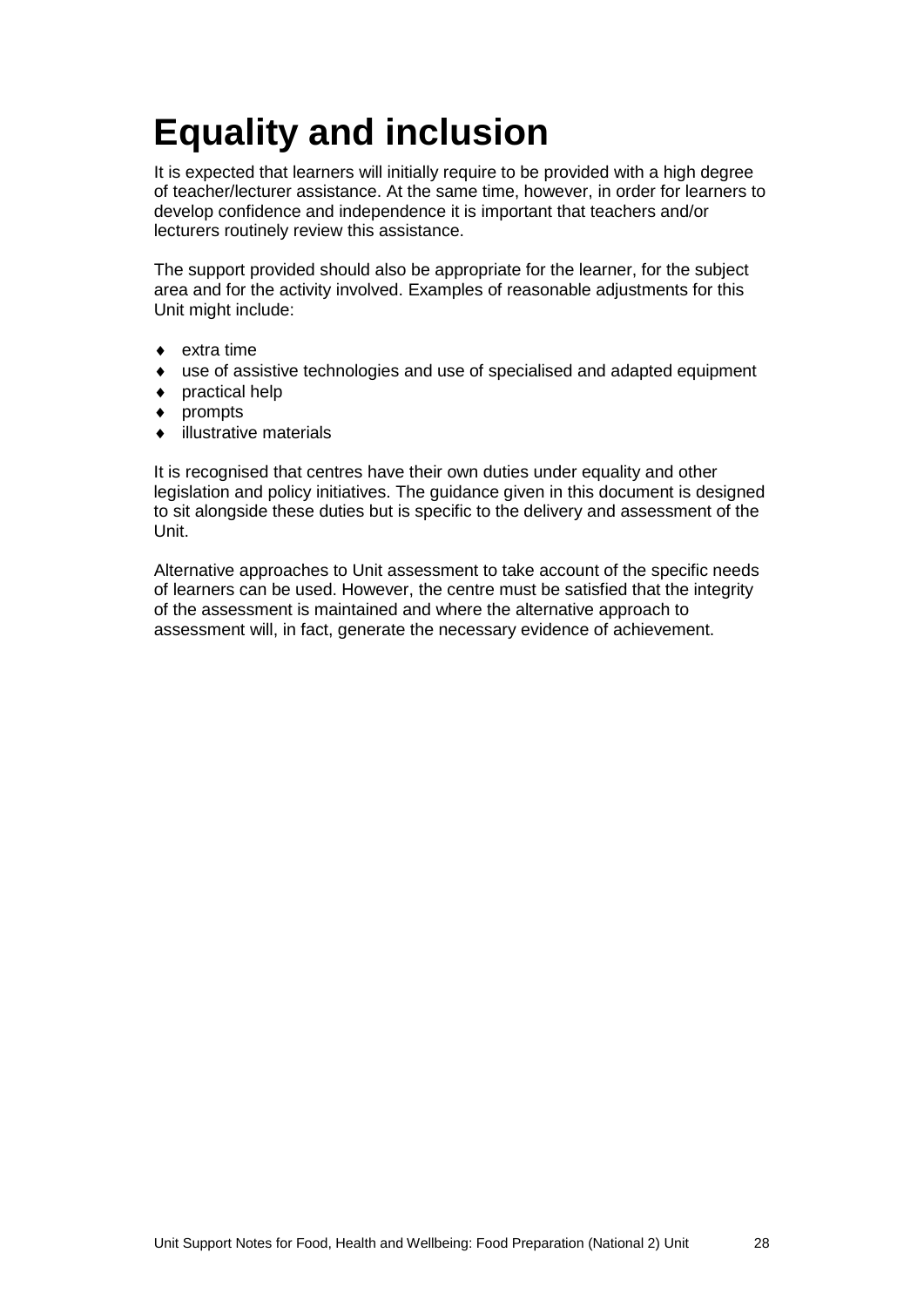## <span id="page-30-0"></span>**Equality and inclusion**

It is expected that learners will initially require to be provided with a high degree of teacher/lecturer assistance. At the same time, however, in order for learners to develop confidence and independence it is important that teachers and/or lecturers routinely review this assistance.

The support provided should also be appropriate for the learner, for the subject area and for the activity involved. Examples of reasonable adjustments for this Unit might include:

- extra time
- use of assistive technologies and use of specialised and adapted equipment
- ♦ practical help
- ♦ prompts
- ♦ illustrative materials

It is recognised that centres have their own duties under equality and other legislation and policy initiatives. The guidance given in this document is designed to sit alongside these duties but is specific to the delivery and assessment of the Unit.

Alternative approaches to Unit assessment to take account of the specific needs of learners can be used. However, the centre must be satisfied that the integrity of the assessment is maintained and where the alternative approach to assessment will, in fact, generate the necessary evidence of achievement.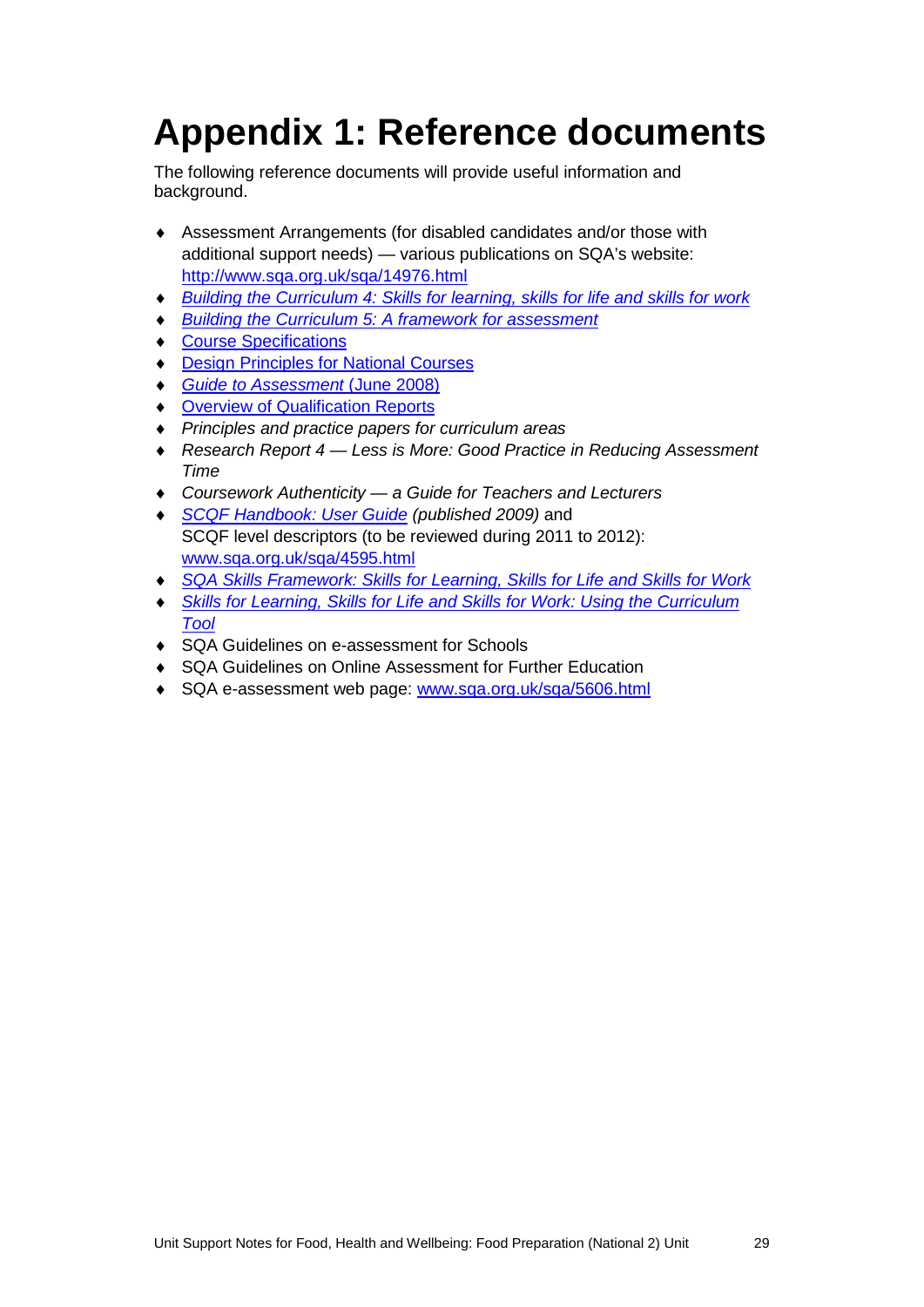## <span id="page-31-0"></span>**Appendix 1: Reference documents**

The following reference documents will provide useful information and background.

- ♦ Assessment Arrangements (for disabled candidates and/or those with additional support needs) — various publications on SQA's website: <http://www.sqa.org.uk/sqa/14976.html>
- ♦ *[Building the Curriculum 4: Skills for learning, skills for life and skills for work](http://www.ltscotland.org.uk/buildingyourcurriculum/policycontext/btc/btc4.asp)*
- **[Building the Curriculum 5: A framework for assessment](http://www.ltscotland.org.uk/buildingyourcurriculum/policycontext/btc/btc5.asp)**
- ♦ [Course Specifications](http://www.sqa.org.uk/sqa/46327.2947.html)
- ♦ [Design Principles for National Courses](http://www.sqa.org.uk/sqa/42135.2629.html)
- ♦ *[Guide to Assessment](http://www.sqa.org.uk/files_ccc/GuideToAssessment.pdf)* (June 2008)
- ♦ [Overview of Qualification Reports](http://www.sqa.org.uk/sqa/42467.2792.html)
- ♦ *Principles and practice papers for curriculum areas*
- ♦ *Research Report 4 — Less is More: Good Practice in Reducing Assessment Time*
- ♦ *Coursework Authenticity — a Guide for Teachers and Lecturers*
- ♦ *[SCQF Handbook: User Guide](http://www.scqf.org.uk/Resources) (published 2009)* and SCQF level descriptors (to be reviewed during 2011 to 2012): [www.sqa.org.uk/sqa/4595.html](http://www.sqa.org.uk/sqa/4595.html)
- ♦ *[SQA Skills Framework: Skills for Learning, Skills for Life and Skills for Work](http://www.sqa.org.uk/sqa/45395.html)*
- **Skills for Learning, Skills for Life and Skills for Work: Using the Curriculum** *[Tool](http://www.sqa.org.uk/sqa/45395.html)*
- ♦ SQA Guidelines on e-assessment for Schools
- ♦ SQA Guidelines on Online Assessment for Further Education
- SQA e-assessment web page: [www.sqa.org.uk/sqa/5606.html](http://www.sqa.org.uk/sqa/5606.html)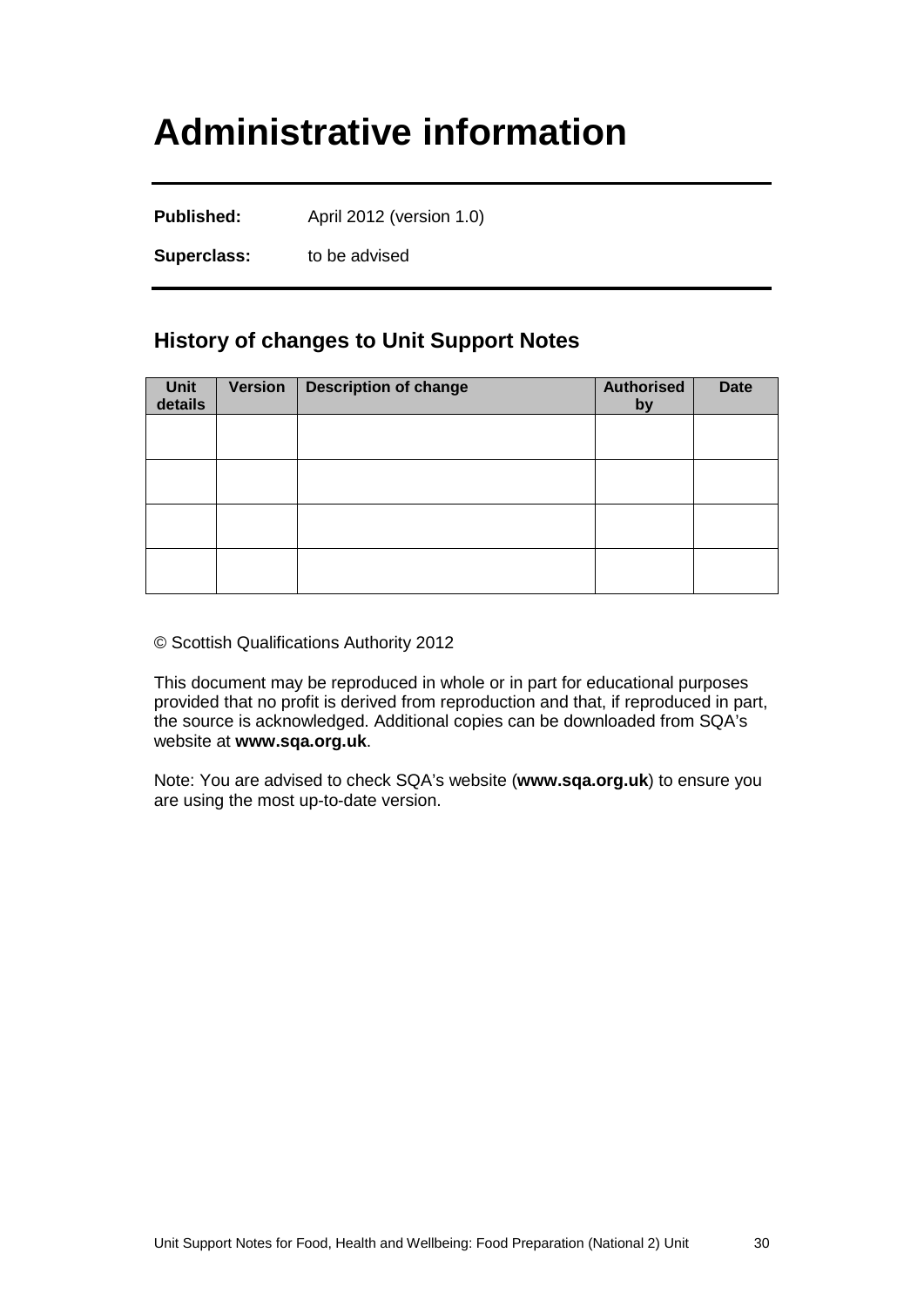### <span id="page-32-0"></span>**Administrative information**

**Published:** April 2012 (version 1.0)

**Superclass:** to be advised

#### **History of changes to Unit Support Notes**

| Unit<br>details | <b>Version</b> | <b>Description of change</b> | <b>Authorised</b><br>by | <b>Date</b> |
|-----------------|----------------|------------------------------|-------------------------|-------------|
|                 |                |                              |                         |             |
|                 |                |                              |                         |             |
|                 |                |                              |                         |             |
|                 |                |                              |                         |             |

© Scottish Qualifications Authority 2012

This document may be reproduced in whole or in part for educational purposes provided that no profit is derived from reproduction and that, if reproduced in part, the source is acknowledged. Additional copies can be downloaded from SQA's website at **[www.sqa.org.uk](http://www.sqa.org.uk/)**.

Note: You are advised to check SQA's website (**[www.sqa.org.uk](http://www.sqa.org.uk/)**) to ensure you are using the most up-to-date version.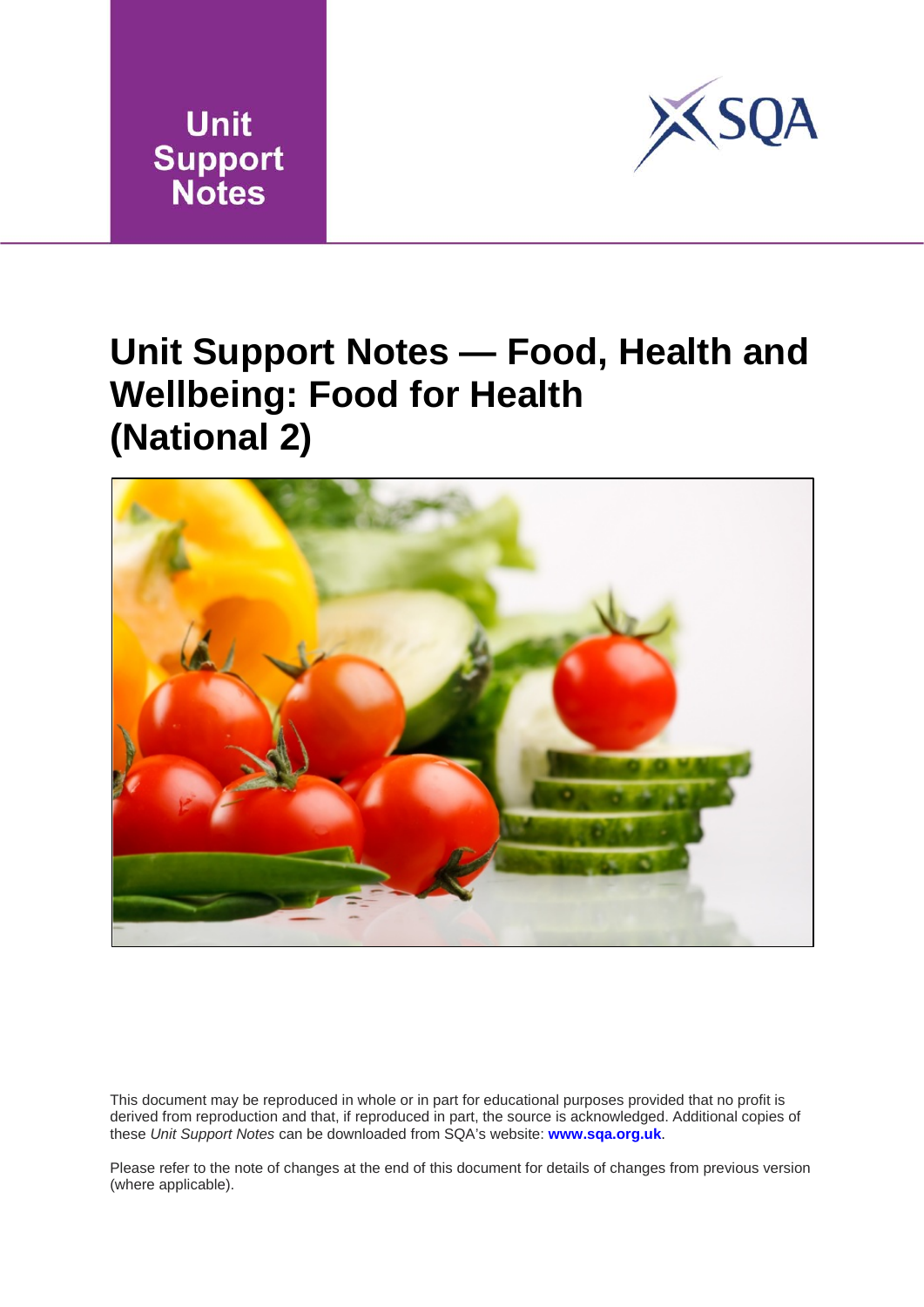



### **Unit Support Notes — Food, Health and Wellbeing: Food for Health (National 2)**



This document may be reproduced in whole or in part for educational purposes provided that no profit is derived from reproduction and that, if reproduced in part, the source is acknowledged. Additional copies of these *Unit Support Notes* can be downloaded from SQA's website: **[www.sqa.org.uk](http://www.sqa.org.uk/)**.

Please refer to the note of changes at the end of this document for details of changes from previous version (where applicable).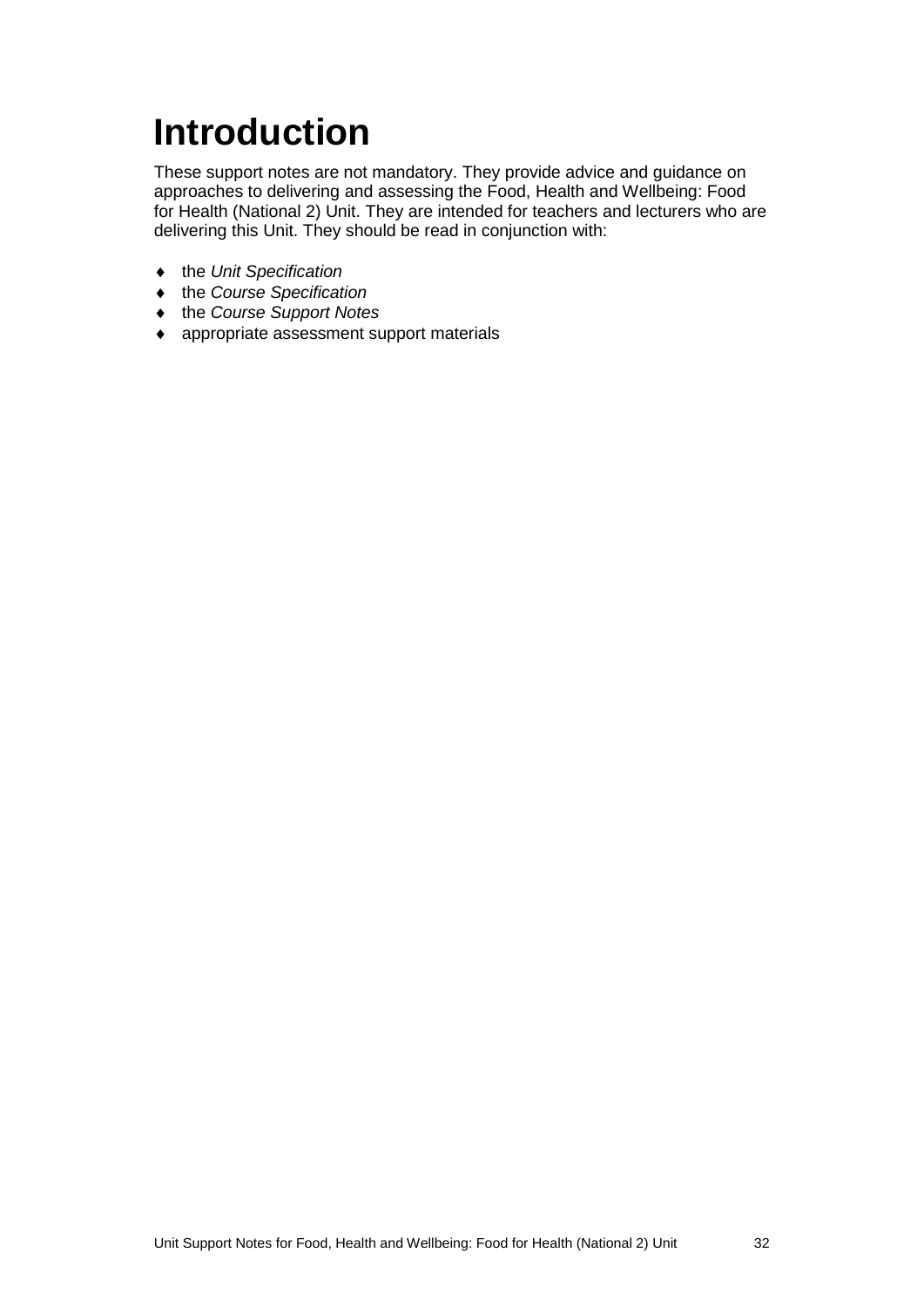# <span id="page-34-0"></span>**Introduction**

These support notes are not mandatory. They provide advice and guidance on approaches to delivering and assessing the Food, Health and Wellbeing: Food for Health (National 2) Unit. They are intended for teachers and lecturers who are delivering this Unit. They should be read in conjunction with:

- ♦ the *Unit Specification*
- ♦ the *Course Specification*
- ♦ the *Course Support Notes*
- ♦ appropriate assessment support materials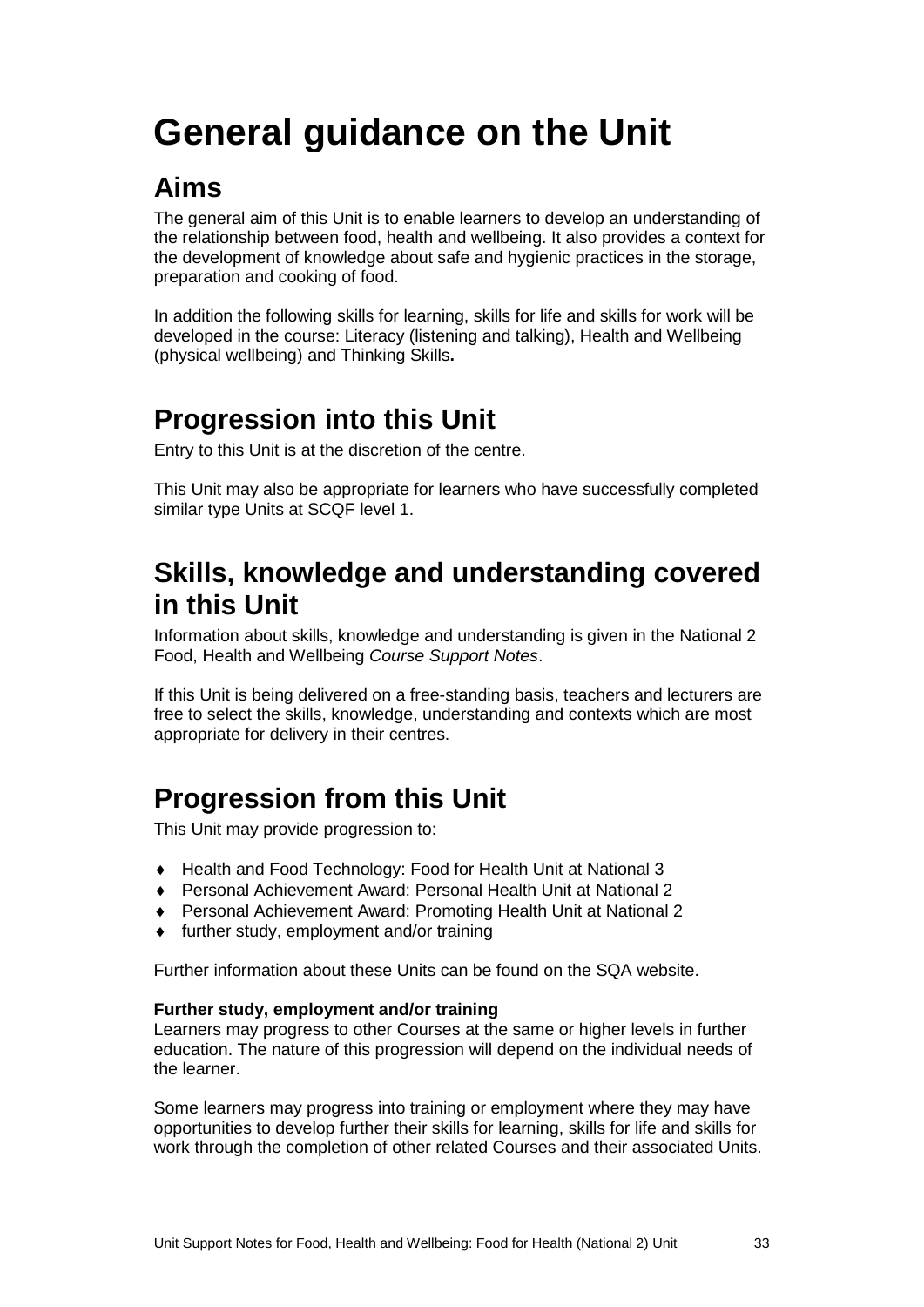# <span id="page-35-0"></span>**General guidance on the Unit**

### **Aims**

The general aim of this Unit is to enable learners to develop an understanding of the relationship between food, health and wellbeing. It also provides a context for the development of knowledge about safe and hygienic practices in the storage, preparation and cooking of food.

In addition the following skills for learning, skills for life and skills for work will be developed in the course: Literacy (listening and talking), Health and Wellbeing (physical wellbeing) and Thinking Skills**.**

#### **Progression into this Unit**

Entry to this Unit is at the discretion of the centre.

This Unit may also be appropriate for learners who have successfully completed similar type Units at SCQF level 1.

#### **Skills, knowledge and understanding covered in this Unit**

Information about skills, knowledge and understanding is given in the National 2 Food, Health and Wellbeing *Course Support Notes*.

If this Unit is being delivered on a free-standing basis, teachers and lecturers are free to select the skills, knowledge, understanding and contexts which are most appropriate for delivery in their centres.

### **Progression from this Unit**

This Unit may provide progression to:

- ♦ Health and Food Technology: Food for Health Unit at National 3
- ♦ Personal Achievement Award: Personal Health Unit at National 2
- ♦ Personal Achievement Award: Promoting Health Unit at National 2
- ♦ further study, employment and/or training

Further information about these Units can be found on the SQA website.

#### **Further study, employment and/or training**

Learners may progress to other Courses at the same or higher levels in further education. The nature of this progression will depend on the individual needs of the learner.

Some learners may progress into training or employment where they may have opportunities to develop further their skills for learning, skills for life and skills for work through the completion of other related Courses and their associated Units.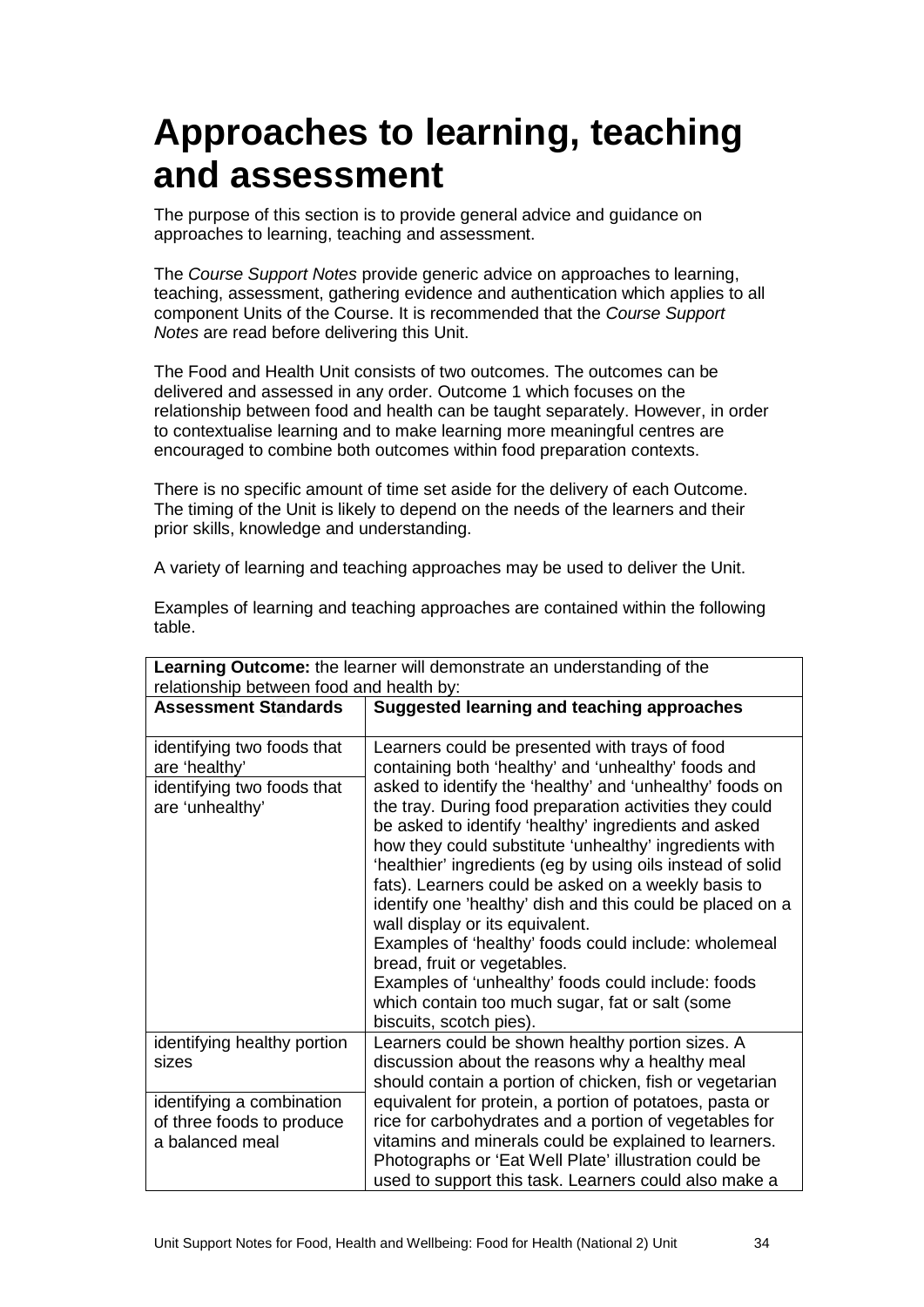### **Approaches to learning, teaching and assessment**

The purpose of this section is to provide general advice and guidance on approaches to learning, teaching and assessment.

The *Course Support Notes* provide generic advice on approaches to learning, teaching, assessment, gathering evidence and authentication which applies to all component Units of the Course. It is recommended that the *Course Support Notes* are read before delivering this Unit.

The Food and Health Unit consists of two outcomes. The outcomes can be delivered and assessed in any order. Outcome 1 which focuses on the relationship between food and health can be taught separately. However, in order to contextualise learning and to make learning more meaningful centres are encouraged to combine both outcomes within food preparation contexts.

There is no specific amount of time set aside for the delivery of each Outcome. The timing of the Unit is likely to depend on the needs of the learners and their prior skills, knowledge and understanding.

A variety of learning and teaching approaches may be used to deliver the Unit.

| <b>Learning Outcome:</b> the learner will demonstrate an understanding of the                |                                                                                                                                                                                                                                                                                                                                                                                                                                                                                                                                                                                                                                                                                                                                                                                                |  |  |
|----------------------------------------------------------------------------------------------|------------------------------------------------------------------------------------------------------------------------------------------------------------------------------------------------------------------------------------------------------------------------------------------------------------------------------------------------------------------------------------------------------------------------------------------------------------------------------------------------------------------------------------------------------------------------------------------------------------------------------------------------------------------------------------------------------------------------------------------------------------------------------------------------|--|--|
| relationship between food and health by:                                                     |                                                                                                                                                                                                                                                                                                                                                                                                                                                                                                                                                                                                                                                                                                                                                                                                |  |  |
| <b>Assessment Standards</b>                                                                  | <b>Suggested learning and teaching approaches</b>                                                                                                                                                                                                                                                                                                                                                                                                                                                                                                                                                                                                                                                                                                                                              |  |  |
| identifying two foods that<br>are 'healthy'<br>identifying two foods that<br>are 'unhealthy' | Learners could be presented with trays of food<br>containing both 'healthy' and 'unhealthy' foods and<br>asked to identify the 'healthy' and 'unhealthy' foods on<br>the tray. During food preparation activities they could<br>be asked to identify 'healthy' ingredients and asked<br>how they could substitute 'unhealthy' ingredients with<br>'healthier' ingredients (eg by using oils instead of solid<br>fats). Learners could be asked on a weekly basis to<br>identify one 'healthy' dish and this could be placed on a<br>wall display or its equivalent.<br>Examples of 'healthy' foods could include: wholemeal<br>bread, fruit or vegetables.<br>Examples of 'unhealthy' foods could include: foods<br>which contain too much sugar, fat or salt (some<br>biscuits, scotch pies). |  |  |
| identifying healthy portion<br>sizes                                                         | Learners could be shown healthy portion sizes. A<br>discussion about the reasons why a healthy meal<br>should contain a portion of chicken, fish or vegetarian                                                                                                                                                                                                                                                                                                                                                                                                                                                                                                                                                                                                                                 |  |  |
| identifying a combination<br>of three foods to produce<br>a balanced meal                    | equivalent for protein, a portion of potatoes, pasta or<br>rice for carbohydrates and a portion of vegetables for<br>vitamins and minerals could be explained to learners.<br>Photographs or 'Eat Well Plate' illustration could be<br>used to support this task. Learners could also make a                                                                                                                                                                                                                                                                                                                                                                                                                                                                                                   |  |  |

Examples of learning and teaching approaches are contained within the following table.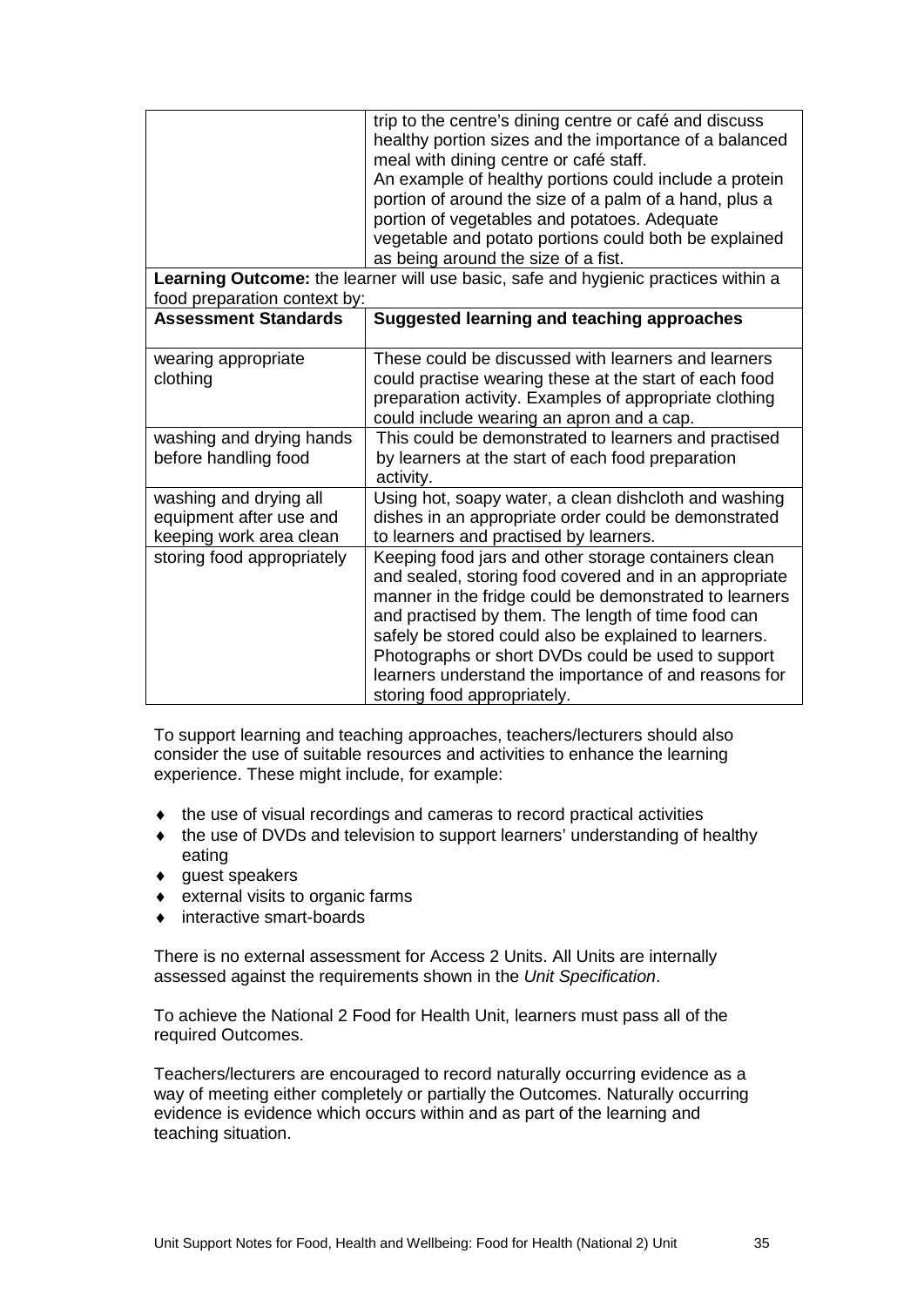|                                                                              | trip to the centre's dining centre or café and discuss<br>healthy portion sizes and the importance of a balanced<br>meal with dining centre or café staff.                                                                                                                                                                                                                                                                            |  |  |
|------------------------------------------------------------------------------|---------------------------------------------------------------------------------------------------------------------------------------------------------------------------------------------------------------------------------------------------------------------------------------------------------------------------------------------------------------------------------------------------------------------------------------|--|--|
|                                                                              | An example of healthy portions could include a protein<br>portion of around the size of a palm of a hand, plus a                                                                                                                                                                                                                                                                                                                      |  |  |
|                                                                              | portion of vegetables and potatoes. Adequate<br>vegetable and potato portions could both be explained<br>as being around the size of a fist.                                                                                                                                                                                                                                                                                          |  |  |
| food preparation context by:                                                 | Learning Outcome: the learner will use basic, safe and hygienic practices within a                                                                                                                                                                                                                                                                                                                                                    |  |  |
| <b>Assessment Standards</b>                                                  | Suggested learning and teaching approaches                                                                                                                                                                                                                                                                                                                                                                                            |  |  |
| wearing appropriate<br>clothing                                              | These could be discussed with learners and learners<br>could practise wearing these at the start of each food<br>preparation activity. Examples of appropriate clothing<br>could include wearing an apron and a cap.                                                                                                                                                                                                                  |  |  |
| washing and drying hands<br>before handling food                             | This could be demonstrated to learners and practised<br>by learners at the start of each food preparation<br>activity.                                                                                                                                                                                                                                                                                                                |  |  |
| washing and drying all<br>equipment after use and<br>keeping work area clean | Using hot, soapy water, a clean dishcloth and washing<br>dishes in an appropriate order could be demonstrated<br>to learners and practised by learners.                                                                                                                                                                                                                                                                               |  |  |
| storing food appropriately                                                   | Keeping food jars and other storage containers clean<br>and sealed, storing food covered and in an appropriate<br>manner in the fridge could be demonstrated to learners<br>and practised by them. The length of time food can<br>safely be stored could also be explained to learners.<br>Photographs or short DVDs could be used to support<br>learners understand the importance of and reasons for<br>storing food appropriately. |  |  |

To support learning and teaching approaches, teachers/lecturers should also consider the use of suitable resources and activities to enhance the learning experience. These might include, for example:

- ♦ the use of visual recordings and cameras to record practical activities
- ♦ the use of DVDs and television to support learners' understanding of healthy eating
- ♦ guest speakers
- ♦ external visits to organic farms
- ♦ interactive smart-boards

There is no external assessment for Access 2 Units. All Units are internally assessed against the requirements shown in the *Unit Specification*.

To achieve the National 2 Food for Health Unit, learners must pass all of the required Outcomes.

Teachers/lecturers are encouraged to record naturally occurring evidence as a way of meeting either completely or partially the Outcomes. Naturally occurring evidence is evidence which occurs within and as part of the learning and teaching situation.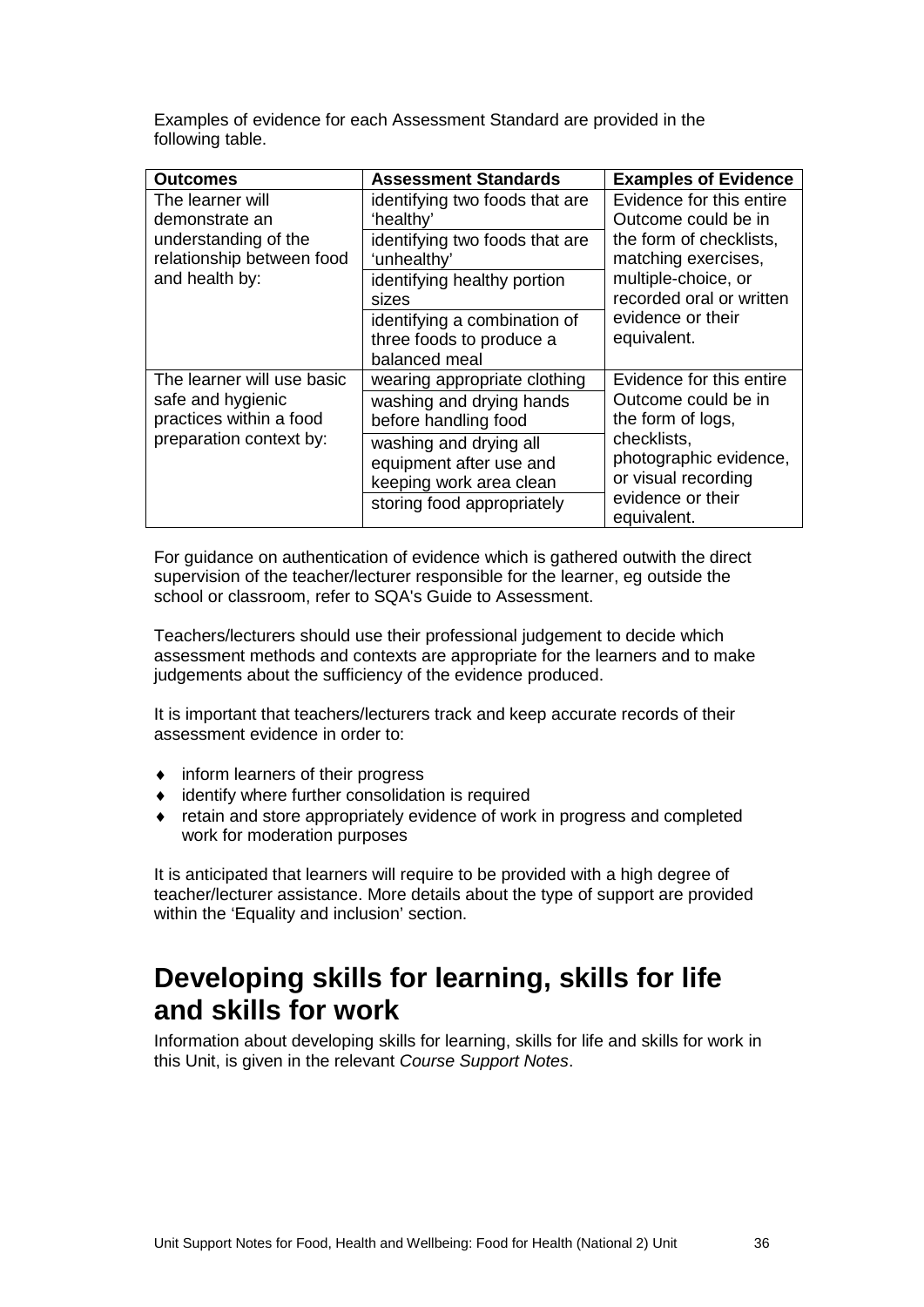Examples of evidence for each Assessment Standard are provided in the following table.

| <b>Outcomes</b>                                   | <b>Assessment Standards</b>                                               | <b>Examples of Evidence</b>                     |
|---------------------------------------------------|---------------------------------------------------------------------------|-------------------------------------------------|
| The learner will<br>demonstrate an                | identifying two foods that are<br>'healthy'                               | Evidence for this entire<br>Outcome could be in |
| understanding of the<br>relationship between food | identifying two foods that are<br>'unhealthy'                             | the form of checklists,<br>matching exercises,  |
| and health by:                                    | identifying healthy portion<br>sizes                                      | multiple-choice, or<br>recorded oral or written |
|                                                   | identifying a combination of<br>three foods to produce a<br>balanced meal | evidence or their<br>equivalent.                |
| The learner will use basic                        | wearing appropriate clothing                                              | Evidence for this entire                        |
| safe and hygienic<br>practices within a food      | washing and drying hands<br>before handling food                          | Outcome could be in<br>the form of logs,        |
| preparation context by:                           | washing and drying all                                                    | checklists,                                     |
|                                                   | equipment after use and                                                   | photographic evidence,<br>or visual recording   |
|                                                   | keeping work area clean                                                   | evidence or their                               |
|                                                   | storing food appropriately                                                | equivalent.                                     |

For guidance on authentication of evidence which is gathered outwith the direct supervision of the teacher/lecturer responsible for the learner, eg outside the school or classroom, refer to SQA's Guide to Assessment.

Teachers/lecturers should use their professional judgement to decide which assessment methods and contexts are appropriate for the learners and to make judgements about the sufficiency of the evidence produced.

It is important that teachers/lecturers track and keep accurate records of their assessment evidence in order to:

- ♦ inform learners of their progress
- ♦ identify where further consolidation is required
- ♦ retain and store appropriately evidence of work in progress and completed work for moderation purposes

It is anticipated that learners will require to be provided with a high degree of teacher/lecturer assistance. More details about the type of support are provided within the 'Equality and inclusion' section.

#### **Developing skills for learning, skills for life and skills for work**

Information about developing skills for learning, skills for life and skills for work in this Unit, is given in the relevant *Course Support Notes*.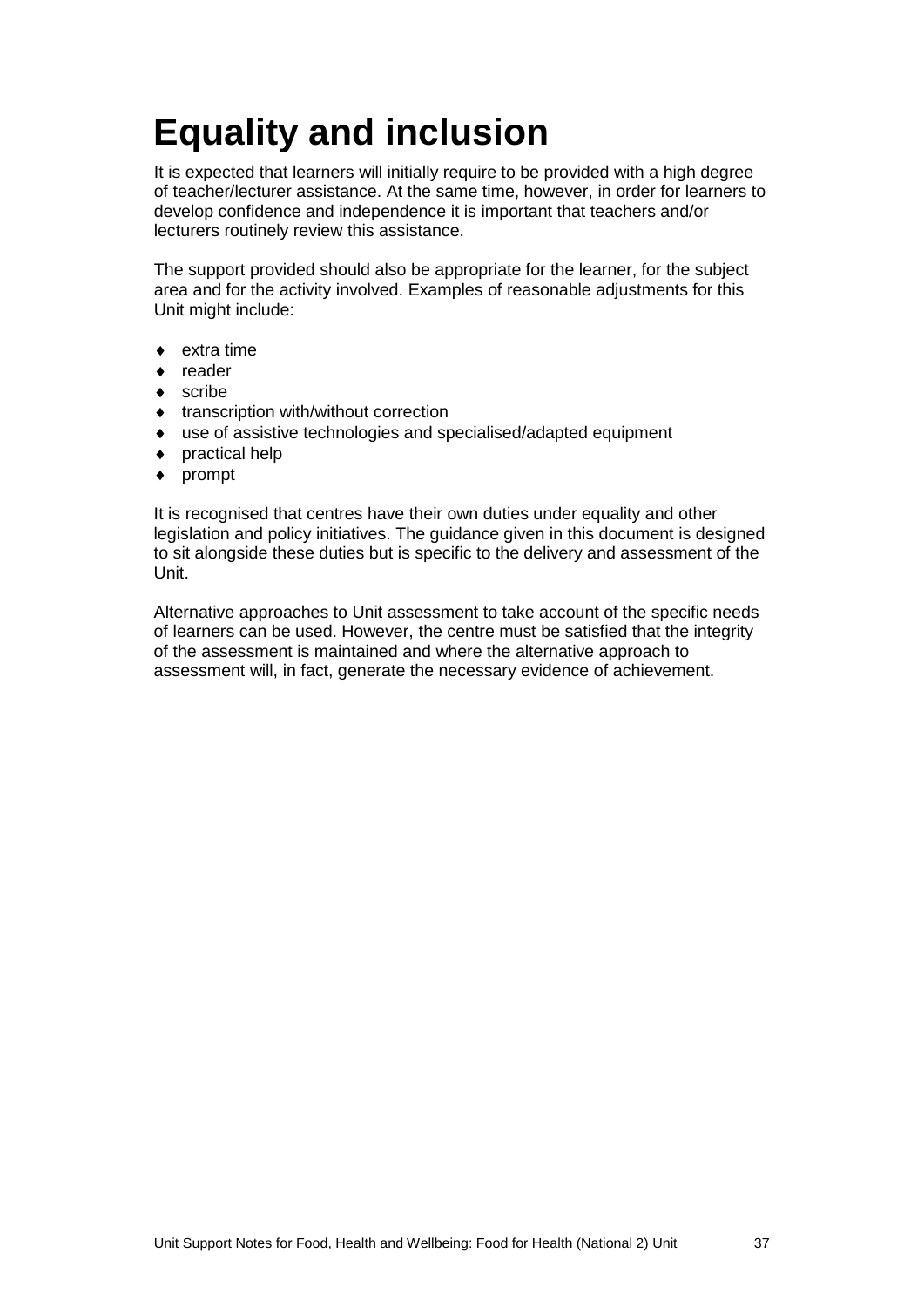## <span id="page-39-0"></span>**Equality and inclusion**

It is expected that learners will initially require to be provided with a high degree of teacher/lecturer assistance. At the same time, however, in order for learners to develop confidence and independence it is important that teachers and/or lecturers routinely review this assistance.

The support provided should also be appropriate for the learner, for the subject area and for the activity involved. Examples of reasonable adjustments for this Unit might include:

- extra time
- ♦ reader
- $\bullet$  scribe
- ♦ transcription with/without correction
- ♦ use of assistive technologies and specialised/adapted equipment
- ♦ practical help
- ♦ prompt

It is recognised that centres have their own duties under equality and other legislation and policy initiatives. The guidance given in this document is designed to sit alongside these duties but is specific to the delivery and assessment of the Unit.

Alternative approaches to Unit assessment to take account of the specific needs of learners can be used. However, the centre must be satisfied that the integrity of the assessment is maintained and where the alternative approach to assessment will, in fact, generate the necessary evidence of achievement.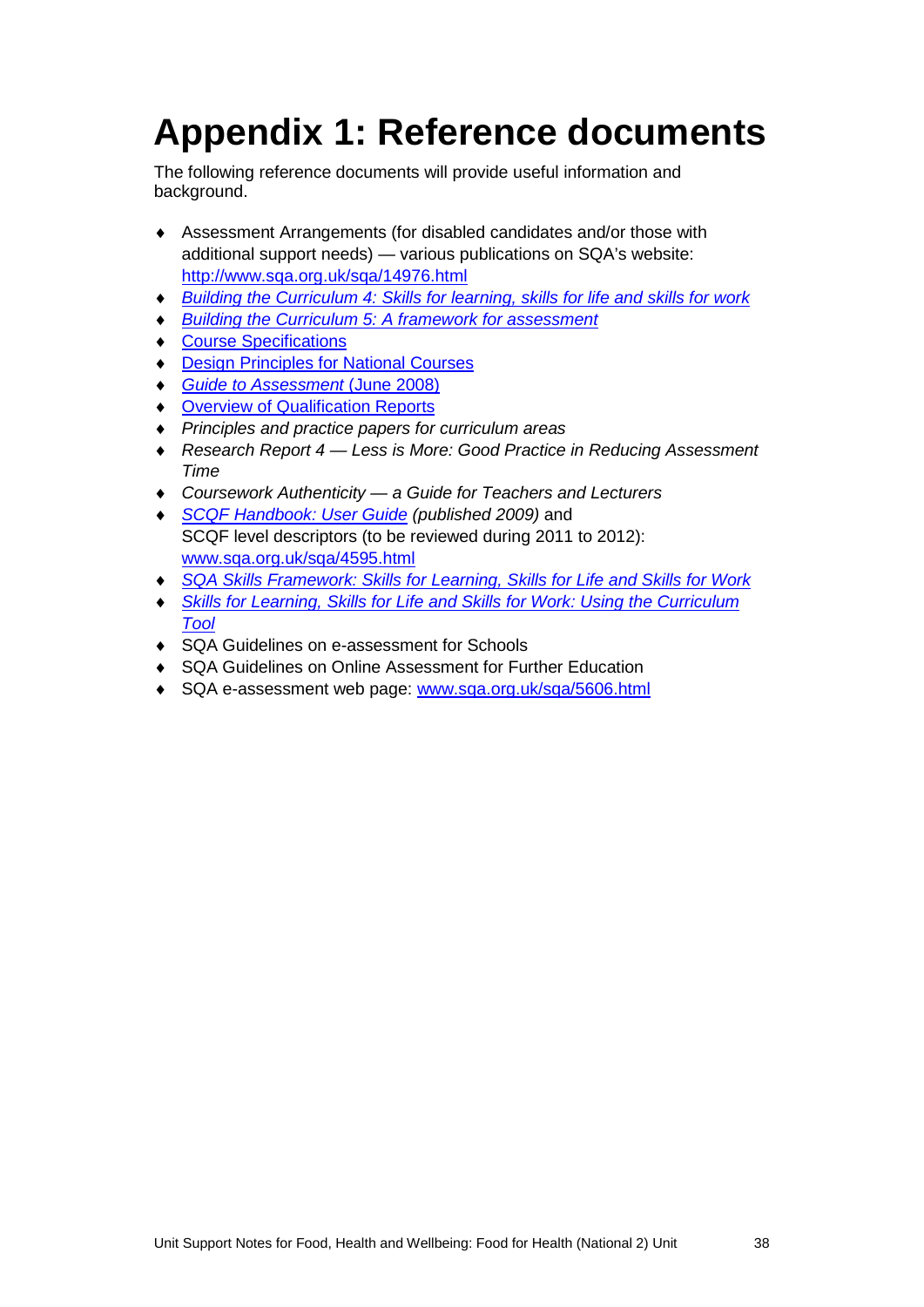## <span id="page-40-0"></span>**Appendix 1: Reference documents**

The following reference documents will provide useful information and background.

- ♦ Assessment Arrangements (for disabled candidates and/or those with additional support needs) — various publications on SQA's website: <http://www.sqa.org.uk/sqa/14976.html>
- ♦ *[Building the Curriculum 4: Skills for learning, skills for life and skills for work](http://www.ltscotland.org.uk/buildingyourcurriculum/policycontext/btc/btc4.asp)*
- **[Building the Curriculum 5: A framework for assessment](http://www.ltscotland.org.uk/buildingyourcurriculum/policycontext/btc/btc5.asp)**
- ♦ [Course Specifications](http://www.sqa.org.uk/sqa/46327.2947.html)
- ♦ [Design Principles for National Courses](http://www.sqa.org.uk/sqa/42135.2629.html)
- ♦ *[Guide to Assessment](http://www.sqa.org.uk/files_ccc/GuideToAssessment.pdf)* (June 2008)
- ♦ [Overview of Qualification Reports](http://www.sqa.org.uk/sqa/42467.2792.html)
- ♦ *Principles and practice papers for curriculum areas*
- ♦ *Research Report 4 — Less is More: Good Practice in Reducing Assessment Time*
- ♦ *Coursework Authenticity — a Guide for Teachers and Lecturers*
- ♦ *[SCQF Handbook: User Guide](http://www.scqf.org.uk/Resources) (published 2009)* and SCQF level descriptors (to be reviewed during 2011 to 2012): [www.sqa.org.uk/sqa/4595.html](http://www.sqa.org.uk/sqa/4595.html)
- ♦ *[SQA Skills Framework: Skills for Learning, Skills for Life and Skills for Work](http://www.sqa.org.uk/sqa/45395.html)*
- **Skills for Learning, Skills for Life and Skills for Work: Using the Curriculum** *[Tool](http://www.sqa.org.uk/sqa/45395.html)*
- ♦ SQA Guidelines on e-assessment for Schools
- ♦ SQA Guidelines on Online Assessment for Further Education
- SQA e-assessment web page: [www.sqa.org.uk/sqa/5606.html](http://www.sqa.org.uk/sqa/5606.html)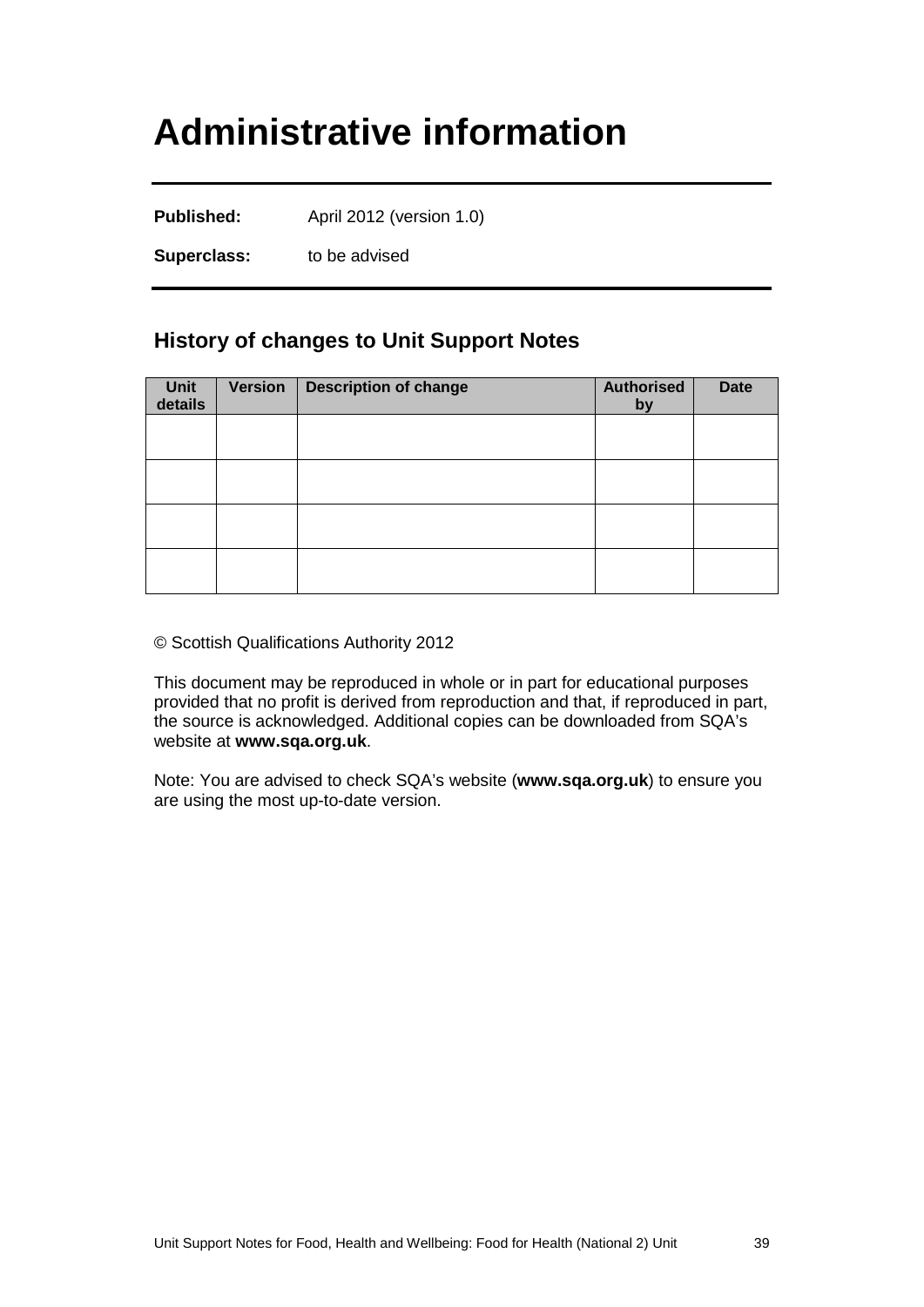### <span id="page-41-0"></span>**Administrative information**

**Published:** April 2012 (version 1.0)

**Superclass:** to be advised

#### **History of changes to Unit Support Notes**

| Unit<br>details | <b>Version</b> | <b>Description of change</b> | <b>Authorised</b><br>by | <b>Date</b> |
|-----------------|----------------|------------------------------|-------------------------|-------------|
|                 |                |                              |                         |             |
|                 |                |                              |                         |             |
|                 |                |                              |                         |             |
|                 |                |                              |                         |             |

© Scottish Qualifications Authority 2012

This document may be reproduced in whole or in part for educational purposes provided that no profit is derived from reproduction and that, if reproduced in part, the source is acknowledged. Additional copies can be downloaded from SQA's website at **[www.sqa.org.uk](http://www.sqa.org.uk/)**.

Note: You are advised to check SQA's website (**[www.sqa.org.uk](http://www.sqa.org.uk/)**) to ensure you are using the most up-to-date version.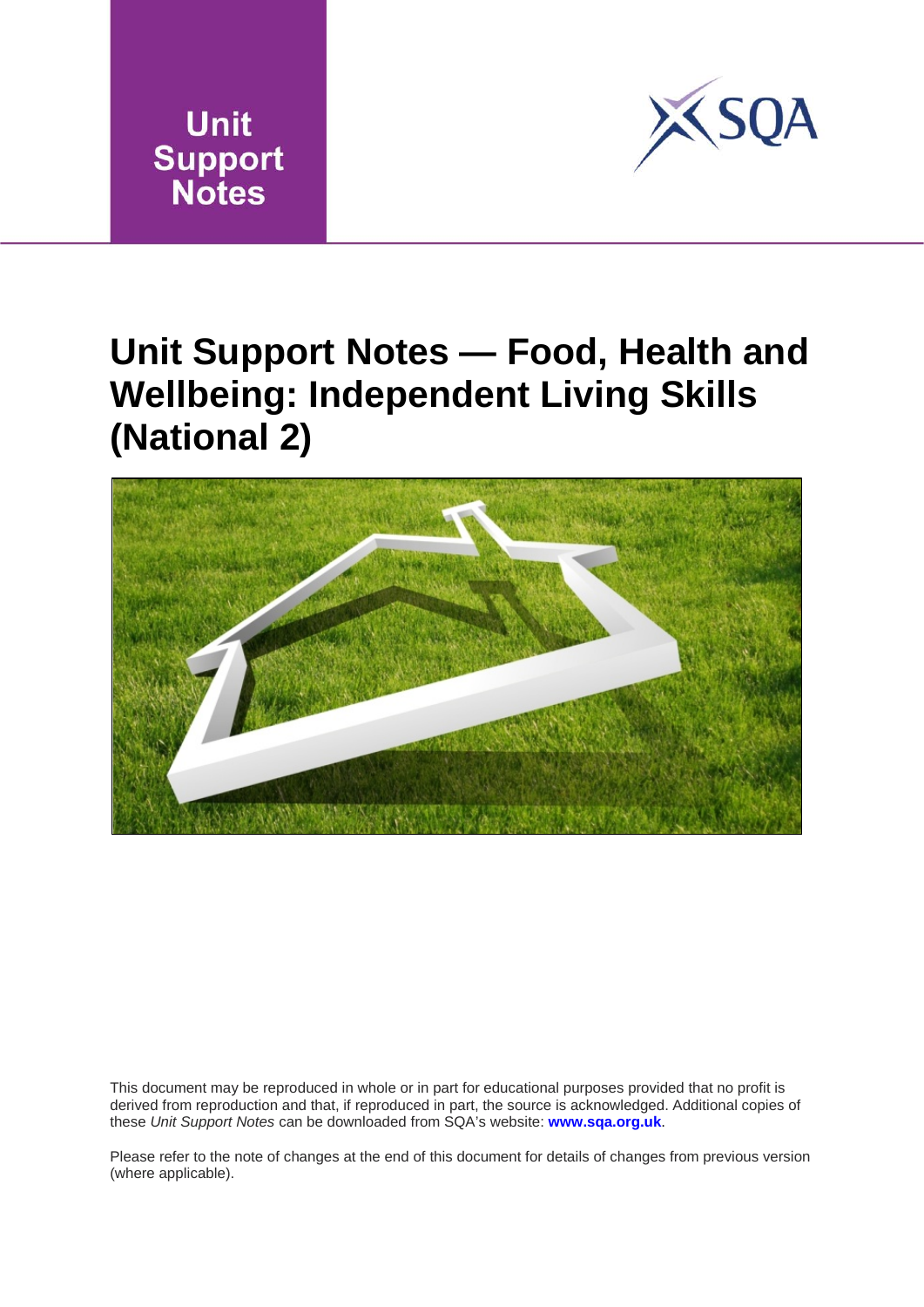



### **Unit Support Notes — Food, Health and Wellbeing: Independent Living Skills (National 2)**



This document may be reproduced in whole or in part for educational purposes provided that no profit is derived from reproduction and that, if reproduced in part, the source is acknowledged. Additional copies of these *Unit Support Notes* can be downloaded from SQA's website: **[www.sqa.org.uk](http://www.sqa.org.uk/)**.

Please refer to the note of changes at the end of this document for details of changes from previous version (where applicable).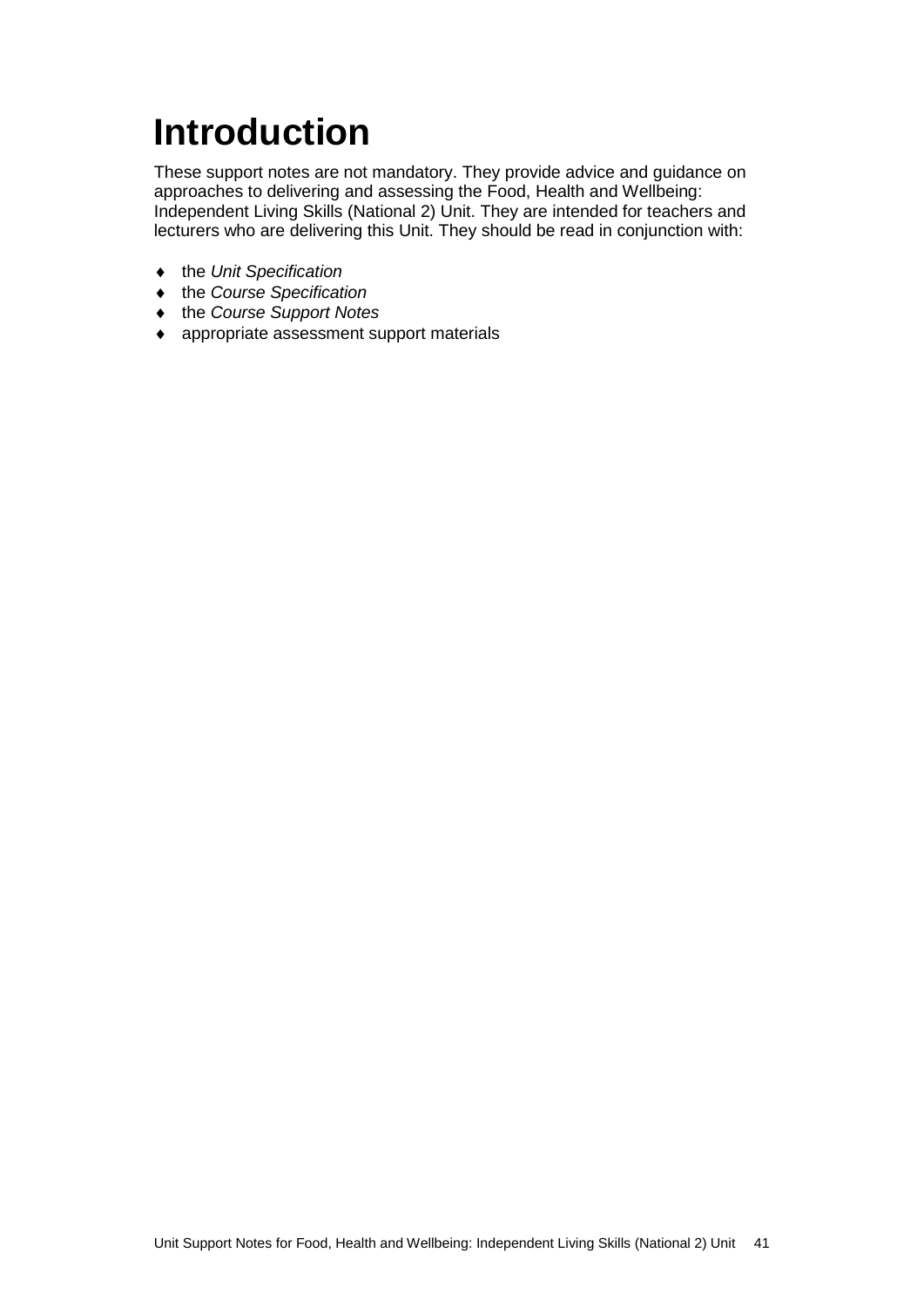# <span id="page-43-0"></span>**Introduction**

These support notes are not mandatory. They provide advice and guidance on approaches to delivering and assessing the Food, Health and Wellbeing: Independent Living Skills (National 2) Unit. They are intended for teachers and lecturers who are delivering this Unit. They should be read in conjunction with:

- ♦ the *Unit Specification*
- ♦ the *Course Specification*
- ♦ the *Course Support Notes*
- ♦ appropriate assessment support materials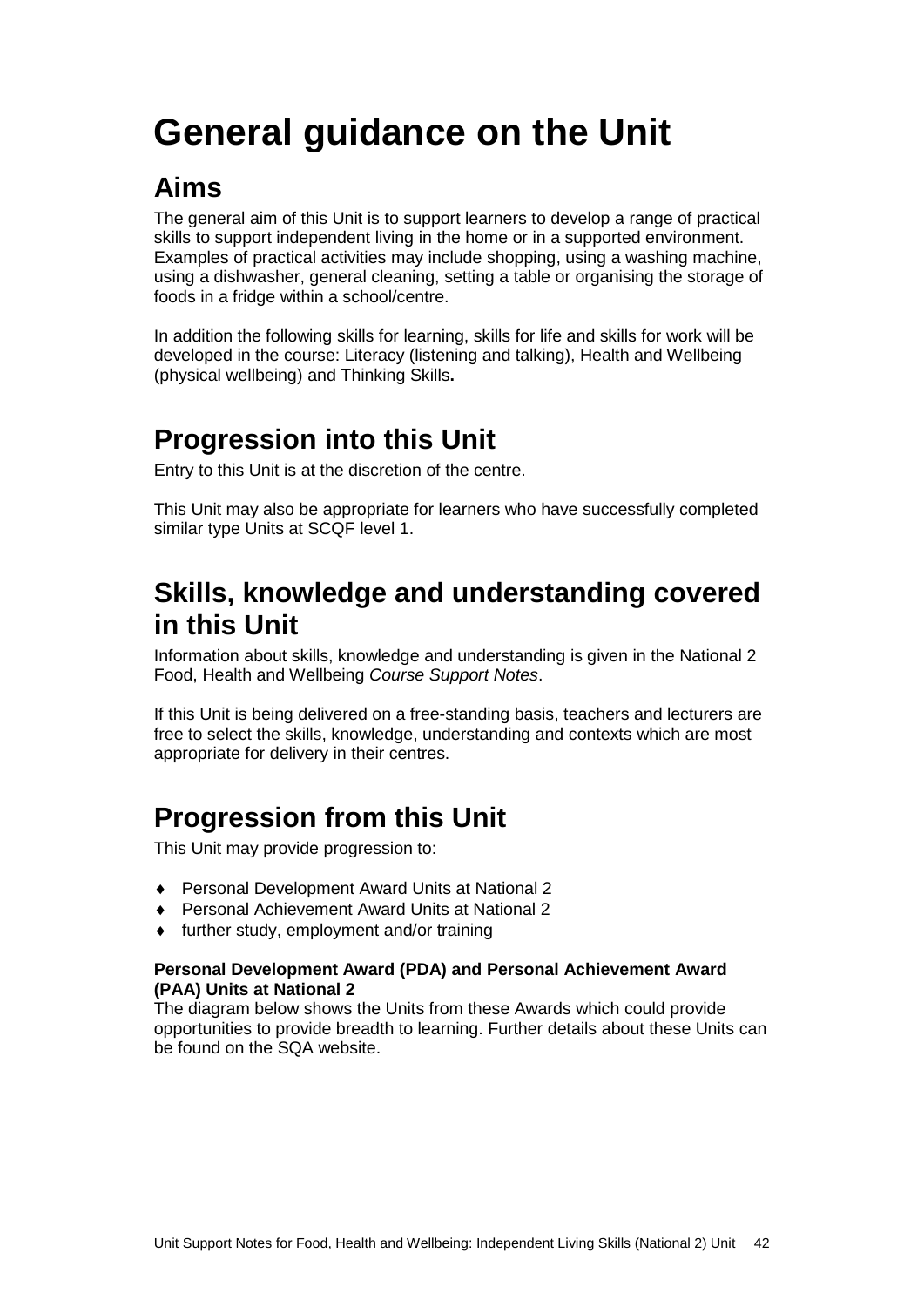## <span id="page-44-0"></span>**General guidance on the Unit**

#### **Aims**

The general aim of this Unit is to support learners to develop a range of practical skills to support independent living in the home or in a supported environment. Examples of practical activities may include shopping, using a washing machine, using a dishwasher, general cleaning, setting a table or organising the storage of foods in a fridge within a school/centre.

In addition the following skills for learning, skills for life and skills for work will be developed in the course: Literacy (listening and talking), Health and Wellbeing (physical wellbeing) and Thinking Skills**.**

### **Progression into this Unit**

Entry to this Unit is at the discretion of the centre.

This Unit may also be appropriate for learners who have successfully completed similar type Units at SCQF level 1.

#### **Skills, knowledge and understanding covered in this Unit**

Information about skills, knowledge and understanding is given in the National 2 Food, Health and Wellbeing *Course Support Notes*.

If this Unit is being delivered on a free-standing basis, teachers and lecturers are free to select the skills, knowledge, understanding and contexts which are most appropriate for delivery in their centres.

### **Progression from this Unit**

This Unit may provide progression to:

- ♦ Personal Development Award Units at National 2
- ♦ Personal Achievement Award Units at National 2
- ♦ further study, employment and/or training

#### **Personal Development Award (PDA) and Personal Achievement Award (PAA) Units at National 2**

The diagram below shows the Units from these Awards which could provide opportunities to provide breadth to learning. Further details about these Units can be found on the SQA website.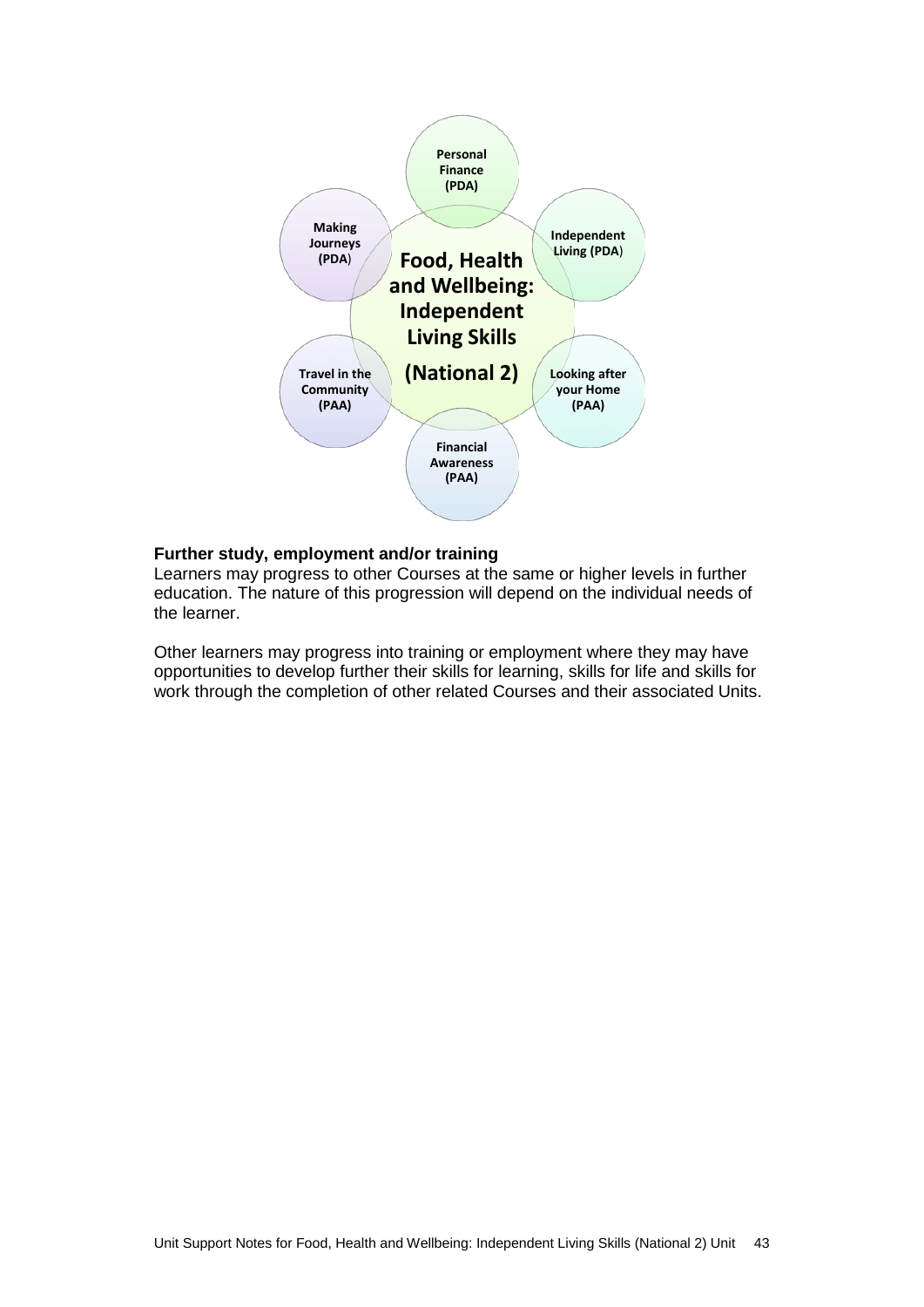

#### **Further study, employment and/or training**

Learners may progress to other Courses at the same or higher levels in further education. The nature of this progression will depend on the individual needs of the learner.

Other learners may progress into training or employment where they may have opportunities to develop further their skills for learning, skills for life and skills for work through the completion of other related Courses and their associated Units.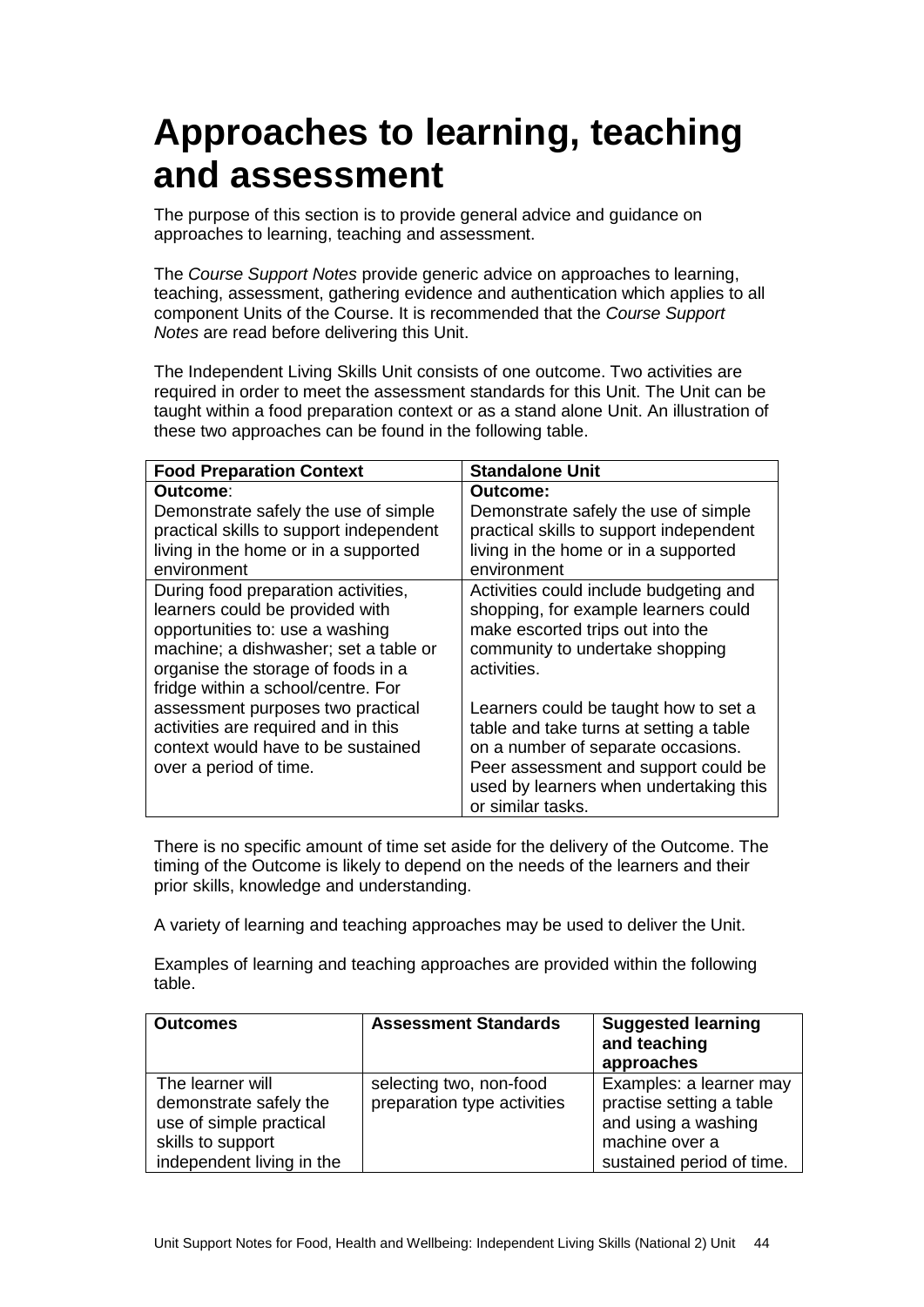### <span id="page-46-0"></span>**Approaches to learning, teaching and assessment**

The purpose of this section is to provide general advice and guidance on approaches to learning, teaching and assessment.

The *Course Support Notes* provide generic advice on approaches to learning, teaching, assessment, gathering evidence and authentication which applies to all component Units of the Course. It is recommended that the *Course Support Notes* are read before delivering this Unit.

The Independent Living Skills Unit consists of one outcome. Two activities are required in order to meet the assessment standards for this Unit. The Unit can be taught within a food preparation context or as a stand alone Unit. An illustration of these two approaches can be found in the following table.

| <b>Food Preparation Context</b>         | <b>Standalone Unit</b>                  |
|-----------------------------------------|-----------------------------------------|
| Outcome:                                | Outcome:                                |
| Demonstrate safely the use of simple    | Demonstrate safely the use of simple    |
| practical skills to support independent | practical skills to support independent |
| living in the home or in a supported    | living in the home or in a supported    |
| environment                             | environment                             |
| During food preparation activities,     | Activities could include budgeting and  |
| learners could be provided with         | shopping, for example learners could    |
| opportunities to: use a washing         | make escorted trips out into the        |
| machine; a dishwasher; set a table or   | community to undertake shopping         |
| organise the storage of foods in a      | activities.                             |
| fridge within a school/centre. For      |                                         |
| assessment purposes two practical       | Learners could be taught how to set a   |
| activities are required and in this     | table and take turns at setting a table |
| context would have to be sustained      | on a number of separate occasions.      |
| over a period of time.                  | Peer assessment and support could be    |
|                                         | used by learners when undertaking this  |
|                                         | or similar tasks.                       |

There is no specific amount of time set aside for the delivery of the Outcome. The timing of the Outcome is likely to depend on the needs of the learners and their prior skills, knowledge and understanding.

A variety of learning and teaching approaches may be used to deliver the Unit.

Examples of learning and teaching approaches are provided within the following table.

| <b>Outcomes</b>                                                                                                         | <b>Assessment Standards</b>                            | <b>Suggested learning</b><br>and teaching<br>approaches                                                                   |
|-------------------------------------------------------------------------------------------------------------------------|--------------------------------------------------------|---------------------------------------------------------------------------------------------------------------------------|
| The learner will<br>demonstrate safely the<br>use of simple practical<br>skills to support<br>independent living in the | selecting two, non-food<br>preparation type activities | Examples: a learner may<br>practise setting a table<br>and using a washing<br>machine over a<br>sustained period of time. |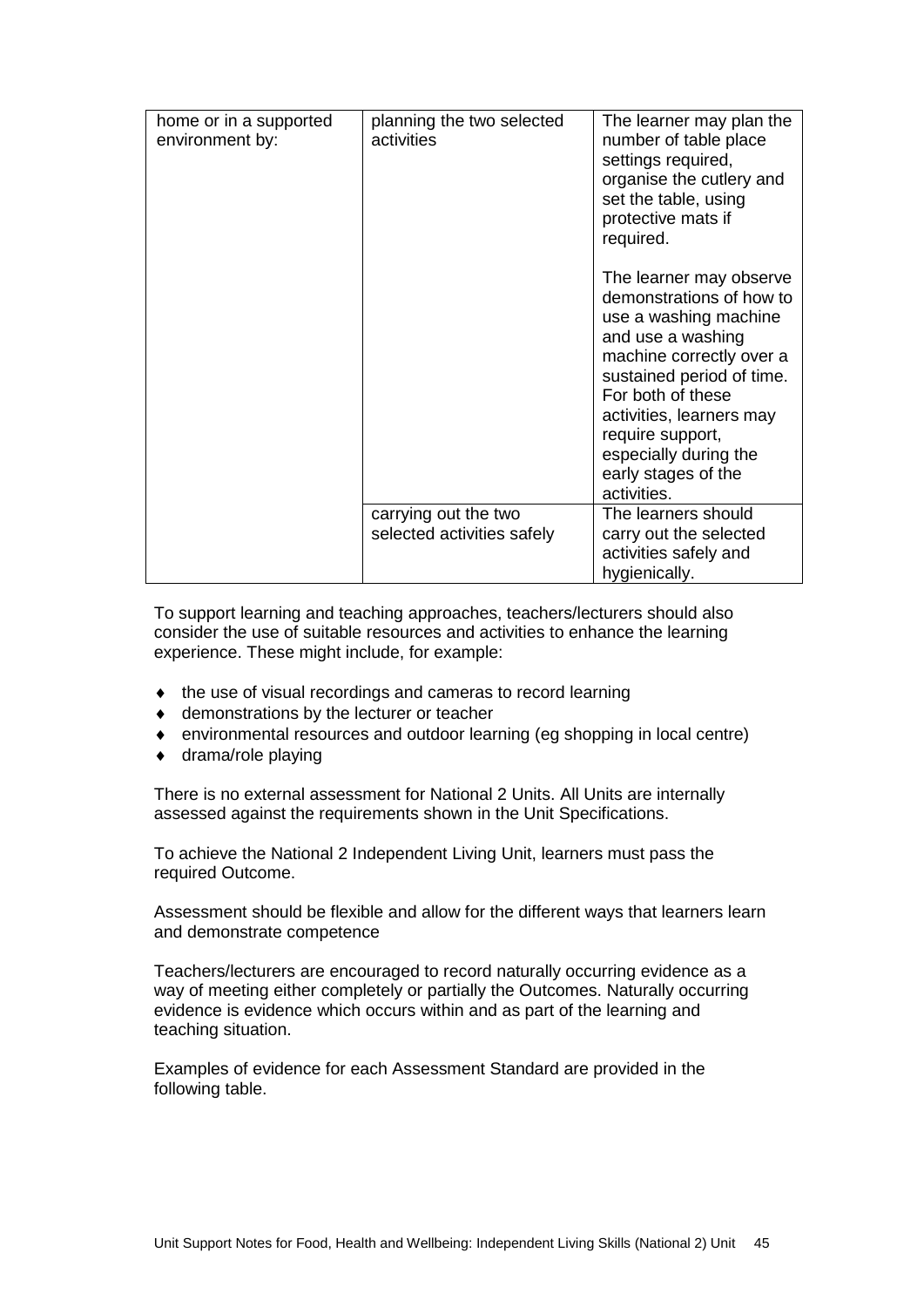| home or in a supported<br>environment by: | planning the two selected<br>activities            | The learner may plan the<br>number of table place<br>settings required,<br>organise the cutlery and<br>set the table, using<br>protective mats if<br>required.                                                                                                                                 |
|-------------------------------------------|----------------------------------------------------|------------------------------------------------------------------------------------------------------------------------------------------------------------------------------------------------------------------------------------------------------------------------------------------------|
|                                           |                                                    | The learner may observe<br>demonstrations of how to<br>use a washing machine<br>and use a washing<br>machine correctly over a<br>sustained period of time.<br>For both of these<br>activities, learners may<br>require support,<br>especially during the<br>early stages of the<br>activities. |
|                                           | carrying out the two<br>selected activities safely | The learners should<br>carry out the selected<br>activities safely and                                                                                                                                                                                                                         |
|                                           |                                                    | hygienically.                                                                                                                                                                                                                                                                                  |

To support learning and teaching approaches, teachers/lecturers should also consider the use of suitable resources and activities to enhance the learning experience. These might include, for example:

- ♦ the use of visual recordings and cameras to record learning
- ♦ demonstrations by the lecturer or teacher
- ♦ environmental resources and outdoor learning (eg shopping in local centre)
- ♦ drama/role playing

There is no external assessment for National 2 Units. All Units are internally assessed against the requirements shown in the Unit Specifications.

To achieve the National 2 Independent Living Unit, learners must pass the required Outcome.

Assessment should be flexible and allow for the different ways that learners learn and demonstrate competence

Teachers/lecturers are encouraged to record naturally occurring evidence as a way of meeting either completely or partially the Outcomes. Naturally occurring evidence is evidence which occurs within and as part of the learning and teaching situation.

Examples of evidence for each Assessment Standard are provided in the following table.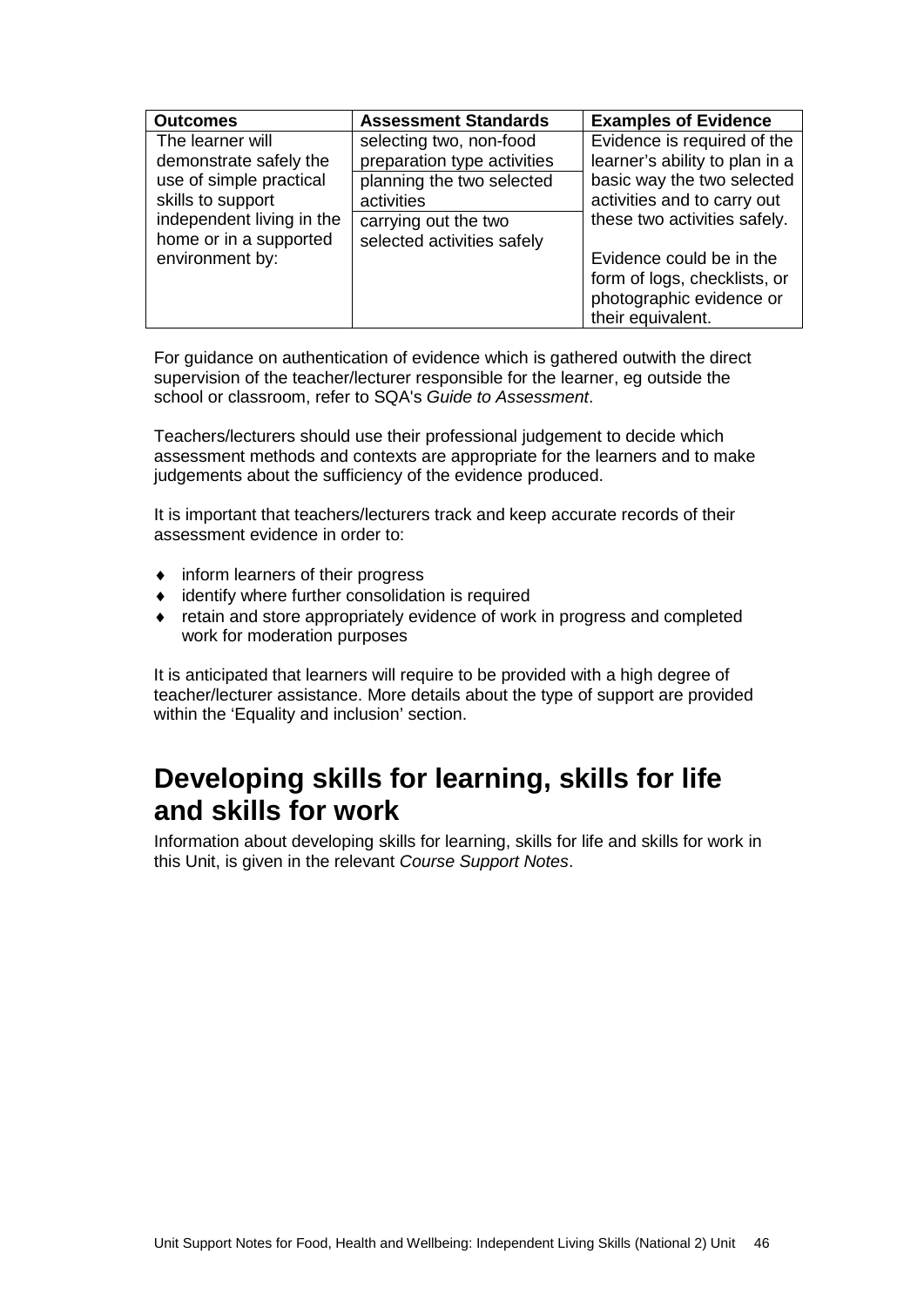| <b>Outcomes</b>                                                          | <b>Assessment Standards</b>                                                         | <b>Examples of Evidence</b>                                                                               |  |
|--------------------------------------------------------------------------|-------------------------------------------------------------------------------------|-----------------------------------------------------------------------------------------------------------|--|
| The learner will<br>demonstrate safely the<br>use of simple practical    | selecting two, non-food<br>preparation type activities<br>planning the two selected | Evidence is required of the<br>learner's ability to plan in a<br>basic way the two selected               |  |
| skills to support<br>independent living in the<br>home or in a supported | activities<br>carrying out the two<br>selected activities safely                    | activities and to carry out<br>these two activities safely.                                               |  |
| environment by:                                                          |                                                                                     | Evidence could be in the<br>form of logs, checklists, or<br>photographic evidence or<br>their equivalent. |  |

For guidance on authentication of evidence which is gathered outwith the direct supervision of the teacher/lecturer responsible for the learner, eg outside the school or classroom, refer to SQA's *Guide to Assessment*.

Teachers/lecturers should use their professional judgement to decide which assessment methods and contexts are appropriate for the learners and to make judgements about the sufficiency of the evidence produced.

It is important that teachers/lecturers track and keep accurate records of their assessment evidence in order to:

- ♦ inform learners of their progress
- ♦ identify where further consolidation is required
- ♦ retain and store appropriately evidence of work in progress and completed work for moderation purposes

It is anticipated that learners will require to be provided with a high degree of teacher/lecturer assistance. More details about the type of support are provided within the 'Equality and inclusion' section.

#### **Developing skills for learning, skills for life and skills for work**

Information about developing skills for learning, skills for life and skills for work in this Unit, is given in the relevant *Course Support Notes*.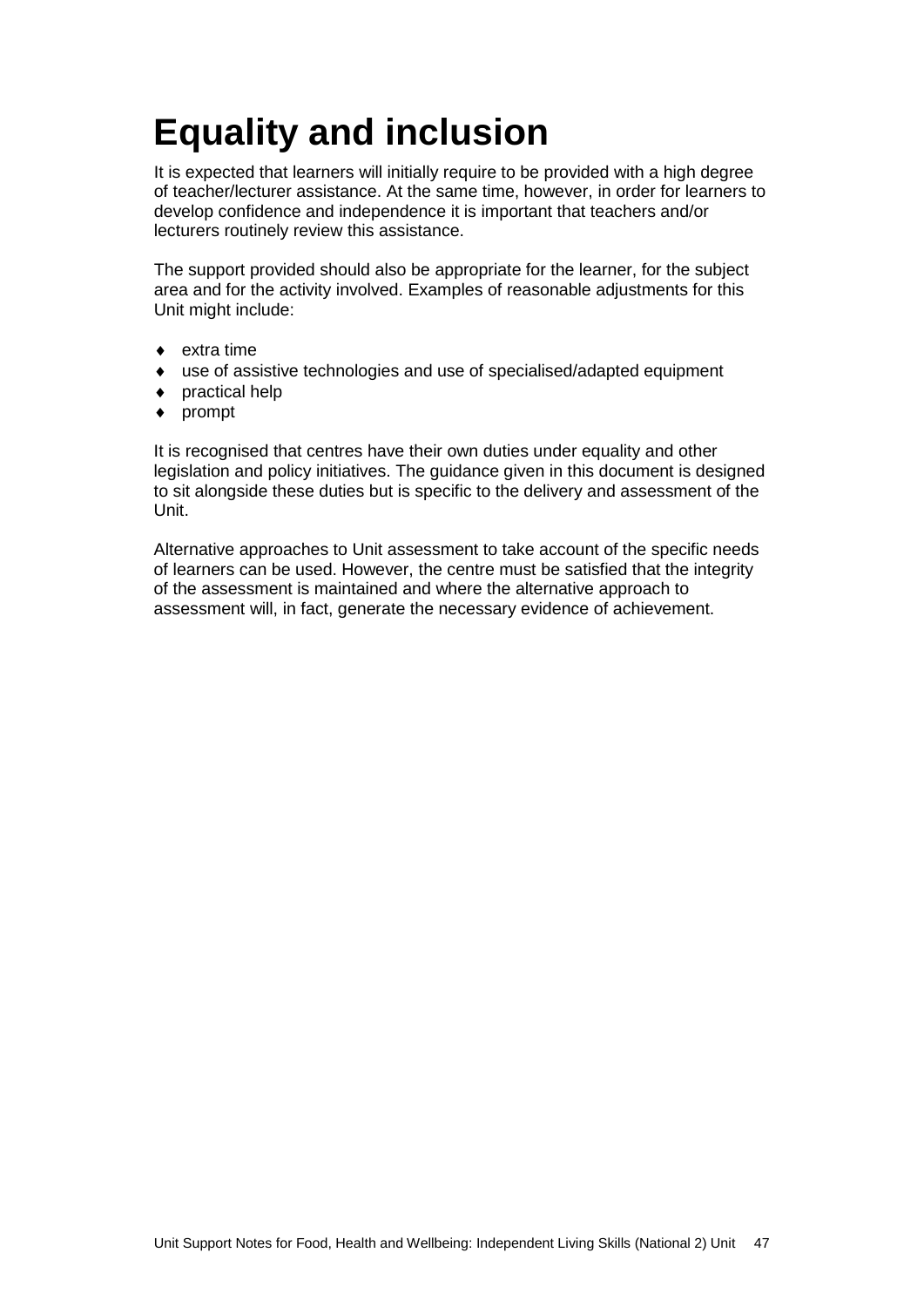## <span id="page-49-0"></span>**Equality and inclusion**

It is expected that learners will initially require to be provided with a high degree of teacher/lecturer assistance. At the same time, however, in order for learners to develop confidence and independence it is important that teachers and/or lecturers routinely review this assistance.

The support provided should also be appropriate for the learner, for the subject area and for the activity involved. Examples of reasonable adjustments for this Unit might include:

- extra time
- use of assistive technologies and use of specialised/adapted equipment
- ♦ practical help
- ♦ prompt

It is recognised that centres have their own duties under equality and other legislation and policy initiatives. The guidance given in this document is designed to sit alongside these duties but is specific to the delivery and assessment of the Unit.

Alternative approaches to Unit assessment to take account of the specific needs of learners can be used. However, the centre must be satisfied that the integrity of the assessment is maintained and where the alternative approach to assessment will, in fact, generate the necessary evidence of achievement.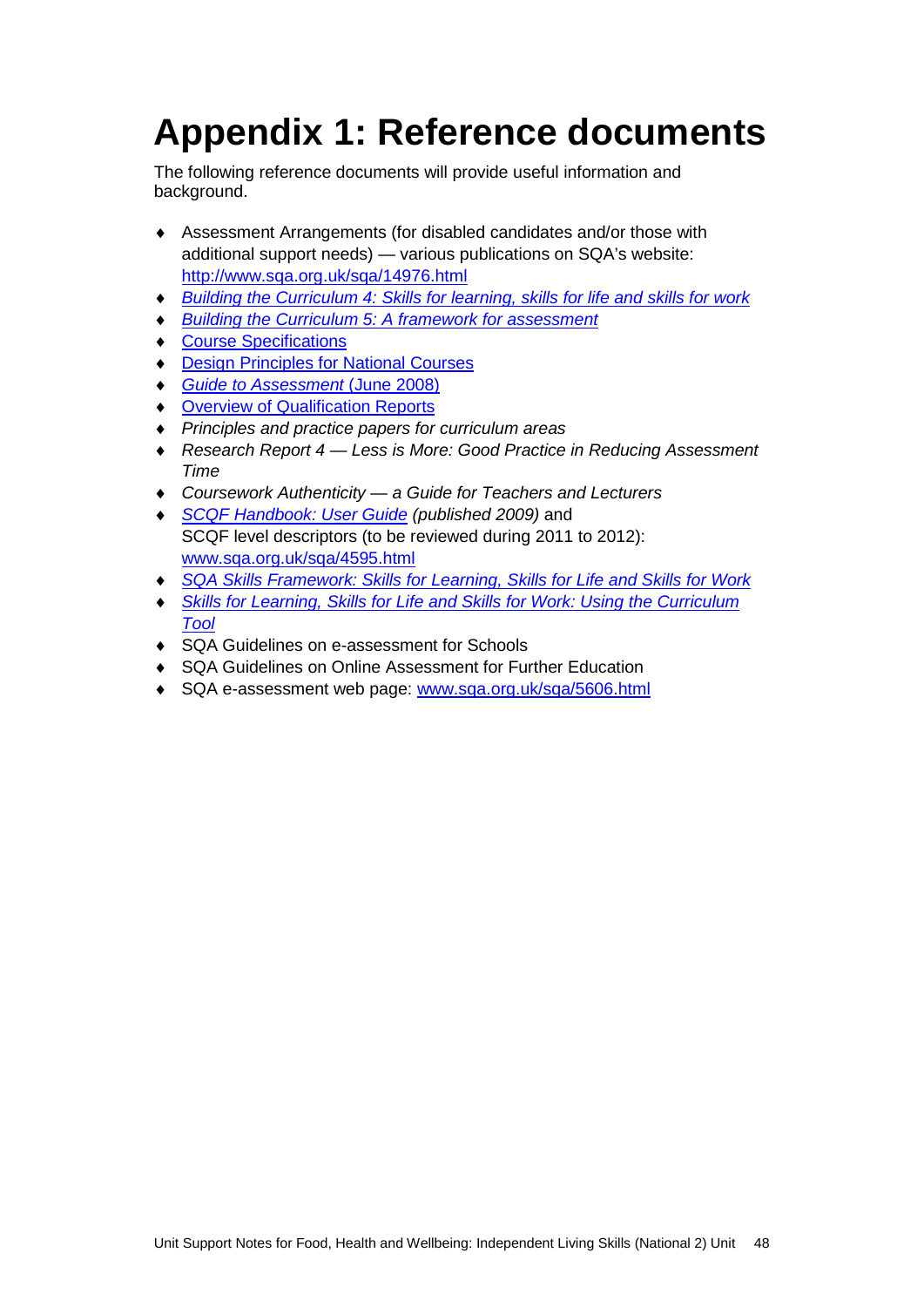## <span id="page-50-0"></span>**Appendix 1: Reference documents**

The following reference documents will provide useful information and background.

- ♦ Assessment Arrangements (for disabled candidates and/or those with additional support needs) — various publications on SQA's website: <http://www.sqa.org.uk/sqa/14976.html>
- ♦ *[Building the Curriculum 4: Skills for learning, skills for life and skills for work](http://www.ltscotland.org.uk/buildingyourcurriculum/policycontext/btc/btc4.asp)*
- *[Building the Curriculum 5: A framework for assessment](http://www.ltscotland.org.uk/buildingyourcurriculum/policycontext/btc/btc5.asp)*
- ♦ [Course Specifications](http://www.sqa.org.uk/sqa/46327.2947.html)
- ♦ [Design Principles for National Courses](http://www.sqa.org.uk/sqa/42135.2629.html)
- ♦ *[Guide to Assessment](http://www.sqa.org.uk/files_ccc/GuideToAssessment.pdf)* (June 2008)
- ♦ [Overview of Qualification Reports](http://www.sqa.org.uk/sqa/42467.2792.html)
- ♦ *Principles and practice papers for curriculum areas*
- ♦ *Research Report 4 — Less is More: Good Practice in Reducing Assessment Time*
- ♦ *Coursework Authenticity — a Guide for Teachers and Lecturers*
- ♦ *[SCQF Handbook: User Guide](http://www.scqf.org.uk/Resources) (published 2009)* and SCQF level descriptors (to be reviewed during 2011 to 2012): [www.sqa.org.uk/sqa/4595.html](http://www.sqa.org.uk/sqa/4595.html)
- ♦ *[SQA Skills Framework: Skills for Learning, Skills for Life and Skills for Work](http://www.sqa.org.uk/sqa/45395.html)*
- ♦ *[Skills for Learning, Skills for Life and Skills for Work: Using the Curriculum](http://www.sqa.org.uk/sqa/45395.html)  [Tool](http://www.sqa.org.uk/sqa/45395.html)*
- ♦ SQA Guidelines on e-assessment for Schools
- ♦ SQA Guidelines on Online Assessment for Further Education
- SQA e-assessment web page: [www.sqa.org.uk/sqa/5606.html](http://www.sqa.org.uk/sqa/5606.html)